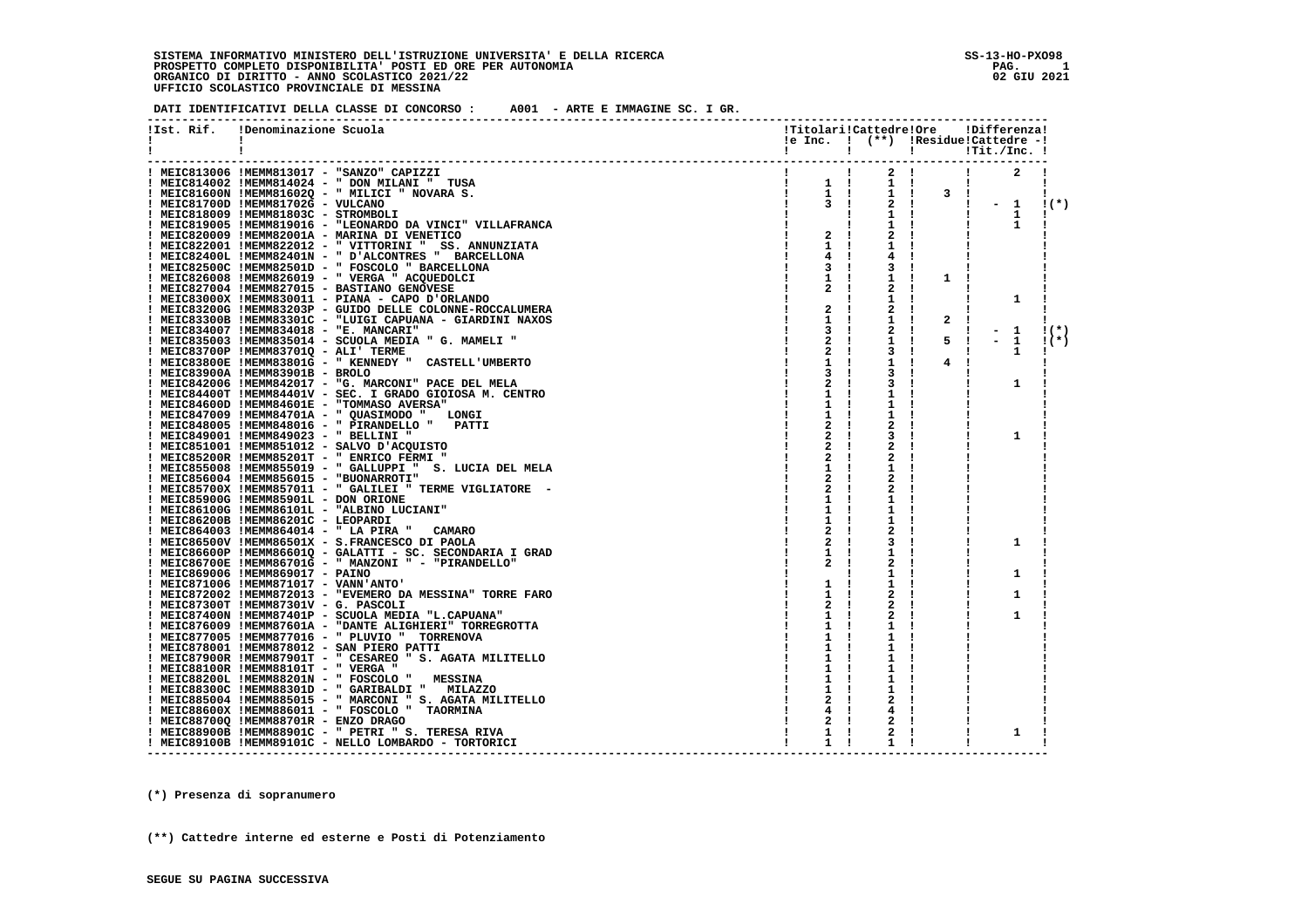#### **DATI IDENTIFICATIVI DELLA CLASSE DI CONCORSO : A001 - ARTE E IMMAGINE SC. I GR.**

| !Ist. Rif.<br>Ι. | !Denominazione Scuola                                                                                             |                                                |                              |                                | !Titolari!Cattedre!Ore !Differenza!<br>!e Inc. ! (**) !Residue!Cattedre -! |         |
|------------------|-------------------------------------------------------------------------------------------------------------------|------------------------------------------------|------------------------------|--------------------------------|----------------------------------------------------------------------------|---------|
|                  |                                                                                                                   |                                                | and the state of the state   |                                |                                                                            |         |
|                  |                                                                                                                   |                                                |                              |                                |                                                                            |         |
|                  | ! MEIC813006 !MEMM813017 - "SANZO" CAPIZZI                                                                        | $\mathbf{1}$ and $\mathbf{1}$ and $\mathbf{1}$ | $2 \cdot 1$                  | $\blacksquare$                 | 2                                                                          |         |
|                  | $\begin{array}{cccc} 1 & & 1 \\ 1 & & 1 \\ 1 & & 1 \end{array}$<br>! MEIC814002 !MEMM814024 - " DON MILANI " TUSA |                                                | $1 \quad 1$                  |                                | $\mathbf{I}$                                                               |         |
|                  | ! MEIC81600N !MEMM81602Q - " MILICI " NOVARA S.                                                                   |                                                |                              | $1 \quad 1 \quad 3 \quad 1$    |                                                                            | л.      |
|                  | ! MEIC81700D !MEMM81702G - VULCANO                                                                                | 3 <sub>1</sub>                                 |                              | 2 !                            | $\frac{1}{2}$ - 1                                                          | $(1(*)$ |
|                  | ! MEIC818009 !MEMM81803C - STROMBOLI                                                                              |                                                | $1 \quad 1$                  |                                |                                                                            |         |
|                  | ! MEIC819005 !MEMM819016 - "LEONARDO DA VINCI" VILLAFRANCA                                                        |                                                |                              |                                | $\mathbf{1}$<br>$\mathbf{I}$<br>$\mathbf{1}$<br>Ι.                         |         |
|                  | ! MEIC820009 !MEMM82001A - MARINA DI VENETICO                                                                     | $2 \quad 1$                                    | 1 !<br>$2 \cdot 1$           |                                |                                                                            |         |
|                  |                                                                                                                   |                                                |                              |                                |                                                                            |         |
|                  | ! MEIC822001 !MEMM822012 - " VITTORINI " SS. ANNUNZIATA                                                           | $1 \quad 1$                                    | ı                            |                                |                                                                            |         |
|                  | ! MEIC82400L !MEMM82401N - " D'ALCONTRES " BARCELLONA                                                             |                                                | 4                            |                                |                                                                            |         |
|                  | ! MEIC82500C !MEMM82501D - " FOSCOLO " BARCELLONA                                                                 | 3                                              | 3                            |                                |                                                                            |         |
|                  | ! MEIC826008 !MEMM826019 - " VERGA " ACQUEDOLCI                                                                   | 1                                              | 1 !                          | $\mathbf{1}$<br>$\mathbf{I}$   |                                                                            |         |
|                  | ! MEIC827004 !MEMM827015 - BASTIANO GENOVESE                                                                      | 2<br>$\mathbf{I}$                              | 2<br>- 1                     |                                |                                                                            |         |
|                  | ! MEIC83000X !MEMM830011 - PIANA - CAPO D'ORLANDO                                                                 |                                                | 1                            |                                | 1                                                                          |         |
|                  | ! MEIC83200G !MEMM83203P - GUIDO DELLE COLONNE-ROCCALUMERA                                                        | $\mathbf{2}$<br>- 1                            | 2!                           |                                |                                                                            |         |
|                  | ! MEIC83300B !MEMM83301C - "LUIGI CAPUANA - GIARDINI NAXOS                                                        | $\mathbf{1}$                                   | 1 !                          | $\overline{2}$<br>$\mathbf{I}$ |                                                                            |         |
|                  | ! MEIC834007 !MEMM834018 - "E. MANCARI"                                                                           | 3<br>$\mathbf{I}$                              | $\mathbf{2}$<br>$\mathbf{I}$ |                                | $-1$<br>1                                                                  | $(1(*)$ |
|                  | ! MEIC835003 !MEMM835014 - SCUOLA MEDIA " G. MAMELI "                                                             | 2                                              | 1<br>- 1                     | 5!                             | $-1$                                                                       | $1(*)$  |
|                  | ! MEIC83700P !MEMM83701Q - ALI' TERME                                                                             | 2                                              | 3 !                          |                                | 1<br>л.                                                                    |         |
|                  | ! MEIC83800E !MEMM83801G - " KENNEDY " CASTELL'UMBERTO                                                            |                                                | 1 !                          | 4<br>- 1                       |                                                                            |         |
|                  | ! MEIC83900A !MEMM83901B - BROLO                                                                                  |                                                | 3.                           |                                |                                                                            |         |
|                  | ! MEIC842006 !MEMM842017 - "G. MARCONI" PACE DEL MELA                                                             |                                                | 3                            |                                | 1                                                                          |         |
|                  | ! MEIC84400T !MEMM84401V - SEC. I GRADO GIOIOSA M. CENTRO                                                         | 1                                              |                              |                                |                                                                            |         |
|                  | ! MEIC84600D !MEMM84601E - "TOMMASO AVERSA"                                                                       |                                                |                              |                                |                                                                            |         |
|                  | ! MEIC847009 !MEMM84701A - " QUASIMODO " LONGI                                                                    | 1                                              |                              |                                |                                                                            |         |
|                  | ! MEIC848005 !MEMM848016 - " PIRANDELLO " PATTI                                                                   |                                                | 2                            |                                |                                                                            |         |
|                  | ! MEIC849001 !MEMM849023 - " BELLINI "                                                                            |                                                | 3                            |                                | 1                                                                          |         |
|                  | ! MEIC851001 !MEMM851012 - SALVO D'ACQUISTO                                                                       | 2                                              | 2                            |                                |                                                                            |         |
|                  | ! MEIC85200R !MEMM85201T - " ENRICO FERMI "                                                                       | 2                                              | 2                            |                                |                                                                            |         |
|                  | ! MEIC855008 !MEMM855019 - " GALLUPPI " S. LUCIA DEL MELA                                                         | 1                                              |                              |                                |                                                                            |         |
|                  | ! MEIC856004 !MEMM856015 - "BUONARROTI"                                                                           |                                                | 2                            |                                |                                                                            |         |
|                  | ! MEIC85700X !MEMM857011 - " GALILEI " TERME VIGLIATORE -                                                         |                                                | 2                            |                                |                                                                            |         |
|                  | ! MEIC85900G !MEMM85901L - DON ORIONE                                                                             | ı.                                             | ı                            |                                |                                                                            |         |
|                  | ! MEIC86100G !MEMM86101L - "ALBINO LUCIANI"                                                                       | 1                                              | ı                            |                                |                                                                            |         |
|                  | ! MEIC86200B !MEMM86201C - LEOPARDI                                                                               |                                                | ı                            |                                |                                                                            |         |
|                  | ! MEIC864003 !MEMM864014 - " LA PIRA " CAMARO                                                                     | 2                                              | 2<br>$\mathbf{I}$            |                                |                                                                            |         |
|                  | ! MEIC86500V !MEMM86501X - S.FRANCESCO DI PAOLA                                                                   | 2                                              | 3<br>- 1                     |                                | 1                                                                          |         |
|                  | ! MEIC86600P !MEMM86601Q - GALATTI - SC. SECONDARIA I GRAD                                                        | $\mathbf{1}$                                   | ı<br>- 1                     |                                |                                                                            |         |
|                  | ! MEIC86700E !MEMM86701G - " MANZONI " - "PIRANDELLO"                                                             |                                                | 2                            |                                |                                                                            |         |
|                  | ! MEIC869006 !MEMM869017 - PAINO                                                                                  |                                                | ı                            |                                | 1                                                                          |         |
|                  | ! MEIC871006 !MEMM871017 - VANN'ANTO'                                                                             | 1                                              |                              |                                |                                                                            |         |
|                  | ! MEIC872002 !MEMM872013 - "EVEMERO DA MESSINA" TORRE FARO                                                        | $\mathbf{1}$                                   |                              |                                | 1                                                                          |         |
|                  | ! MEIC87300T !MEMM87301V - G. PASCOLI                                                                             |                                                | 2                            |                                |                                                                            |         |
|                  | ! MEIC87400N !MEMM87401P - SCUOLA MEDIA "L.CAPUANA"                                                               |                                                | 2                            |                                | 1                                                                          |         |
|                  | ! MEIC876009 !MEMM87601A - "DANTE ALIGHIERI" TORREGROTTA                                                          |                                                |                              |                                |                                                                            |         |
|                  | ! MEIC877005 !MEMM877016 - " PLUVIO " TORRENOVA                                                                   | ı                                              | ı.                           |                                |                                                                            |         |
|                  | ! MEIC878001 !MEMM878012 - SAN PIERO PATTI                                                                        |                                                |                              |                                |                                                                            |         |
|                  | ! MEIC87900R !MEMM87901T - " CESAREO " S. AGATA MILITELLO                                                         |                                                |                              |                                |                                                                            |         |
|                  | ! MEIC88100R !MEMM88101T - " VERGA "                                                                              |                                                |                              |                                |                                                                            |         |
|                  | ! MEIC88200L !MEMM88201N - " FOSCOLO " MESSINA                                                                    |                                                |                              |                                |                                                                            |         |
|                  |                                                                                                                   | ı.                                             | ı                            |                                |                                                                            |         |
|                  | ! MEIC88300C !MEMM88301D - " GARIBALDI " MILAZZO                                                                  | 1                                              | ı                            |                                |                                                                            |         |
|                  | ! MEIC885004 !MEMM885015 - " MARCONI " S. AGATA MILITELLO                                                         |                                                | 2                            |                                |                                                                            |         |
|                  | ! MEIC88600X !MEMM886011 - " FOSCOLO " TAORMINA                                                                   |                                                | 4                            |                                |                                                                            |         |
|                  | ! MEIC88700Q !MEMM88701R - ENZO DRAGO                                                                             | 2                                              | 2                            |                                |                                                                            |         |
|                  | ! MEIC88900B !MEMM88901C - " PETRI " S. TERESA RIVA                                                               | 1<br>$\mathbf{I}$                              | 2                            |                                | 1                                                                          |         |
|                  | ! MEIC89100B !MEMM89101C - NELLO LOMBARDO - TORTORICI                                                             | 1 !                                            |                              |                                |                                                                            |         |
|                  |                                                                                                                   |                                                |                              |                                |                                                                            |         |

 **(\*) Presenza di sopranumero**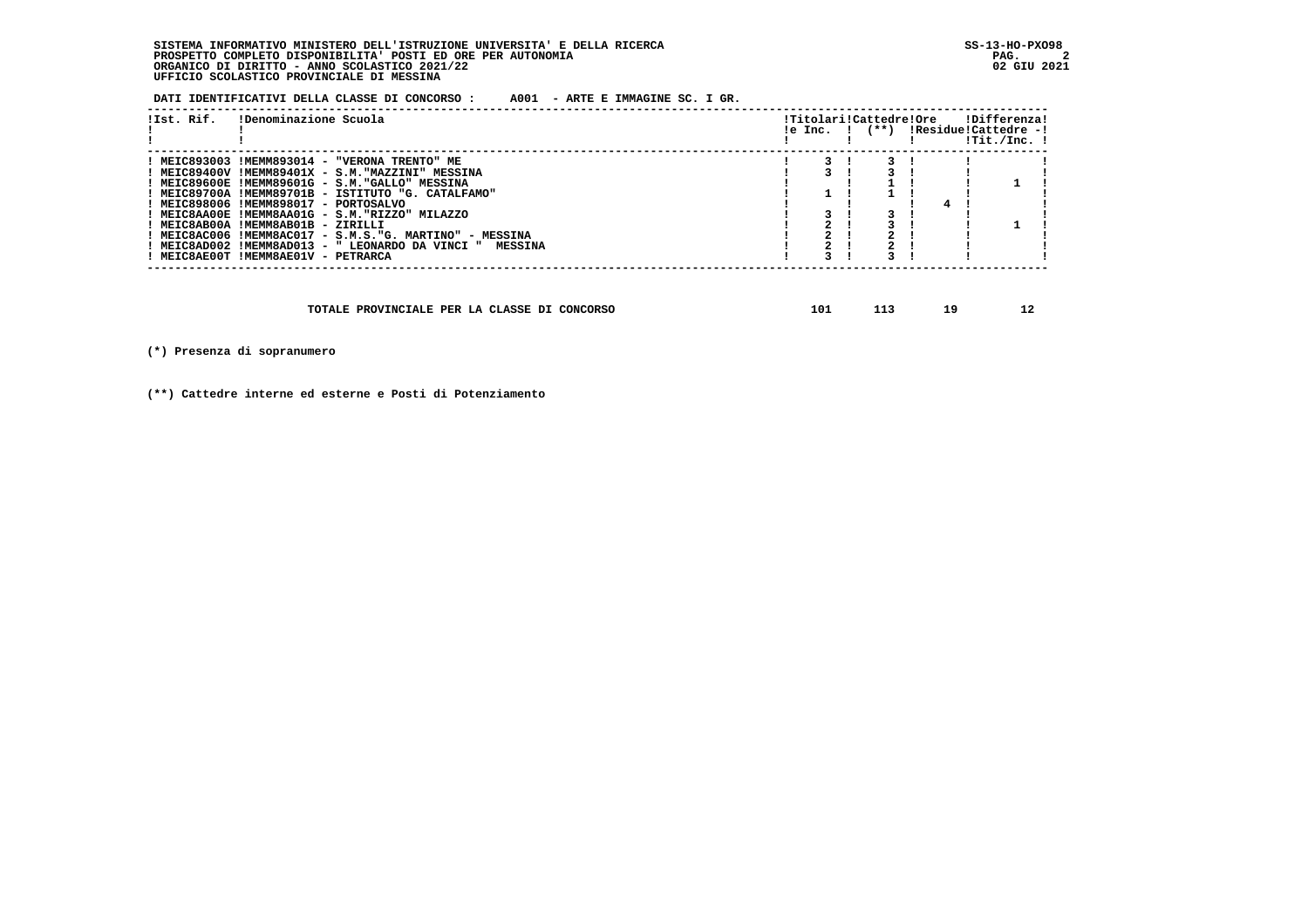**DATI IDENTIFICATIVI DELLA CLASSE DI CONCORSO : A001 - ARTE E IMMAGINE SC. I GR.**

| !Ist. Rif. | !Denominazione Scuola                                    |  | !Titolari!Cattedre!Ore |  | !Differenza!<br>$!e$ Inc. $!$ $(**)$ $!Residue!Cattedre -!$<br>!Tit./Inc. ! |
|------------|----------------------------------------------------------|--|------------------------|--|-----------------------------------------------------------------------------|
|            | ! MEIC893003 !MEMM893014 - "VERONA TRENTO" ME            |  |                        |  |                                                                             |
|            | ! MEIC89400V !MEMM89401X - S.M."MAZZINI" MESSINA         |  |                        |  |                                                                             |
|            | ! MEIC89600E !MEMM89601G - S.M. "GALLO" MESSINA          |  |                        |  |                                                                             |
|            | ! MEIC89700A !MEMM89701B - ISTITUTO "G. CATALFAMO"       |  |                        |  |                                                                             |
|            | ! MEIC898006 !MEMM898017 - PORTOSALVO                    |  |                        |  |                                                                             |
|            | ! MEIC8AA00E !MEMM8AA01G - S.M."RIZZO" MILAZZO           |  |                        |  |                                                                             |
|            | ! MEIC8AB00A !MEMM8AB01B - ZIRILLI                       |  |                        |  |                                                                             |
|            | ! MEIC8AC006 !MEMM8AC017 - S.M.S."G. MARTINO" - MESSINA  |  |                        |  |                                                                             |
|            | ! MEIC8AD002 !MEMM8AD013 - " LEONARDO DA VINCI " MESSINA |  |                        |  |                                                                             |
|            | ! MEIC8AE00T !MEMM8AE01V - PETRARCA                      |  |                        |  |                                                                             |
|            |                                                          |  |                        |  |                                                                             |

| TOTALE PROVINCIALE PER LA CLASSE DI CONCORSO | 101 |  |  | . . |
|----------------------------------------------|-----|--|--|-----|
|----------------------------------------------|-----|--|--|-----|

 **(\*) Presenza di sopranumero**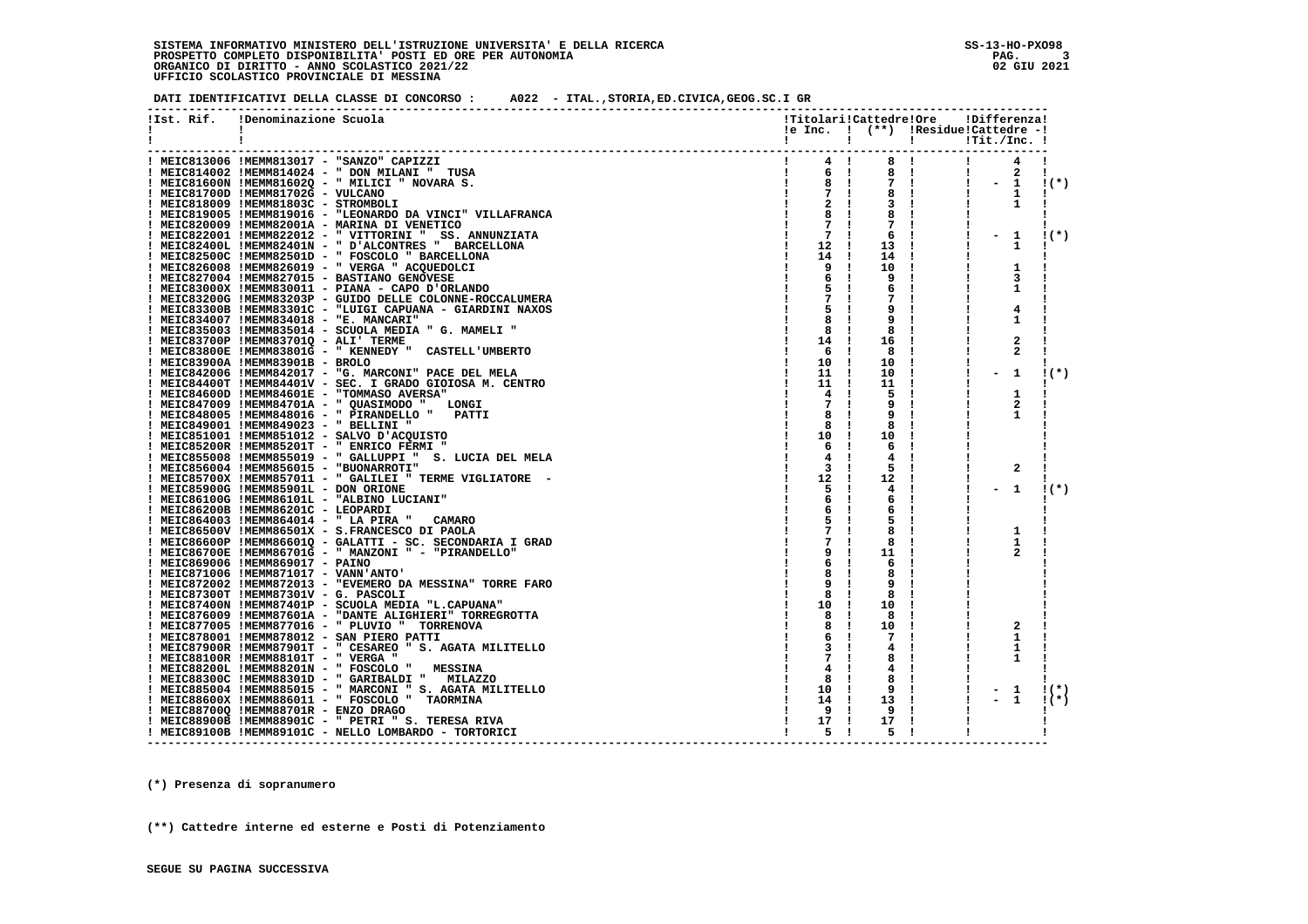**DATI IDENTIFICATIVI DELLA CLASSE DI CONCORSO : A022 - ITAL.,STORIA,ED.CIVICA,GEOG.SC.I GR**

| !Ist. Rif.   | !Denominazione Scuola                                      | !Titolari!Cattedre!Ore                     |                   |                 | !Differenza!             |                |        |
|--------------|------------------------------------------------------------|--------------------------------------------|-------------------|-----------------|--------------------------|----------------|--------|
| $\mathbf{I}$ |                                                            | $le Inc.$ $!$ $(**)$ $:Residue!Catedre -!$ |                   |                 |                          |                |        |
|              |                                                            | $\mathbf{I}$                               | $\mathbf{I}$      | ! ! Tit./Inc. ! |                          |                |        |
|              |                                                            |                                            |                   |                 |                          |                |        |
|              | ! MEIC813006 !MEMM813017 - "SANZO" CAPIZZI                 | $\mathbf{I}$<br>4!                         | 8 !               |                 | $\mathbf{I}$             | 4              |        |
|              | ! MEIC814002 !MEMM814024 - " DON MILANI " TUSA             | 6 !                                        | 8 !               |                 | $\mathbf{I}$             | 2              | Ι.     |
|              | ! MEIC81600N !MEMM81602Q - " MILICI " NOVARA S.            | 8 !                                        | 7 !               |                 | $\mathbf{I}$             | $\mathbf{1}$   | $1(*)$ |
|              | ! MEIC81700D !MEMM81702G - VULCANO                         | 7<br>$\mathbf{I}$                          | 8                 |                 | п.                       | 1              | л.     |
|              | ! MEIC818009 !MEMM81803C - STROMBOLI                       | 2                                          | 3 !               |                 |                          | 1              |        |
|              | ! MEIC819005 !MEMM819016 - "LEONARDO DA VINCI" VILLAFRANCA | 8                                          | 8                 |                 |                          |                |        |
|              | ! MEIC820009 !MEMM82001A - MARINA DI VENETICO              | 7                                          | 7!                |                 |                          |                |        |
|              | ! MEIC822001 !MEMM822012 - " VITTORINI " SS. ANNUNZIATA    | 7<br>- 1                                   | 6                 |                 | $-1$                     |                | $1(*)$ |
|              | ! MEIC82400L !MEMM82401N - " D'ALCONTRES " BARCELLONA      | 12<br>- 1                                  | 13                |                 |                          | 1              |        |
|              |                                                            |                                            |                   |                 |                          |                |        |
|              | ! MEIC82500C !MEMM82501D - " FOSCOLO " BARCELLONA          | 14<br>-1                                   | 14<br>- 1         |                 |                          |                |        |
|              | ! MEIC826008 !MEMM826019 - " VERGA " ACQUEDOLCI            | 9<br>- 1                                   | 10<br>-1          |                 |                          | 1              |        |
|              | ! MEIC827004 !MEMM827015 - BASTIANO GENOVESE               | 6                                          | 9<br>$\mathbf{I}$ |                 |                          | 3              |        |
|              | ! MEIC83000X !MEMM830011 - PIANA - CAPO D'ORLANDO          | 5                                          | 6<br>-1           |                 |                          | 1              |        |
|              | ! MEIC83200G !MEMM83203P - GUIDO DELLE COLONNE-ROCCALUMERA | 7                                          | 7                 |                 |                          |                |        |
|              | ! MEIC83300B !MEMM83301C - "LUIGI CAPUANA - GIARDINI NAXOS | 5                                          | 9                 |                 |                          | 4              |        |
|              | ! MEIC834007 !MEMM834018 - "E. MANCARI"                    | 8                                          | 9                 |                 |                          | 1              |        |
|              | ! MEIC835003 !MEMM835014 - SCUOLA MEDIA " G. MAMELI "      | 8                                          | 8                 |                 |                          |                |        |
|              | ! MEIC83700P !MEMM83701Q - ALI' TERME                      | 14<br>-1                                   | 16                |                 |                          | 2              |        |
|              | ! MEIC83800E !MEMM83801G - " KENNEDY " CASTELL'UMBERTO     | 6<br>- 1                                   | 8                 |                 |                          | $\mathbf{2}$   |        |
|              | ! MEIC83900A !MEMM83901B - BROLO                           | 10<br>-1                                   | 10                |                 |                          |                |        |
|              | ! MEIC842006 !MEMM842017 - "G. MARCONI" PACE DEL MELA      | 11                                         | 10                |                 |                          | 1              | $1(*)$ |
|              | ! MEIC84400T !MEMM84401V - SEC. I GRADO GIOIOSA M. CENTRO  | 11<br>1                                    | 11                |                 |                          |                |        |
|              | ! MEIC84600D !MEMM84601E - "TOMMASO AVERSA"                | 4<br>-1                                    | 5                 |                 |                          | 1              |        |
|              | ! MEIC847009 !MEMM84701A - " QUASIMODO " LONGI             | 7<br>- 1                                   | 9                 |                 |                          | $\mathbf{2}$   |        |
|              | PATTI                                                      | 8                                          | 9                 |                 |                          | 1              |        |
|              | ! MEIC848005 !MEMM848016 - " PIRANDELLO "                  |                                            |                   |                 |                          |                |        |
|              | ! MEIC849001 !MEMM849023 - " BELLINI "                     | 8                                          | 8                 |                 |                          |                |        |
|              | ! MEIC851001 !MEMM851012 - SALVO D'ACQUISTO                | 10<br>-1                                   | 10                |                 |                          |                |        |
|              | ! MEIC85200R !MEMM85201T - " ENRICO FERMI "                | - 1<br>6                                   | 6                 |                 |                          |                |        |
|              | ! MEIC855008 !MEMM855019 - " GALLUPPI " S. LUCIA DEL MELA  | 4<br>-1                                    | 4                 |                 |                          |                |        |
|              | ! MEIC856004 !MEMM856015 - "BUONARROTI"                    | 3                                          | 5.                |                 |                          | 2              |        |
|              | ! MEIC85700X !MEMM857011 - " GALILEI " TERME VIGLIATORE (- | 12<br>- 1                                  | 12                |                 |                          |                |        |
|              | ! MEIC85900G !MEMM85901L - DON ORIONE                      | 5<br>- 1                                   | 4                 |                 |                          | 1              | $1(*)$ |
|              | ! MEIC86100G !MEMM86101L - "ALBINO LUCIANI"                | 6<br>-1                                    | 6                 |                 |                          |                |        |
|              | ! MEIC86200B !MEMM86201C - LEOPARDI                        | 6                                          | 6                 |                 |                          |                |        |
|              | ! MEIC864003 !MEMM864014 - " LA PIRA "<br><b>CAMARO</b>    | 5                                          | 5                 |                 |                          |                |        |
|              | ! MEIC86500V !MEMM86501X - S.FRANCESCO DI PAOLA            | 7                                          | 8                 |                 |                          | 1              |        |
|              | ! MEIC86600P !MEMM86601Q - GALATTI - SC. SECONDARIA I GRAD | 7                                          | 8                 |                 |                          | 1              |        |
|              | ! MEIC86700E !MEMM86701G - " MANZONI " - "PIRANDELLO"      |                                            | 11                |                 |                          | $\overline{2}$ |        |
|              | ! MEIC869006 !MEMM869017 - PAINO                           | 6                                          | 6<br>- 1          |                 |                          |                |        |
|              | ! MEIC871006 !MEMM871017 - VANN'ANTO'                      | 8                                          | 8                 |                 |                          |                |        |
|              | ! MEIC872002 !MEMM872013 - "EVEMERO DA MESSINA" TORRE FARO | 9                                          | 9                 |                 |                          |                |        |
|              | ! MEIC87300T !MEMM87301V - G. PASCOLI                      | 8                                          | 8                 |                 |                          |                |        |
|              |                                                            |                                            | 10                | п.              |                          |                |        |
|              | ! MEIC87400N !MEMM87401P - SCUOLA MEDIA "L.CAPUANA"        | 10<br>-1                                   |                   |                 |                          |                |        |
|              | ! MEIC876009 !MEMM87601A - "DANTE ALIGHIERI" TORREGROTTA   | 8                                          | 8                 |                 |                          |                |        |
|              | ! MEIC877005 !MEMM877016 - " PLUVIO " TORRENOVA            | 8                                          | 10                |                 |                          | 2              |        |
|              | ! MEIC878001 !MEMM878012 - SAN PIERO PATTI                 | 6                                          | 7                 |                 |                          | 1              |        |
|              | ! MEIC87900R !MEMM87901T - " CESAREO " S. AGATA MILITELLO  | 3                                          | 4                 |                 |                          | 1              |        |
|              | ! MEIC88100R !MEMM88101T - " VERGA "                       | 7                                          | 8                 |                 |                          | 1              |        |
|              | ! MEIC88200L !MEMM88201N - " FOSCOLO "<br><b>MESSINA</b>   | 4                                          | 4.                |                 |                          |                |        |
|              | ! MEIC88300C !MEMM88301D - " GARIBALDI " MILAZZO           | 8                                          | 8                 |                 |                          |                |        |
|              | ! MEIC885004 !MEMM885015 - " MARCONI " S. AGATA MILITELLO  | 10<br>- 1                                  | 9                 |                 |                          | 1              | $1(*)$ |
|              | ! MEIC88600X !MEMM886011 - " FOSCOLO " TAORMINA            | 14<br>- 1                                  | 13                |                 | $\overline{\phantom{0}}$ | 1              | $1(*)$ |
|              | ! MEIC88700Q !MEMM88701R - ENZO DRAGO                      | 9<br>-1                                    | 9                 |                 |                          |                |        |
|              | ! MEIC88900B !MEMM88901C - " PETRI " S. TERESA RIVA        | 17<br>-1                                   | 17                |                 |                          |                |        |
|              | ! MEIC89100B !MEMM89101C - NELLO LOMBARDO - TORTORICI      | 5<br>$\blacksquare$                        | 5                 |                 |                          |                |        |
|              |                                                            |                                            |                   |                 |                          |                |        |

 **(\*) Presenza di sopranumero**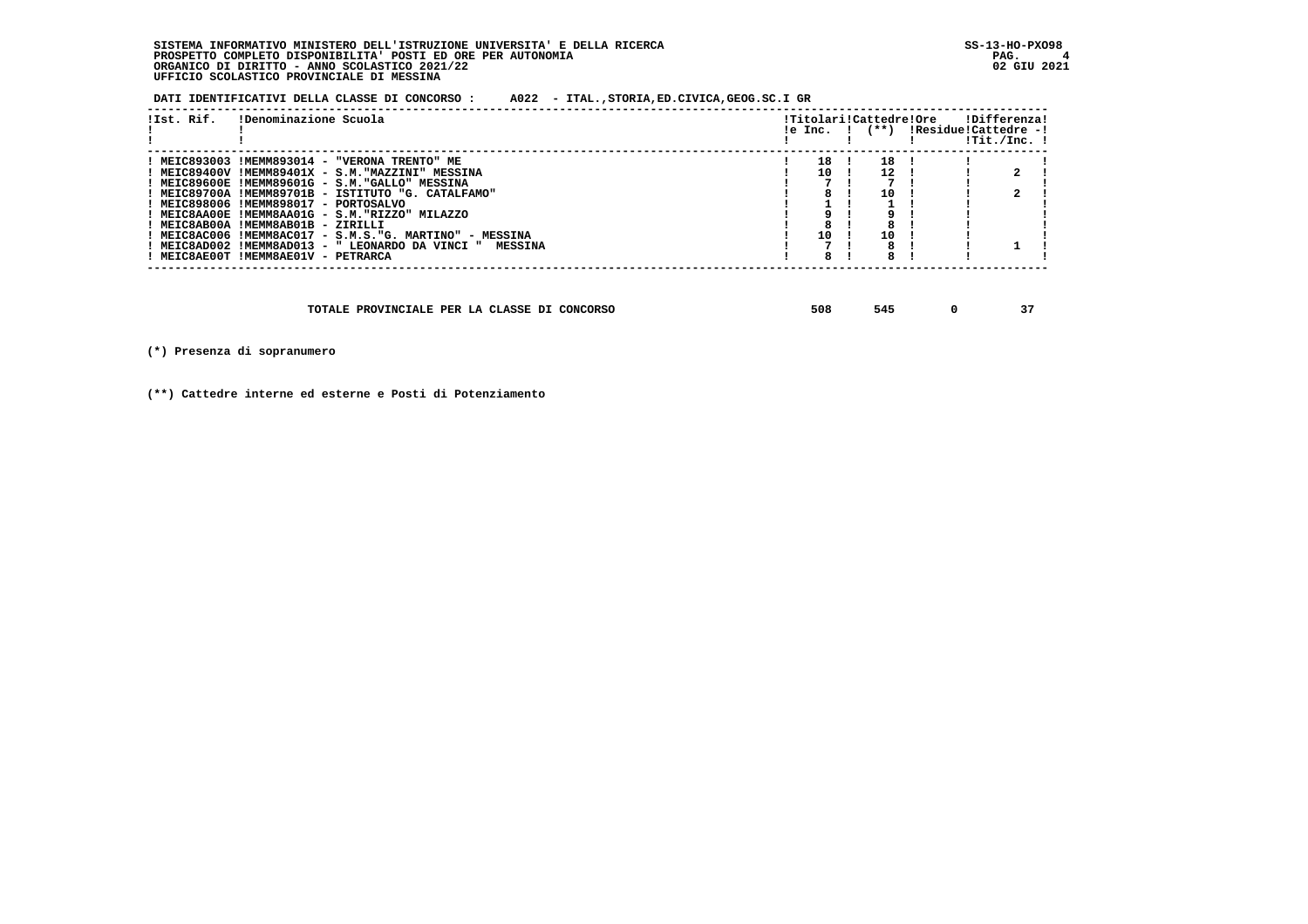**DATI IDENTIFICATIVI DELLA CLASSE DI CONCORSO : A022 - ITAL.,STORIA,ED.CIVICA,GEOG.SC.I GR**

| !Ist. Rif.<br>!Denominazione Scuola                      |     | $le Inc.$ $ $ $(***)$ | !Titolari!Cattedre!Ore | IResidue!Cattedre -! | !Differenza!<br>!Tit./Inc. ! |
|----------------------------------------------------------|-----|-----------------------|------------------------|----------------------|------------------------------|
| ! MEIC893003 !MEMM893014 - "VERONA TRENTO" ME            | 18  | 18                    |                        |                      |                              |
| ! MEIC89400V !MEMM89401X - S.M."MAZZINI" MESSINA         | 1 O | 12                    |                        |                      |                              |
| ! MEIC89600E !MEMM89601G - S.M."GALLO" MESSINA           |     |                       |                        |                      |                              |
| ! MEIC89700A !MEMM89701B - ISTITUTO "G. CATALFAMO"       |     | 10                    |                        |                      |                              |
| ! MEIC898006 !MEMM898017 - PORTOSALVO                    |     |                       |                        |                      |                              |
| ! MEIC8AA00E !MEMM8AA01G - S.M."RIZZO" MILAZZO           |     |                       |                        |                      |                              |
| ! MEIC8AB00A !MEMM8AB01B - ZIRILLI                       |     |                       |                        |                      |                              |
| ! MEIC8AC006 !MEMM8AC017 - S.M.S."G. MARTINO" - MESSINA  | 10  | 10                    |                        |                      |                              |
| ! MEIC8AD002 !MEMM8AD013 - " LEONARDO DA VINCI " MESSINA |     |                       |                        |                      |                              |
| ! MEIC8AE00T !MEMM8AE01V - PETRARCA                      | 8   |                       |                        |                      |                              |

| TOTALE PROVINCIALE PER LA CLASSE DI CONCORSO | 508 |  |  | -- |
|----------------------------------------------|-----|--|--|----|
|----------------------------------------------|-----|--|--|----|

 **(\*) Presenza di sopranumero**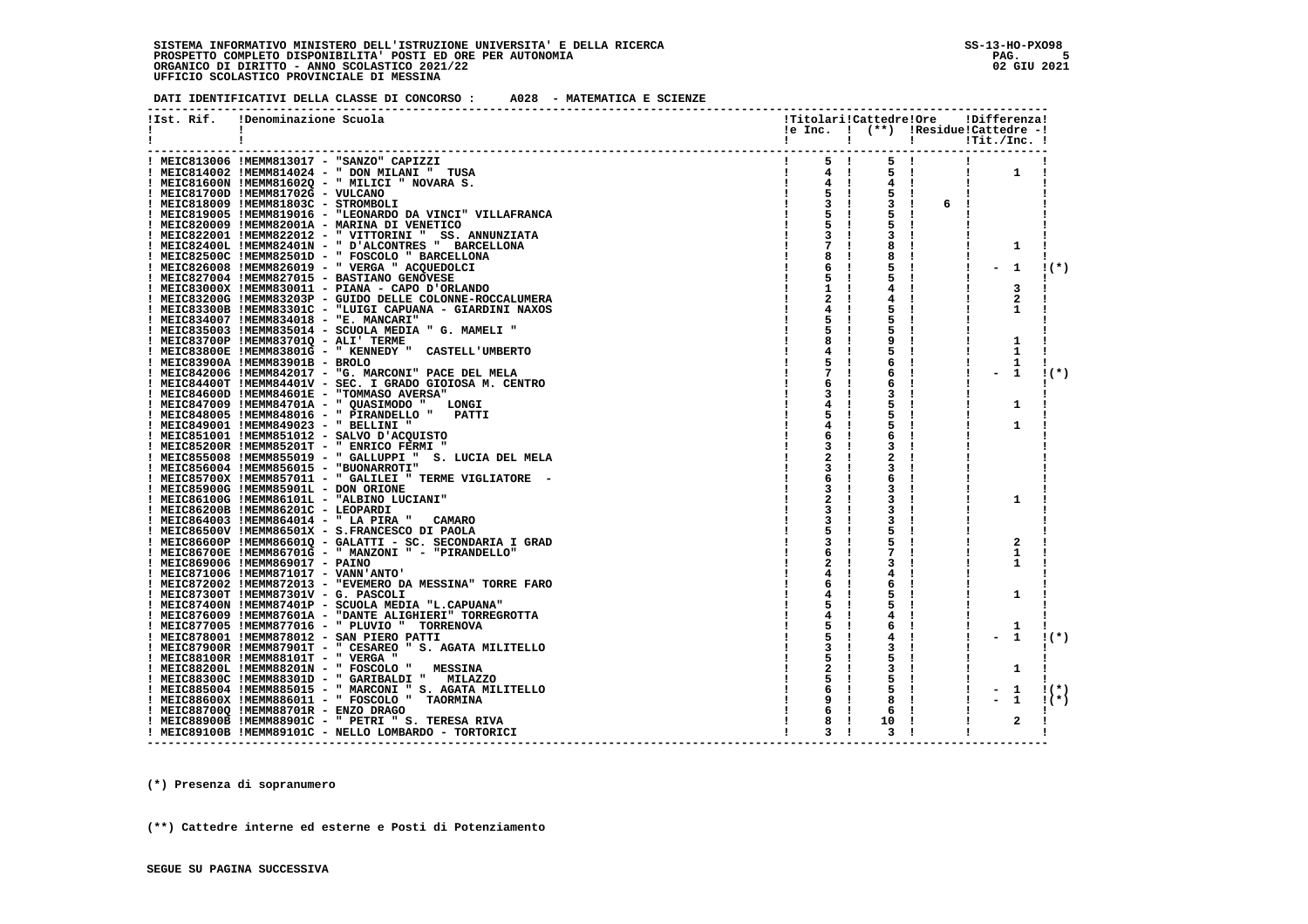**DATI IDENTIFICATIVI DELLA CLASSE DI CONCORSO : A028 - MATEMATICA E SCIENZE**

|    |            |                                                                                                               |                                                |                    |             | !Titolari!Cattedre!Ore !Differenza! |         |
|----|------------|---------------------------------------------------------------------------------------------------------------|------------------------------------------------|--------------------|-------------|-------------------------------------|---------|
| Ι. | !Ist. Rif. | !Denominazione Scuola                                                                                         |                                                |                    |             | !e Inc. ! (**) !Residue!Cattedre -! |         |
| Ι. |            |                                                                                                               | $\mathbf{I}$ and $\mathbf{I}$ and $\mathbf{I}$ |                    |             |                                     |         |
|    |            |                                                                                                               |                                                |                    |             |                                     |         |
|    |            | ! MEIC813006 !MEMM813017 - "SANZO" CAPIZZI                                                                    | $\frac{1}{5}$ $\frac{1}{1}$                    | 5 !                |             | $\mathbf{I}$                        |         |
|    |            | ! MEIC814002 !MEMM814024 - " DON MILANI " TUSA                                                                | $\frac{1}{2}$ 4 1                              |                    | $5 \quad 1$ | $\mathbf{1}$<br>$\mathbf{I}$        |         |
|    |            | ! MEIC81600N !MEMM81602Q - " MILICI " NOVARA S.                                                               | $4 \quad 1$                                    | $4 \quad 1$        |             | $\mathbf{I}$                        |         |
|    |            | ! MEIC81700D !MEMM81702G - VULCANO                                                                            | $5 \quad 1$                                    |                    |             |                                     |         |
|    |            | ! MEIC818009 !MEMM81803C - STROMBOLI                                                                          | $3 \cdot 1$                                    |                    | 3! 6!       |                                     |         |
|    |            | ! MEIC819005 !MEMM819016 - "LEONARDO DA VINCI" VILLAFRANCA                                                    | 5 !                                            |                    | - 1         |                                     |         |
|    |            | ! MEIC820009 !MEMM82001A - MARINA DI VENETICO                                                                 | 5                                              | 5!                 |             | л.                                  |         |
|    |            | ! MEIC822001 !MEMM822012 - " VITTORINI " SS. ANNUNZIATA                                                       | 3 <sub>1</sub>                                 | 3!                 |             |                                     |         |
|    |            | ! MEIC82400L !MEMM82401N - " D'ALCONTRES " BARCELLONA                                                         | 7 !                                            | 8                  |             | 1                                   |         |
|    |            | ! MEIC82500C !MEMM82501D - " FOSCOLO " BARCELLONA                                                             | 8<br>$\mathbf{I}$                              | 8                  |             |                                     |         |
|    |            | ! MEIC826008 !MEMM826019 - " VERGA " ACQUEDOLCI                                                               | 6<br>$\mathbf{I}$                              | 5.                 |             | $-1$<br>-1                          | $1(*)$  |
|    |            | ! MEIC827004 !MEMM827015 - BASTIANO GENOVESE                                                                  | 5                                              | 5!                 |             |                                     |         |
|    |            | ! MEIC83000X !MEMM830011 - PIANA - CAPO D'ORLANDO                                                             | 1                                              | 4!                 |             | 3                                   |         |
|    |            | ! MEIC83200G !MEMM83203P - GUIDO DELLE COLONNE-ROCCALUMERA                                                    | 2                                              | 4!                 |             | $\mathbf{2}$                        |         |
|    |            | ! MEIC83300B !MEMM83301C - "LUIGI CAPUANA - GIARDINI NAXOS                                                    | 4                                              | 5.                 |             | 1                                   |         |
|    |            | ! MEIC834007 !MEMM834018 - "E. MANCARI"                                                                       | 5                                              | 5.                 |             |                                     |         |
|    |            | ! MEIC835003 !MEMM835014 - SCUOLA MEDIA " G. MAMELI "                                                         | 5.                                             | 5.<br>$\mathbf{I}$ |             | -1                                  |         |
|    |            | ! MEIC83700P !MEMM83701Q - ALI' TERME                                                                         | 8                                              | 9                  |             | 1                                   |         |
|    |            | ! MEIC83800E !MEMM83801G - " KENNEDY " CASTELL'UMBERTO                                                        | 4                                              | 5.                 |             | 1<br>л.                             |         |
|    |            | ! MEIC83900A !MEMM83901B - BROLO                                                                              | 5                                              | 6                  |             | 1                                   |         |
|    |            | ! MEIC842006 !MEMM842017 - "G. MARCONI" PACE DEL MELA                                                         | 7                                              | 6                  |             | 1<br>$\blacksquare$                 | $1(*)$  |
|    |            | ! MEIC84400T !MEMM84401V - SEC. I GRADO GIOIOSA M. CENTRO                                                     | 6                                              | 6                  |             |                                     |         |
|    |            | ! MEIC84600D !MEMM84601E - "TOMMASO AVERSA"                                                                   | з                                              | 3                  |             |                                     |         |
|    |            | ! MEIC847009 !MEMM84701A - " QUASIMODO " LONGI                                                                | 4                                              | 5.                 |             | 1                                   |         |
|    |            | ! MEIC848005 !MEMM848016 - " PIRANDELLO " PATTI                                                               | 5                                              | 5.                 |             |                                     |         |
|    |            | ! MEIC849001 !MEMM849023 - " BELLINI "                                                                        | 4                                              | 5                  |             | 1                                   |         |
|    |            | I MEIC851001 IMEMM851012 - SALVO D'ACQUISTO                                                                   | 6                                              | 6                  |             |                                     |         |
|    |            | ! MEIC85200R !MEMM85201T - " ENRICO FERMI "                                                                   | 3                                              | 3                  |             |                                     |         |
|    |            | ! MEIC855008 !MEMM855019 - " GALLUPPI " S. LUCIA DEL MELA                                                     | 2                                              | 2                  |             |                                     |         |
|    |            | ! MEIC856004 !MEMM856015 - "BUONARROTI"                                                                       | 3                                              | 3                  |             |                                     |         |
|    |            | ! MEIC85700X !MEMM857011 - " GALILEI " TERME VIGLIATORE -                                                     | 6                                              | 6                  |             |                                     |         |
|    |            | ! MEIC85900G !MEMM85901L - DON ORIONE                                                                         | 3                                              | 3                  |             |                                     |         |
|    |            | ! MEIC86100G !MEMM86101L - "ALBINO LUCIANI"                                                                   |                                                | 3                  |             | 1                                   |         |
|    |            | ! MEIC86200B !MEMM86201C - LEOPARDI                                                                           |                                                | 3                  |             |                                     |         |
|    |            | ! MEIC864003 !MEMM864014 - " LA PIRA "<br><b>CAMARO</b>                                                       | 3                                              | 3<br>5             |             |                                     |         |
|    |            | ! MEIC86500V !MEMM86501X - S.FRANCESCO DI PAOLA<br>! MEIC86600P !MEMM86601Q - GALATTI - SC. SECONDARIA I GRAD | 3                                              | 5.                 |             | 2                                   |         |
|    |            | ! MEIC86700E !MEMM86701G - " MANZONI " - "PIRANDELLO"                                                         |                                                | 7                  |             | 1                                   |         |
|    |            | ! MEIC869006 !MEMM869017 - PAINO                                                                              |                                                | 3                  |             | 1                                   |         |
|    |            | ! MEIC871006 !MEMM871017 - VANN'ANTO'                                                                         | 4                                              | 4                  |             |                                     |         |
|    |            | ! MEIC872002 !MEMM872013 - "EVEMERO DA MESSINA" TORRE FARO                                                    | 6                                              | 6                  |             |                                     |         |
|    |            | ! MEIC87300T !MEMM87301V - G. PASCOLI                                                                         |                                                | 5                  |             | 1                                   |         |
|    |            | ! MEIC87400N !MEMM87401P - SCUOLA MEDIA "L.CAPUANA"                                                           |                                                | 5                  |             |                                     |         |
|    |            | ! MEIC876009 !MEMM87601A - "DANTE ALIGHIERI" TORREGROTTA                                                      | 4                                              | 4                  |             |                                     |         |
|    |            | ! MEIC877005 !MEMM877016 - " PLUVIO " TORRENOVA                                                               | 5                                              | 6                  |             | 1                                   |         |
|    |            | ! MEIC878001 !MEMM878012 - SAN PIERO PATTI                                                                    | 5                                              | 4                  |             | 1                                   | $1(*)$  |
|    |            | ! MEIC87900R !MEMM87901T - " CESAREO " S. AGATA MILITELLO                                                     | 3                                              | 3                  |             |                                     |         |
|    |            | ! MEIC88100R !MEMM88101T - " VERGA "                                                                          | 5                                              | 5                  |             |                                     |         |
|    |            | ! MEIC88200L !MEMM88201N - " FOSCOLO "<br><b>MESSINA</b>                                                      | 2                                              | 3                  |             | 1                                   |         |
|    |            | ! MEIC88300C !MEMM88301D - " GARIBALDI " MILAZZO                                                              | 5                                              | 5                  |             |                                     |         |
|    |            | ! MEIC885004 !MEMM885015 - " MARCONI " S. AGATA MILITELLO                                                     | 6<br>$\mathbf{I}$                              | 5                  |             | 1<br>$-$                            | $1(*)$  |
|    |            | ! MEIC88600X !MEMM886011 - " FOSCOLO " TAORMINA                                                               | 9                                              | 8                  |             | 1                                   | $1$ (*) |
|    |            | ! MEIC88700Q !MEMM88701R - ENZO DRAGO                                                                         | 6<br>- 1                                       | 6                  |             |                                     |         |
|    |            | ! MEIC88900B !MEMM88901C - " PETRI " S. TERESA RIVA                                                           | 8<br>- 1                                       | 10                 |             | $\mathbf{2}$                        |         |
|    |            | ! MEIC89100B !MEMM89101C - NELLO LOMBARDO - TORTORICI                                                         | 3<br>- 1                                       | 3<br>-1            |             | 1                                   |         |
|    |            |                                                                                                               |                                                |                    |             |                                     |         |

 **---------------------------------------------------------------------------------------------------------------------------------**

 **(\*) Presenza di sopranumero**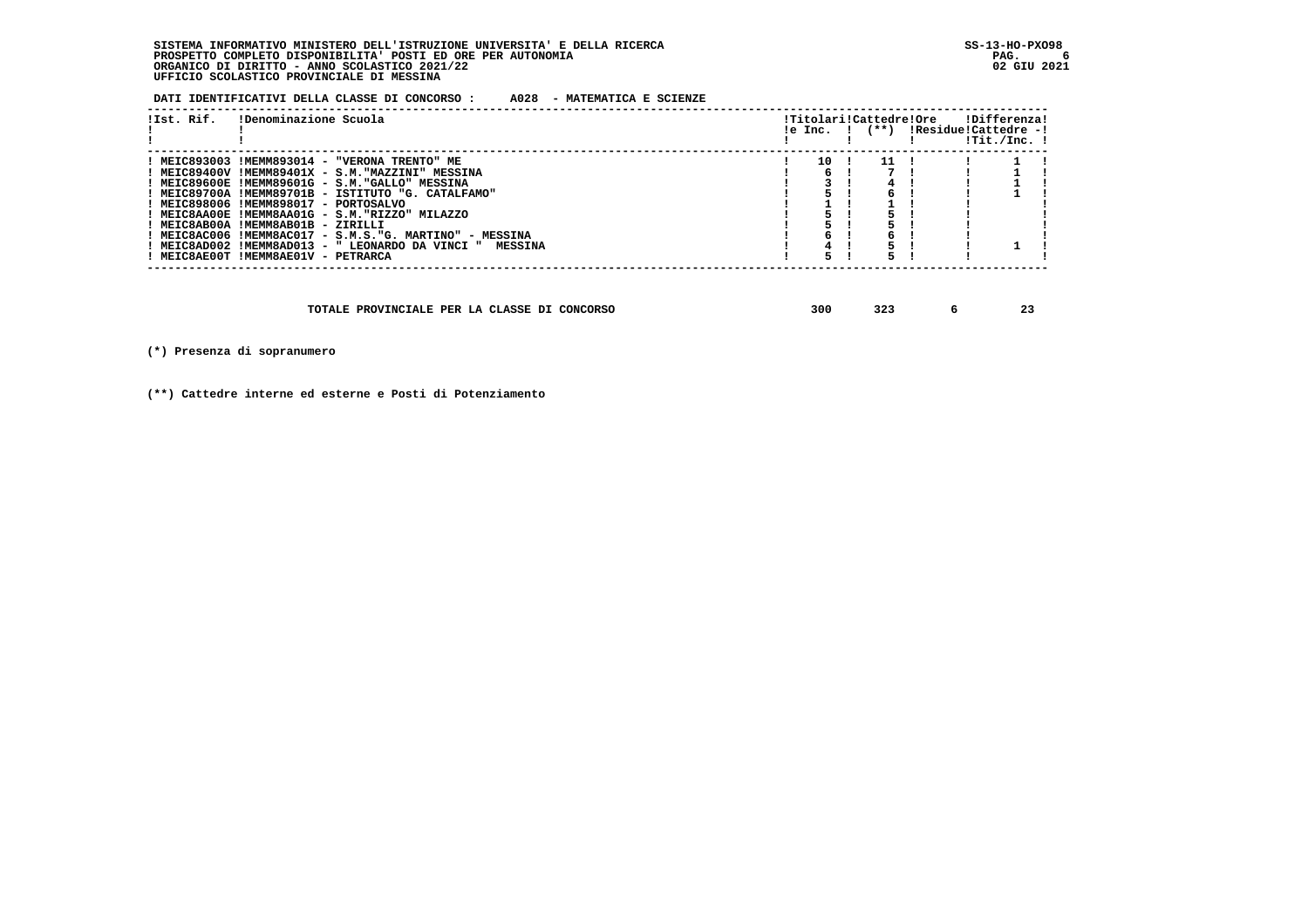**DATI IDENTIFICATIVI DELLA CLASSE DI CONCORSO : A028 - MATEMATICA E SCIENZE**

| !Ist. Rif. | !Denominazione Scuola                                    |    | $le Inc.$ $ $ $(**)$ | !Titolari!Cattedre!Ore<br>!Residue!Cattedre -! | !Differenza!<br>!Tit./Inc. ! |  |
|------------|----------------------------------------------------------|----|----------------------|------------------------------------------------|------------------------------|--|
|            | ! MEIC893003 !MEMM893014 - "VERONA TRENTO" ME            | 10 | 11                   |                                                |                              |  |
|            | ! MEIC89400V !MEMM89401X - S.M."MAZZINI" MESSINA         |    |                      |                                                |                              |  |
|            | ! MEIC89600E !MEMM89601G - S.M."GALLO" MESSINA           |    |                      |                                                |                              |  |
|            | ! MEIC89700A !MEMM89701B - ISTITUTO "G. CATALFAMO"       |    |                      |                                                |                              |  |
|            | ! MEIC898006 !MEMM898017 - PORTOSALVO                    |    |                      |                                                |                              |  |
|            | ! MEIC8AA00E !MEMM8AA01G - S.M."RIZZO" MILAZZO           |    |                      |                                                |                              |  |
|            | ! MEIC8AB00A !MEMM8AB01B - ZIRILLI                       |    |                      |                                                |                              |  |
|            | ! MEIC8AC006 !MEMM8AC017 - S.M.S."G. MARTINO" - MESSINA  |    |                      |                                                |                              |  |
|            | ! MEIC8AD002 !MEMM8AD013 - " LEONARDO DA VINCI " MESSINA |    |                      |                                                |                              |  |
|            | ! MEIC8AE00T !MEMM8AE01V - PETRARCA                      |    |                      |                                                |                              |  |
|            |                                                          |    |                      |                                                |                              |  |

| TOTALE PROVINCIALE PER LA CLASSE DI CONCORSO | 300 | 32. |  | -- |
|----------------------------------------------|-----|-----|--|----|
|----------------------------------------------|-----|-----|--|----|

 **(\*) Presenza di sopranumero**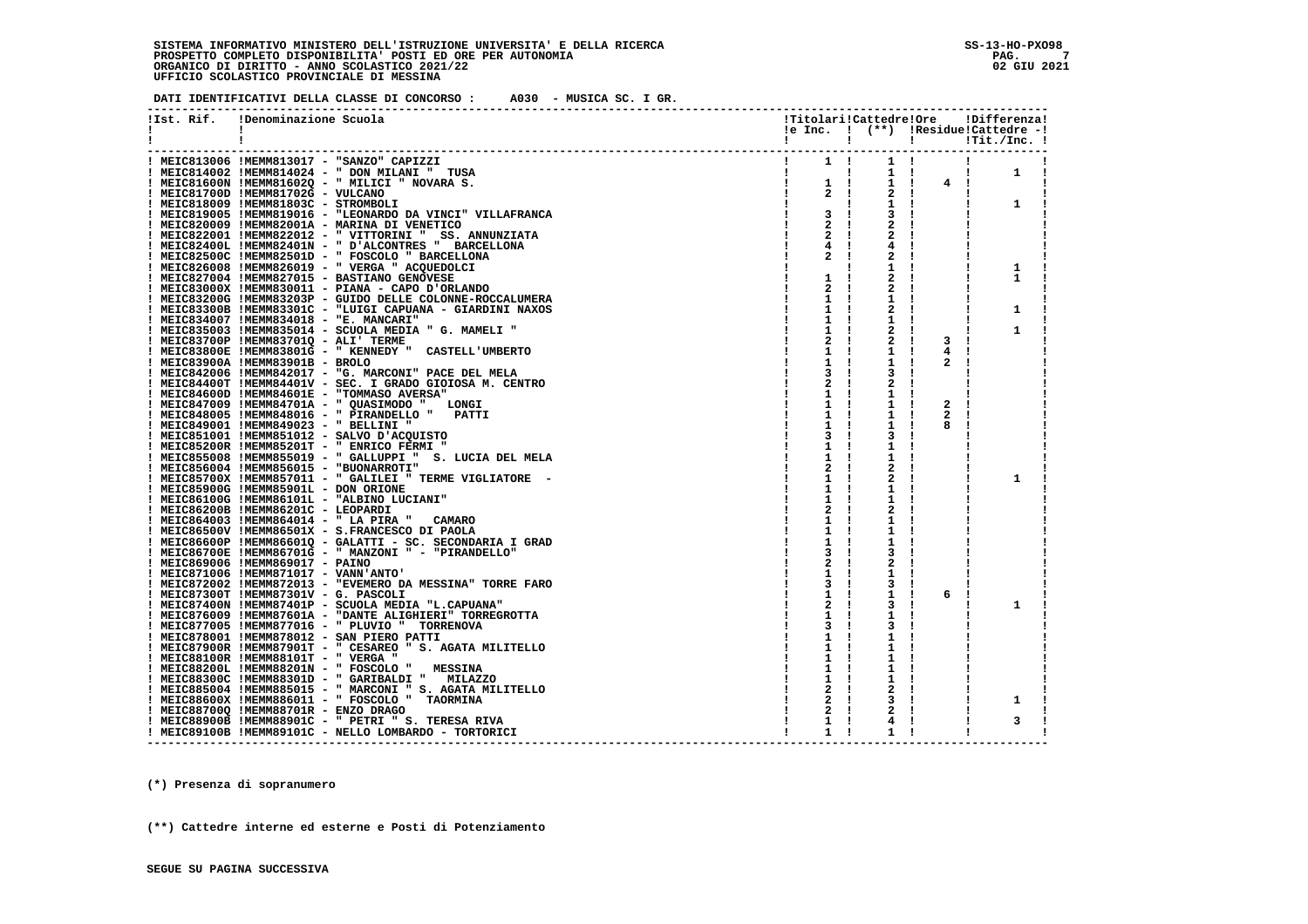**DATI IDENTIFICATIVI DELLA CLASSE DI CONCORSO : A030 - MUSICA SC. I GR.**

| !Ist. Rif. | !Denominazione Scuola                                                                                                                                          | !Titolari!Cattedre!Ore    |                                                               |              | !Differenza!                        |
|------------|----------------------------------------------------------------------------------------------------------------------------------------------------------------|---------------------------|---------------------------------------------------------------|--------------|-------------------------------------|
| Ι.         | $\mathbf{I}$                                                                                                                                                   |                           |                                                               |              | !e Inc. ! (**) !Residue!Cattedre -! |
|            | -1                                                                                                                                                             | $\mathbf{I}$              | $\mathbf{I}$ and $\mathbf{I}$                                 |              |                                     |
|            |                                                                                                                                                                |                           |                                                               |              |                                     |
|            | ! MEIC813006 !MEMM813017 - "SANZO" CAPIZZI                                                                                                                     |                           |                                                               |              |                                     |
|            | ! MEIC814002 !MEMM814024 - " DON MILANI " TUSA<br>$\frac{1}{4} \left( \frac{1}{2} \right) \left( \frac{1}{2} \right) = \frac{1}{4} \left( \frac{1}{2} \right)$ | and the first part of the | $1 \quad 1$                                                   |              | $\mathbf{1}$<br>Ι.                  |
|            | ! MEIC81600N !MEMM81602Q - " MILICI " NOVARA S.                                                                                                                |                           | $1 \quad 1$                                                   | 4!           |                                     |
|            | ! MEIC81700D !MEMM81702G - VULCANO                                                                                                                             | -1                        | $\begin{array}{cc} 1 & 1 \\ 2 & 1 \end{array}$<br>$2 \cdot 1$ |              |                                     |
|            | ! MEIC818009 !MEMM81803C - STROMBOLI                                                                                                                           |                           | $1 \quad 1$                                                   |              | 1                                   |
|            | ! MEIC819005 !MEMM819016 - "LEONARDO DA VINCI" VILLAFRANCA                                                                                                     | 3 I                       | 3                                                             |              |                                     |
|            | ! MEIC820009 !MEMM82001A - MARINA DI VENETICO                                                                                                                  | $2 \cdot 1$               | 2                                                             |              |                                     |
|            | ! MEIC822001 !MEMM822012 - " VITTORINI " SS. ANNUNZIATA                                                                                                        | $2 \cdot 1$               | 2                                                             |              |                                     |
|            | ! MEIC82400L !MEMM82401N - " D'ALCONTRES " BARCELLONA                                                                                                          | 4!                        | 4                                                             |              |                                     |
|            | ! MEIC82500C !MEMM82501D - " FOSCOLO " BARCELLONA                                                                                                              | 2!                        | 2                                                             |              |                                     |
|            | ! MEIC826008 !MEMM826019 - " VERGA " ACQUEDOLCI                                                                                                                |                           | 1                                                             |              | 1                                   |
|            | ! MEIC827004 !MEMM827015 - BASTIANO GENOVESE                                                                                                                   | $1 \quad 1$               | 2                                                             |              | 1                                   |
|            | ! MEIC83000X !MEMM830011 - PIANA - CAPO D'ORLANDO                                                                                                              | $\mathbf{2}$              | 2                                                             |              |                                     |
|            |                                                                                                                                                                |                           |                                                               |              |                                     |
|            | ! MEIC83200G !MEMM83203P - GUIDO DELLE COLONNE-ROCCALUMERA                                                                                                     | $1 \quad 1$               | ı                                                             |              |                                     |
|            | ! MEIC83300B !MEMM83301C - "LUIGI CAPUANA - GIARDINI NAXOS                                                                                                     | 1 !                       | 2                                                             |              | 1                                   |
|            | ! MEIC834007 !MEMM834018 - "E. MANCARI"                                                                                                                        | $1 \quad 1$               | 1                                                             |              |                                     |
|            | ! MEIC835003 !MEMM835014 - SCUOLA MEDIA " G. MAMELI "                                                                                                          |                           | 2                                                             |              | 1                                   |
|            | ! MEIC83700P !MEMM83701Q - ALI' TERME                                                                                                                          | 2 !                       |                                                               | 3            |                                     |
|            | ! MEIC83800E !MEMM83801G - " KENNEDY " CASTELL'UMBERTO                                                                                                         | 1 !                       | 1                                                             | 4            |                                     |
|            | ! MEIC83900A !MEMM83901B - BROLO                                                                                                                               | 1 !                       | 1                                                             | 2            |                                     |
|            | ! MEIC842006 !MEMM842017 - "G. MARCONI" PACE DEL MELA                                                                                                          | 3                         |                                                               |              |                                     |
|            | ! MEIC84400T !MEMM84401V - SEC. I GRADO GIOIOSA M. CENTRO                                                                                                      | 2!                        | 2                                                             |              |                                     |
|            | ! MEIC84600D !MEMM84601E - "TOMMASO AVERSA"                                                                                                                    | $1 \quad 1$               | 1                                                             |              |                                     |
|            | ! MEIC847009 !MEMM84701A - " QUASIMODO " LONGI                                                                                                                 | $1 \quad 1$               | 1                                                             | $\mathbf{2}$ |                                     |
|            | ! MEIC848005 !MEMM848016 - " PIRANDELLO " PATTI                                                                                                                | 1                         | 1                                                             | 2            |                                     |
|            | ! MEIC849001 !MEMM849023 - " BELLINI "                                                                                                                         | 1 !                       | 1                                                             | 8            |                                     |
|            | ! MEIC851001 !MEMM851012 - SALVO D'ACQUISTO                                                                                                                    | 3                         | 3                                                             |              |                                     |
|            | ! MEIC85200R !MEMM85201T - " ENRICO FERMI "                                                                                                                    | $1 \quad 1$               | 1                                                             |              |                                     |
|            | ! MEIC855008 !MEMM855019 - " GALLUPPI "<br>S. LUCIA DEL MELA                                                                                                   | 1                         | 1                                                             |              |                                     |
|            | ! MEIC856004 !MEMM856015 - "BUONARROTI"                                                                                                                        | 2                         | 2                                                             |              |                                     |
|            | ! MEIC85700X !MEMM857011 - " GALILEI " TERME VIGLIATORE -                                                                                                      | 1                         | 2                                                             |              | 1                                   |
|            | ! MEIC85900G !MEMM85901L - DON ORIONE                                                                                                                          | $1 \quad 1$               | 1                                                             |              |                                     |
|            | ! MEIC86100G !MEMM86101L - "ALBINO LUCIANI"                                                                                                                    | 1                         | 1                                                             |              |                                     |
|            | ! MEIC86200B !MEMM86201C - LEOPARDI                                                                                                                            | 2                         | 2                                                             |              |                                     |
|            | ! MEIC864003 !MEMM864014 - " LA PIRA "<br><b>CAMARO</b>                                                                                                        | 1                         | 1                                                             |              |                                     |
|            | ! MEIC86500V !MEMM86501X - S.FRANCESCO DI PAOLA                                                                                                                | $1 \quad 1$               | 1                                                             |              |                                     |
|            |                                                                                                                                                                |                           |                                                               |              |                                     |
|            | ! MEIC86600P !MEMM86601Q - GALATTI - SC. SECONDARIA I GRAD<br>! MEIC86700E !MEMM86701G - " MANZONI " - "PIRANDELLO"                                            | $\mathbf{1}$              | 1                                                             |              |                                     |
|            |                                                                                                                                                                |                           | 3                                                             |              |                                     |
|            | ! MEIC869006 !MEMM869017 - PAINO                                                                                                                               | 2                         | 2                                                             |              |                                     |
|            | ! MEIC871006 !MEMM871017 - VANN'ANTO'                                                                                                                          | $1 \quad 1$               | 1                                                             |              |                                     |
|            | ! MEIC872002 !MEMM872013 - "EVEMERO DA MESSINA" TORRE FARO                                                                                                     | 3<br>$\mathbf{I}$         | з                                                             | л.           |                                     |
|            | ! MEIC87300T !MEMM87301V - G. PASCOLI                                                                                                                          | $1 \quad 1$               | 1                                                             | 6            |                                     |
|            | ! MEIC87400N !MEMM87401P - SCUOLA MEDIA "L.CAPUANA"                                                                                                            | $2 \quad 1$               | 3                                                             |              | 1                                   |
|            | ! MEIC876009 !MEMM87601A - "DANTE ALIGHIERI" TORREGROTTA                                                                                                       | $1 \quad 1$               | 1                                                             |              |                                     |
|            | ! MEIC877005 !MEMM877016 - " PLUVIO " TORRENOVA                                                                                                                |                           |                                                               |              |                                     |
|            | ! MEIC878001 !MEMM878012 - SAN PIERO PATTI                                                                                                                     |                           | 1                                                             |              |                                     |
|            | ! MEIC87900R !MEMM87901T - " CESAREO " S. AGATA MILITELLO                                                                                                      | 1                         | 1                                                             |              |                                     |
|            | ! MEIC88100R !MEMM88101T - " VERGA "                                                                                                                           |                           | 1                                                             |              |                                     |
|            | ! MEIC88200L !MEMM88201N - " FOSCOLO "<br><b>MESSINA</b>                                                                                                       |                           |                                                               |              |                                     |
|            | ! MEIC88300C !MEMM88301D - " GARIBALDI " MILAZZO                                                                                                               |                           | ı                                                             |              |                                     |
|            | ! MEIC885004 !MEMM885015 - " MARCONI " S. AGATA MILITELLO                                                                                                      | $2 \quad 1$               |                                                               |              |                                     |
|            | ! MEIC88600X !MEMM886011 - " FOSCOLO " TAORMINA                                                                                                                | 2                         |                                                               |              | 1                                   |
|            | ! MEIC88700Q !MEMM88701R - ENZO DRAGO                                                                                                                          | 2                         | 2                                                             |              |                                     |
|            | ! MEIC88900B !MEMM88901C - " PETRI " S. TERESA RIVA                                                                                                            | 1                         | 4                                                             |              | з                                   |
|            | ! MEIC89100B !MEMM89101C - NELLO LOMBARDO - TORTORICI                                                                                                          | $1 \quad 1$               | 1                                                             |              |                                     |
|            |                                                                                                                                                                |                           |                                                               |              |                                     |

 **(\*) Presenza di sopranumero**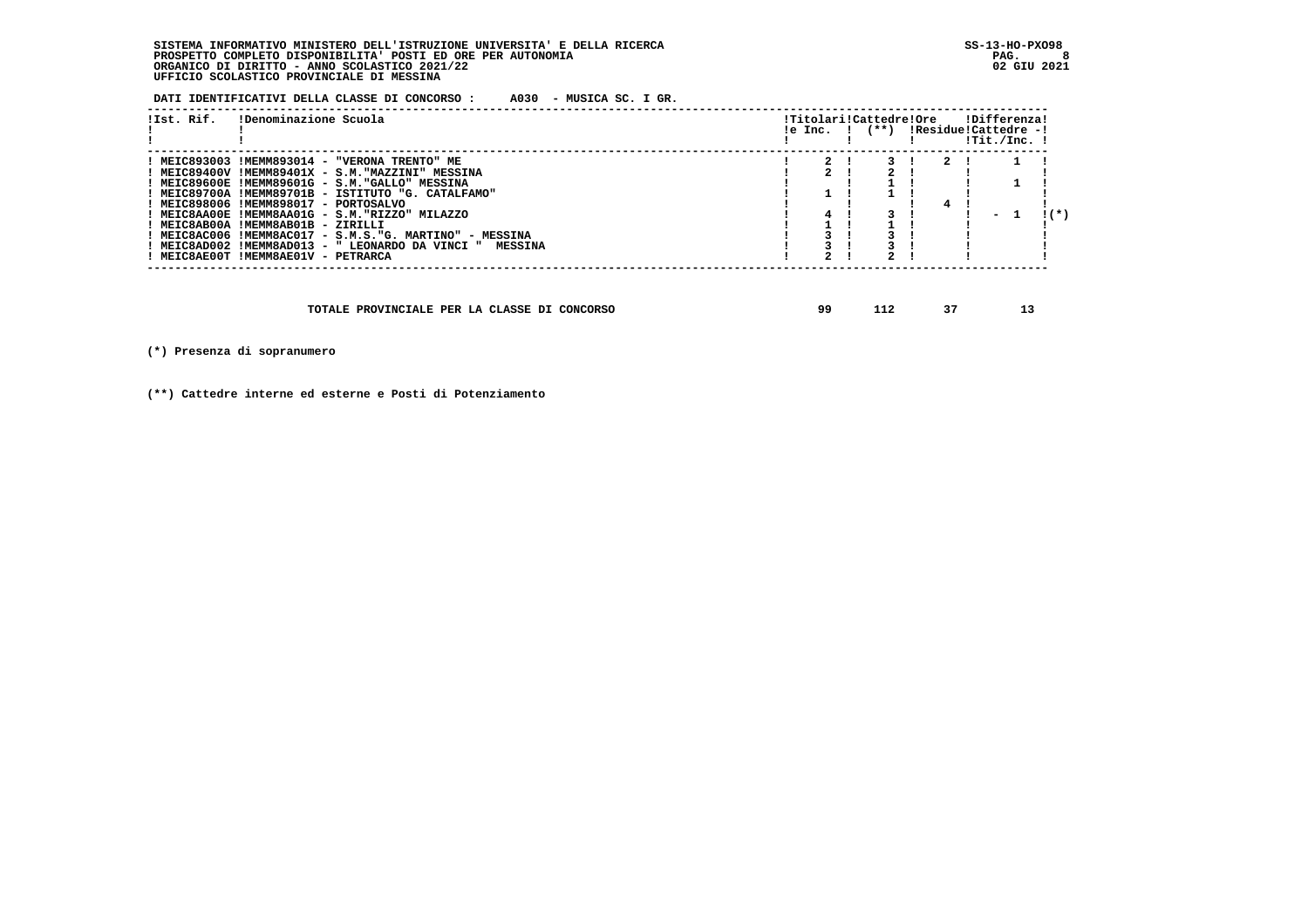**DATI IDENTIFICATIVI DELLA CLASSE DI CONCORSO : A030 - MUSICA SC. I GR.**

| !Ist. Rif. | !Denominazione Scuola                                    | le Inc. ! | !Titolari!Cattedre!Ore<br>(**) !Residue!Cattedre -! |  | !Differenza! | !Tit./Inc. ! |                 |
|------------|----------------------------------------------------------|-----------|-----------------------------------------------------|--|--------------|--------------|-----------------|
|            | ! MEIC893003 !MEMM893014 - "VERONA TRENTO" ME            |           |                                                     |  |              |              |                 |
|            | ! MEIC89400V !MEMM89401X - S.M."MAZZINI" MESSINA         |           |                                                     |  |              |              |                 |
|            | ! MEIC89600E !MEMM89601G - S.M."GALLO" MESSINA           |           |                                                     |  |              |              |                 |
|            | MEIC89700A !MEMM89701B - ISTITUTO "G. CATALFAMO"         |           |                                                     |  |              |              |                 |
|            | ! MEIC898006 !MEMM898017 - PORTOSALVO                    |           |                                                     |  |              |              |                 |
|            | MEIC8AA00E !MEMM8AA01G - S.M."RIZZO" MILAZZO             | 4         |                                                     |  |              | - 1          | $\mathbf{1}(k)$ |
|            | ! MEIC8AB00A !MEMM8AB01B - ZIRILLI                       |           |                                                     |  |              |              |                 |
|            | ! MEIC8AC006 !MEMM8AC017 - S.M.S."G. MARTINO" - MESSINA  |           |                                                     |  |              |              |                 |
|            | ! MEIC8AD002 !MEMM8AD013 - " LEONARDO DA VINCI " MESSINA |           |                                                     |  |              |              |                 |
|            | ! MEIC8AE00T !MEMM8AE01V - PETRARCA                      |           |                                                     |  |              |              |                 |
|            |                                                          |           |                                                     |  |              |              |                 |

 **TOTALE PROVINCIALE PER LA CLASSE DI CONCORSO 99 112 37 13**

 **(\*) Presenza di sopranumero**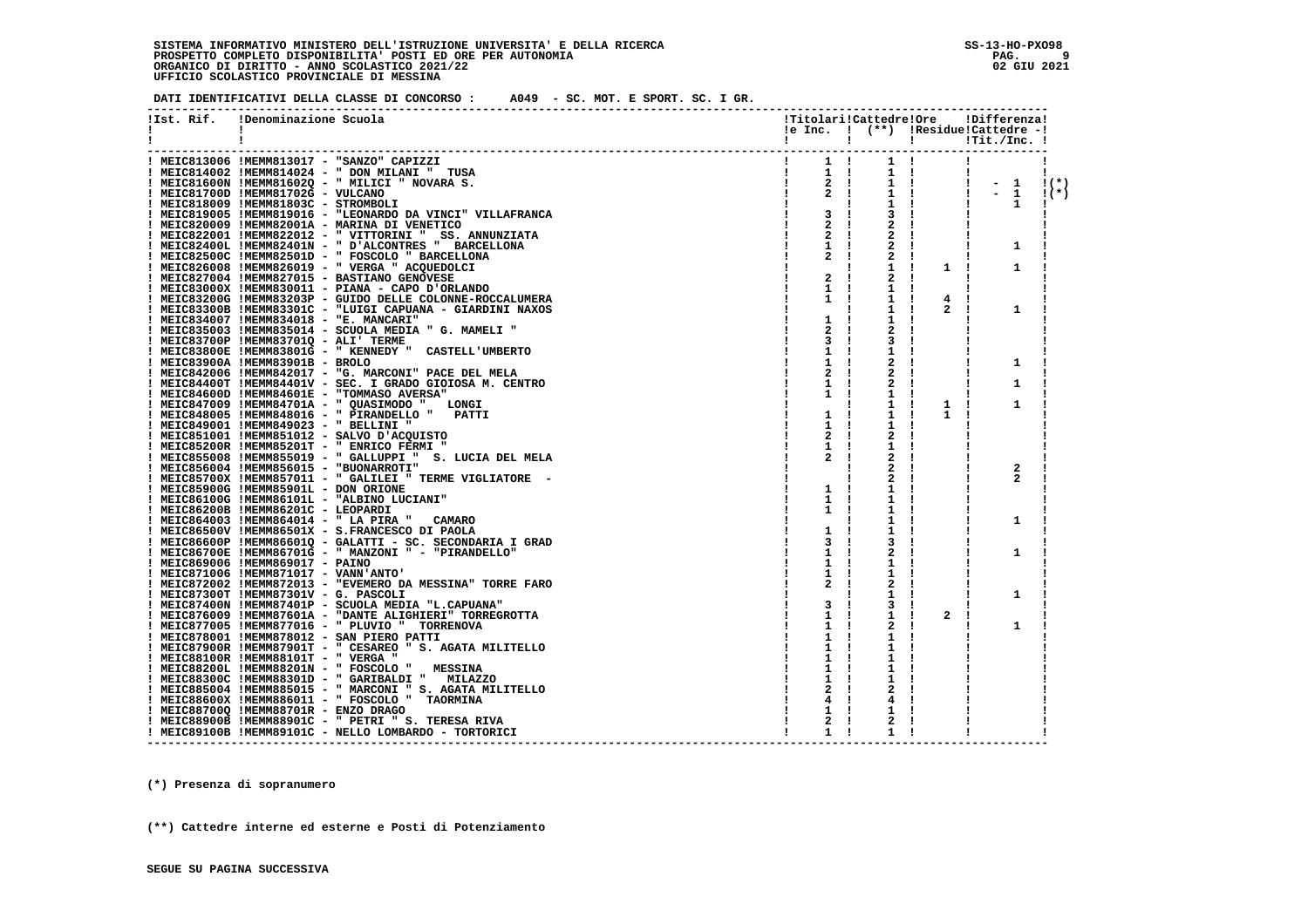**DATI IDENTIFICATIVI DELLA CLASSE DI CONCORSO : A049 - SC. MOT. E SPORT. SC. I GR.**

| !Ist. Rif. | !Denominazione Scuola                                                                                                                                                                                                                | !Titolari!Cattedre!Ore                                  |                     |                                                         | !Differenza!                                               |                 |
|------------|--------------------------------------------------------------------------------------------------------------------------------------------------------------------------------------------------------------------------------------|---------------------------------------------------------|---------------------|---------------------------------------------------------|------------------------------------------------------------|-----------------|
| Ι.         |                                                                                                                                                                                                                                      |                                                         |                     |                                                         | le Inc. ! (**) !Residue!Cattedre -!                        |                 |
|            |                                                                                                                                                                                                                                      |                                                         |                     |                                                         | $\qquad \qquad \text{I} \qquad \qquad \text{Irit./Inc. I}$ |                 |
|            | TRA<br>TRA<br>S. Contractor (1) The Contractor (1) The Contractor (1) The Contractor (1) The Contractor (1) The Contractor<br>Contractor (1) The Contractor (1) The Contractor (1) The Contractor (1) The Contractor (1) The Contrac |                                                         |                     |                                                         |                                                            |                 |
|            | ! MEIC813006 !MEMM813017 - "SANZO" CAPIZZI                                                                                                                                                                                           |                                                         |                     |                                                         |                                                            |                 |
|            | ! MEIC814002 !MEMM814024 - " DON MILANI " TUSA                                                                                                                                                                                       |                                                         |                     |                                                         |                                                            |                 |
|            | ! MEIC81600N !MEMM81602Q - " MILICI " NOVARA S.                                                                                                                                                                                      |                                                         |                     |                                                         | $! - 1$ $!(*)$                                             |                 |
|            | ! MEIC81700D !MEMM81702G - VULCANO                                                                                                                                                                                                   | $\begin{array}{ccc} 1 & 2 & 1 \\ 1 & 2 & 1 \end{array}$ |                     | $\begin{array}{cc} 1 & 1 \\ 1 & 1 \\ 1 & 1 \end{array}$ | $-1$                                                       | $\mathbf{1}(*)$ |
|            | ! MEIC818009 !MEMM81803C - STROMBOLI                                                                                                                                                                                                 |                                                         |                     |                                                         | 1                                                          |                 |
|            | ! MEIC819005 !MEMM819016 - "LEONARDO DA VINCI" VILLAFRANCA                                                                                                                                                                           | 3 <sub>1</sub>                                          | 3!                  |                                                         |                                                            |                 |
|            | ! MEIC820009 !MEMM82001A - MARINA DI VENETICO                                                                                                                                                                                        | $2 \cdot 1$                                             | 2!                  |                                                         |                                                            |                 |
|            | ! MEIC822001 !MEMM822012 - " VITTORINI " SS. ANNUNZIATA                                                                                                                                                                              | $\mathbf{2}$                                            | $\mathbf{2}$<br>- 1 |                                                         |                                                            |                 |
|            | ! MEIC82400L !MEMM82401N - " D'ALCONTRES " BARCELLONA                                                                                                                                                                                | $1 \quad 1$                                             | 2                   |                                                         | 1                                                          |                 |
|            | ! MEIC82500C !MEMM82501D - " FOSCOLO " BARCELLONA                                                                                                                                                                                    | 2                                                       | 2<br>- 1            |                                                         |                                                            |                 |
|            | ! MEIC826008 !MEMM826019 - " VERGA " ACQUEDOLCI                                                                                                                                                                                      |                                                         | 1<br>- 1            | 1 !                                                     | 1                                                          |                 |
|            | ! MEIC827004 !MEMM827015 - BASTIANO GENOVESE                                                                                                                                                                                         | 2<br>- 1                                                | 2                   |                                                         |                                                            |                 |
|            | ! MEIC83000X !MEMM830011 - PIANA - CAPO D'ORLANDO                                                                                                                                                                                    | $\mathbf{1}$                                            | 1                   |                                                         |                                                            |                 |
|            | ! MEIC83200G !MEMM83203P - GUIDO DELLE COLONNE-ROCCALUMERA                                                                                                                                                                           | 1<br>- 1                                                | 1<br>- 1            | 4<br>- 1                                                |                                                            |                 |
|            | ! MEIC83300B !MEMM83301C - "LUIGI CAPUANA - GIARDINI NAXOS                                                                                                                                                                           |                                                         | 1<br>- 1            | $\overline{2}$<br>- 1                                   | 1                                                          |                 |
|            | ! MEIC834007 !MEMM834018 - "E. MANCARI"                                                                                                                                                                                              | 1<br>$\mathbf{I}$                                       | 1<br>-1             |                                                         |                                                            |                 |
|            | ! MEIC835003 !MEMM835014 - SCUOLA MEDIA " G. MAMELI "                                                                                                                                                                                | 2                                                       | 2                   |                                                         |                                                            |                 |
|            | ! MEIC83700P !MEMM83701Q - ALI' TERME                                                                                                                                                                                                | 3<br>- 1                                                | 3<br>. .            |                                                         |                                                            |                 |
|            | ! MEIC83800E !MEMM83801G - " KENNEDY " CASTELL'UMBERTO                                                                                                                                                                               | 1                                                       | 1<br>- 1            |                                                         |                                                            |                 |
|            | ! MEIC83900A !MEMM83901B - BROLO                                                                                                                                                                                                     | 1                                                       | 2<br>$\mathbf{I}$   |                                                         | 1                                                          |                 |
|            | ! MEIC842006 !MEMM842017 - "G. MARCONI" PACE DEL MELA                                                                                                                                                                                | 2                                                       | $\mathbf{2}$        |                                                         |                                                            |                 |
|            | ! MEIC84400T !MEMM84401V - SEC. I GRADO GIOIOSA M. CENTRO                                                                                                                                                                            | 1                                                       | 2                   |                                                         | 1                                                          |                 |
|            | ! MEIC84600D !MEMM84601E - "TOMMASO AVERSA"                                                                                                                                                                                          | 1                                                       | 1                   |                                                         |                                                            |                 |
|            | ! MEIC847009 !MEMM84701A - " QUASIMODO " LONGI                                                                                                                                                                                       |                                                         | ı.                  | 1<br>$\mathbf{I}$                                       | 1                                                          |                 |
|            | ! MEIC848005 !MEMM848016 - " PIRANDELLO "<br><b>PATTI</b>                                                                                                                                                                            | 1<br>-1                                                 | 1                   | 1                                                       |                                                            |                 |
|            | ! MEIC849001 !MEMM849023 - " BELLINI "                                                                                                                                                                                               | 1                                                       | 1                   |                                                         |                                                            |                 |
|            | ! MEIC851001 !MEMM851012 - SALVO D'ACQUISTO                                                                                                                                                                                          | 2                                                       | 2                   |                                                         |                                                            |                 |
|            | ! MEIC85200R !MEMM85201T - " ENRICO FERMI "                                                                                                                                                                                          | 1                                                       | 1                   |                                                         |                                                            |                 |
|            | ! MEIC855008 !MEMM855019 - " GALLUPPI " S. LUCIA DEL MELA                                                                                                                                                                            |                                                         | 2                   |                                                         |                                                            |                 |
|            | ! MEIC856004 !MEMM856015 - "BUONARROTI"                                                                                                                                                                                              |                                                         | 2                   |                                                         | 2                                                          |                 |
|            | ! MEIC85700X !MEMM857011 - " GALILEI " TERME VIGLIATORE -                                                                                                                                                                            |                                                         | 2                   |                                                         |                                                            |                 |
|            | ! MEIC85900G !MEMM85901L - DON ORIONE                                                                                                                                                                                                | $1 \quad 1$                                             | 1                   |                                                         |                                                            |                 |
|            | ! MEIC86100G !MEMM86101L - "ALBINO LUCIANI"                                                                                                                                                                                          | $\mathbf{1}$                                            | 1                   |                                                         |                                                            |                 |
|            | ! MEIC86200B !MEMM86201C - LEOPARDI                                                                                                                                                                                                  | $\mathbf{1}$                                            | 1                   |                                                         |                                                            |                 |
|            | ! MEIC864003 !MEMM864014 - " LA PIRA " CAMARO                                                                                                                                                                                        |                                                         | 1                   |                                                         | 1                                                          |                 |
|            | ! MEIC86500V !MEMM86501X - S.FRANCESCO DI PAOLA                                                                                                                                                                                      | 1                                                       | 1                   |                                                         |                                                            |                 |
|            | ! MEIC86600P !MEMM86601Q - GALATTI - SC. SECONDARIA I GRAD                                                                                                                                                                           | 3                                                       | 3<br>$\mathbf{I}$   |                                                         |                                                            |                 |
|            | ! MEIC86700E !MEMM86701G - " MANZONI " - "PIRANDELLO"                                                                                                                                                                                | 1                                                       | 2                   |                                                         | 1                                                          |                 |
|            | ! MEIC869006 !MEMM869017 - PAINO                                                                                                                                                                                                     | 1                                                       | 1<br>-1             |                                                         |                                                            |                 |
|            | ! MEIC871006 !MEMM871017 - VANN'ANTO'                                                                                                                                                                                                | 1                                                       | 1<br>-1             |                                                         |                                                            |                 |
|            | ! MEIC872002 !MEMM872013 - "EVEMERO DA MESSINA" TORRE FARO                                                                                                                                                                           | 2                                                       | 2<br>$\mathbf{I}$   |                                                         |                                                            |                 |
|            | ! MEIC87300T !MEMM87301V - G. PASCOLI                                                                                                                                                                                                |                                                         | 1<br>$\mathbf{I}$   |                                                         | 1                                                          |                 |
|            | ! MEIC87400N !MEMM87401P - SCUOLA MEDIA "L.CAPUANA"                                                                                                                                                                                  | 3                                                       | 3<br>$\mathbf{I}$   |                                                         |                                                            |                 |
|            | ! MEIC876009 !MEMM87601A - "DANTE ALIGHIERI" TORREGROTTA                                                                                                                                                                             | 1                                                       | 1<br>- 1            | 2<br>- 1                                                |                                                            |                 |
|            | ! MEIC877005 !MEMM877016 - " PLUVIO " TORRENOVA                                                                                                                                                                                      | 1                                                       | 2                   |                                                         | 1                                                          |                 |
|            | ! MEIC878001 !MEMM878012 - SAN PIERO PATTI                                                                                                                                                                                           | 1                                                       | 1                   |                                                         |                                                            |                 |
|            | ! MEIC87900R !MEMM87901T - " CESAREO " S. AGATA MILITELLO                                                                                                                                                                            | 1                                                       | 1<br>$\mathbf{I}$   |                                                         |                                                            |                 |
|            | ! MEIC88100R !MEMM88101T - " VERGA "                                                                                                                                                                                                 | 1                                                       | 1                   |                                                         |                                                            |                 |
|            | ! MEIC88200L !MEMM88201N - " FOSCOLO "<br><b>MESSINA</b>                                                                                                                                                                             | 1                                                       | 1                   |                                                         |                                                            |                 |
|            | ! MEIC88300C !MEMM88301D - " GARIBALDI " MILAZZO                                                                                                                                                                                     | 1                                                       | 1                   |                                                         |                                                            |                 |
|            | ! MEIC885004 !MEMM885015 - " MARCONI " S. AGATA MILITELLO                                                                                                                                                                            | 2                                                       |                     |                                                         |                                                            |                 |
|            | ! MEIC88600X !MEMM886011 - " FOSCOLO " TAORMINA                                                                                                                                                                                      |                                                         | 4                   |                                                         |                                                            |                 |
|            | ! MEIC88700Q !MEMM88701R - ENZO DRAGO                                                                                                                                                                                                | ı                                                       | 1                   |                                                         |                                                            |                 |
|            | ! MEIC88900B !MEMM88901C - " PETRI " S. TERESA RIVA                                                                                                                                                                                  | 2                                                       | 2                   |                                                         |                                                            |                 |
|            | ! MEIC89100B !MEMM89101C - NELLO LOMBARDO - TORTORICI                                                                                                                                                                                | $\mathbf{1}$                                            | 1<br>-1             |                                                         |                                                            |                 |
|            |                                                                                                                                                                                                                                      |                                                         |                     |                                                         |                                                            |                 |

 **(\*) Presenza di sopranumero**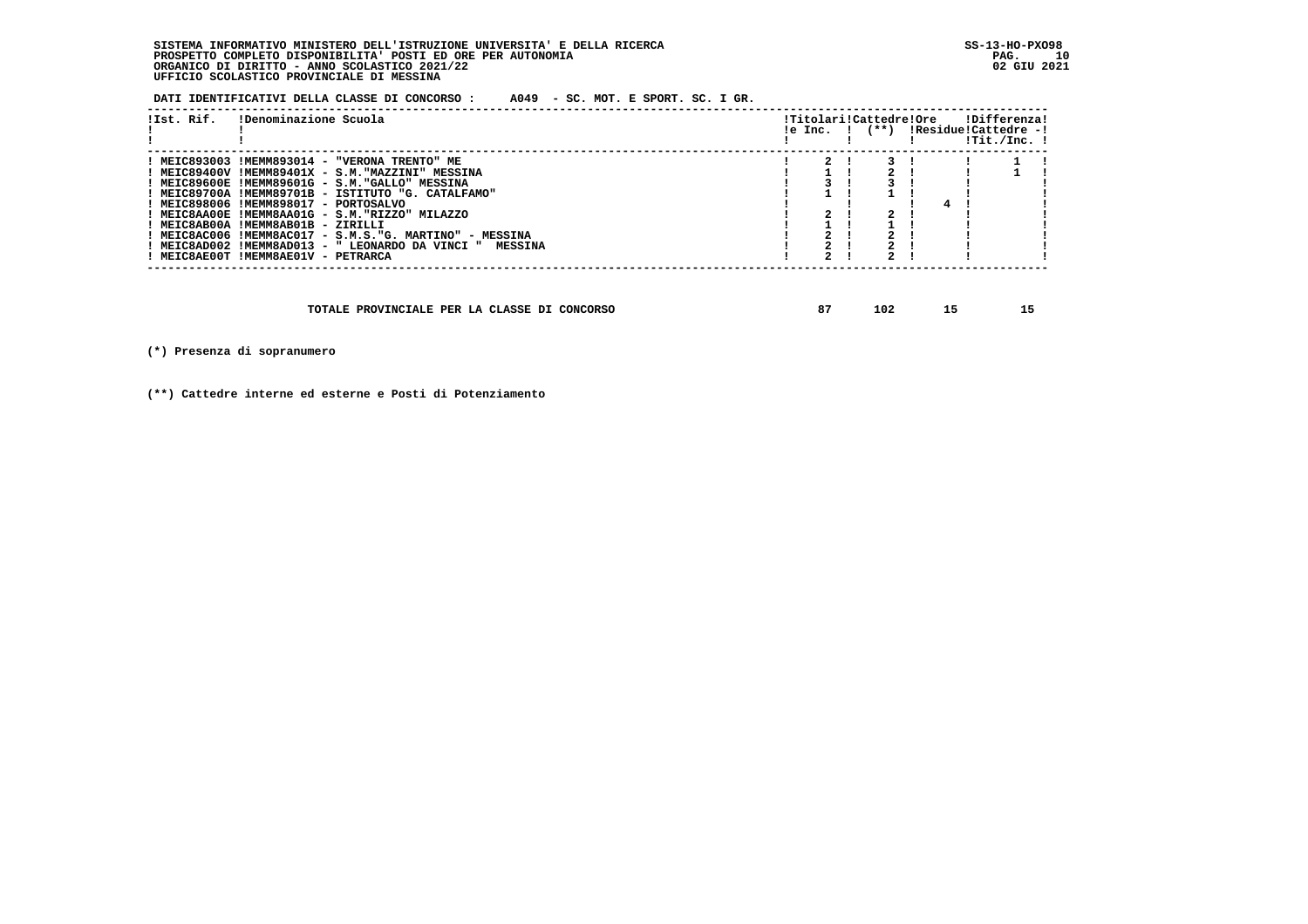**DATI IDENTIFICATIVI DELLA CLASSE DI CONCORSO : A049 - SC. MOT. E SPORT. SC. I GR.**

| !Ist. Rif. | !Denominazione Scuola                                    |  | !Titolari!Cattedre!Ore<br>$le Inc.$ $ $ $(**)$ |  | !Differenza!<br>!Residue!Cattedre -!<br>!Tit./Inc. ! |
|------------|----------------------------------------------------------|--|------------------------------------------------|--|------------------------------------------------------|
|            | ! MEIC893003 !MEMM893014 - "VERONA TRENTO" ME            |  |                                                |  |                                                      |
|            | ! MEIC89400V !MEMM89401X - S.M."MAZZINI" MESSINA         |  |                                                |  |                                                      |
|            | ! MEIC89600E !MEMM89601G - S.M."GALLO" MESSINA           |  |                                                |  |                                                      |
|            | ! MEIC89700A !MEMM89701B - ISTITUTO "G. CATALFAMO"       |  |                                                |  |                                                      |
|            | ! MEIC898006 !MEMM898017 - PORTOSALVO                    |  |                                                |  |                                                      |
|            | ! MEIC8AA00E !MEMM8AA01G - S.M."RIZZO" MILAZZO           |  |                                                |  |                                                      |
|            | ! MEIC8AB00A !MEMM8AB01B - ZIRILLI                       |  |                                                |  |                                                      |
|            | ! MEIC8AC006 !MEMM8AC017 - S.M.S."G. MARTINO" - MESSINA  |  |                                                |  |                                                      |
|            | ! MEIC8AD002 !MEMM8AD013 - " LEONARDO DA VINCI " MESSINA |  |                                                |  |                                                      |
|            | ! MEIC8AE00T !MEMM8AE01V - PETRARCA                      |  |                                                |  |                                                      |
|            |                                                          |  |                                                |  |                                                      |

| TOTALE PROVINCIALE PER LA CLASSE DI CONCORSO | ິ | 102 |  |  |
|----------------------------------------------|---|-----|--|--|
|----------------------------------------------|---|-----|--|--|

 **(\*) Presenza di sopranumero**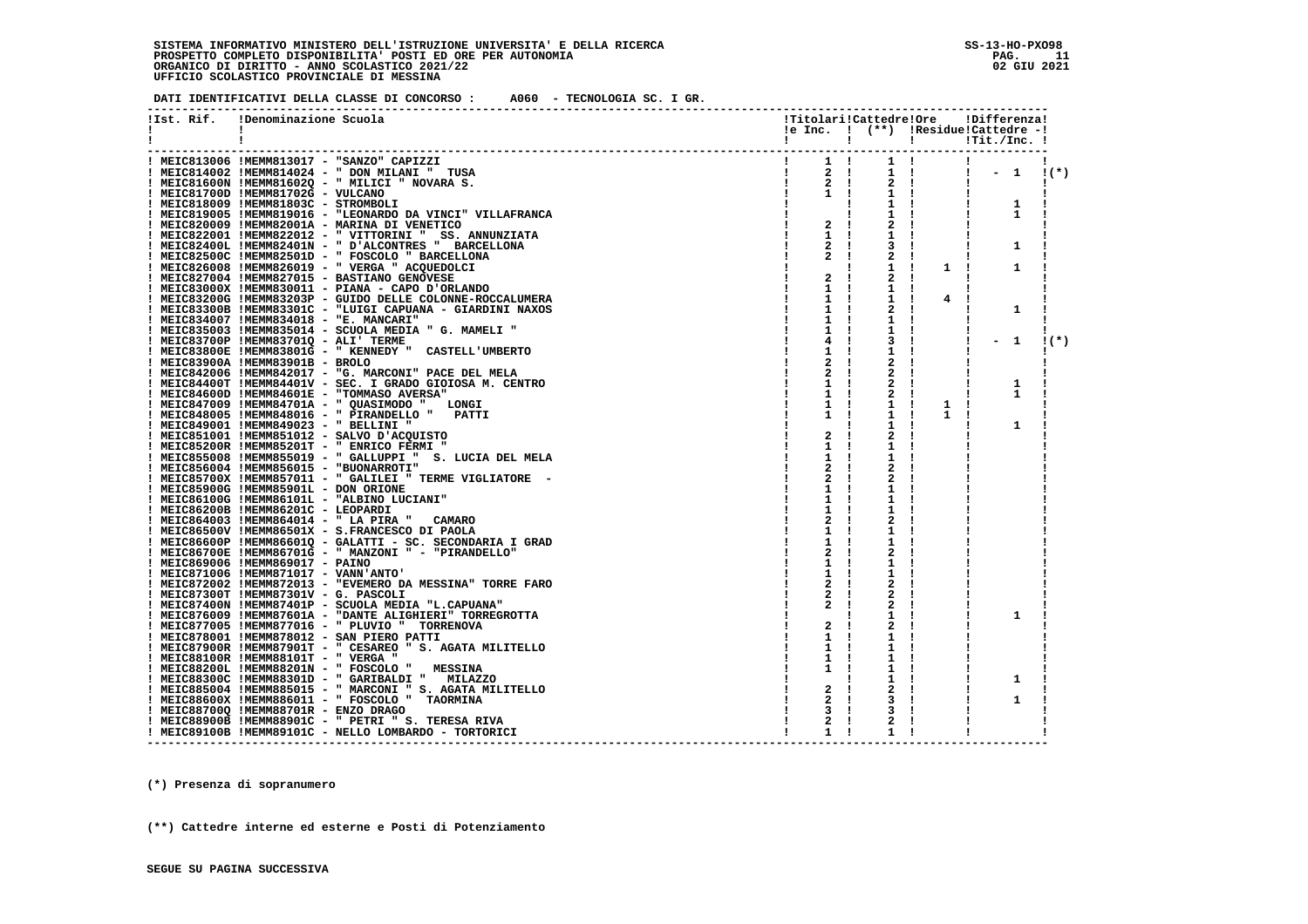**DATI IDENTIFICATIVI DELLA CLASSE DI CONCORSO : A060 - TECNOLOGIA SC. I GR.**

| !Ist. Rif.<br>$\mathbf{I}$ | !Denominazione Scuola                                                                                                             |                     |                           |                   | !Titolari!Cattedre!Ore !Differenza!<br>!e Inc. ! (**) !Residue!Cattedre -! |                                                              |
|----------------------------|-----------------------------------------------------------------------------------------------------------------------------------|---------------------|---------------------------|-------------------|----------------------------------------------------------------------------|--------------------------------------------------------------|
| 1                          |                                                                                                                                   |                     |                           |                   | ! ! ! ! ! ! Tit./Inc. !                                                    |                                                              |
|                            | $\begin{array}{cccccc} & 1 & & 1 & 1 \\ & & 2 & 1 & \\ & & 1 & & 2 & 1 \end{array}$<br>! MEIC813006 !MEMM813017 - "SANZO" CAPIZZI |                     |                           | $1 \quad 1$       | $\mathbf{1}$                                                               |                                                              |
|                            | ! MEIC814002 !MEMM814024 - " DON MILANI " TUSA                                                                                    |                     | $1 \quad 1 \quad$         |                   | $\frac{1}{2}$ $\frac{1}{2}$ $\frac{1}{2}$                                  | $\left( \begin{array}{c} \star \\ \star \end{array} \right)$ |
|                            | ! MEIC81600N !MEMM81602Q - " MILICI " NOVARA S.                                                                                   |                     | $2 \quad 1$               |                   |                                                                            |                                                              |
|                            | ! MEIC81700D !MEMM81702G - VULCANO                                                                                                | $1 \quad 1$         | 1 !                       |                   |                                                                            |                                                              |
|                            | ! MEIC818009 !MEMM81803C - STROMBOLI                                                                                              |                     | 1 !                       |                   | 1<br>л.                                                                    |                                                              |
|                            | ! MEIC819005 !MEMM819016 - "LEONARDO DA VINCI" VILLAFRANCA                                                                        | $\frac{1}{1}$       | 1 !<br>$\mathbf{I}$       |                   | 1                                                                          |                                                              |
|                            | ! MEIC820009 !MEMM82001A - MARINA DI VENETICO                                                                                     | $2 \quad 1$         | $2 \cdot 1$               |                   |                                                                            |                                                              |
|                            | ! MEIC822001 !MEMM822012 - " VITTORINI " SS. ANNUNZIATA                                                                           | $1 \quad 1$         | 1 !                       |                   |                                                                            |                                                              |
|                            | ! MEIC82400L !MEMM82401N - " D'ALCONTRES " BARCELLONA                                                                             | $2 \quad 1$         | 3 I                       |                   | 1                                                                          |                                                              |
|                            | ! MEIC82500C !MEMM82501D - " FOSCOLO " BARCELLONA                                                                                 | 2<br>$\mathbf{I}$   | 2<br>$\mathbf{I}$         |                   |                                                                            |                                                              |
|                            | ! MEIC826008 !MEMM826019 - " VERGA " ACQUEDOLCI                                                                                   |                     | $1 \cdot$<br>$\mathbf{I}$ | $1 \quad 1$       | 1                                                                          |                                                              |
|                            | ! MEIC827004 !MEMM827015 - BASTIANO GENOVESE                                                                                      | 2                   | 2<br>$\mathbf{I}$<br>-1   |                   |                                                                            |                                                              |
|                            | ! MEIC83000X !MEMM830011 - PIANA - CAPO D'ORLANDO                                                                                 | 1<br>-1             | 1<br>- 1                  |                   |                                                                            |                                                              |
|                            | ! MEIC83200G !MEMM83203P - GUIDO DELLE COLONNE-ROCCALUMERA                                                                        | 1<br>$\mathbf{I}$   | 1<br>- 1                  | 4<br>$\mathbf{I}$ |                                                                            |                                                              |
|                            | ! MEIC83300B !MEMM83301C - "LUIGI CAPUANA - GIARDINI NAXOS                                                                        | 1                   | 2                         |                   | 1                                                                          |                                                              |
|                            | ! MEIC834007 !MEMM834018 - "E. MANCARI"                                                                                           | 1                   | 1                         |                   |                                                                            |                                                              |
|                            | ! MEIC835003 !MEMM835014 - SCUOLA MEDIA " G. MAMELI "                                                                             | 1                   | 1                         |                   |                                                                            |                                                              |
|                            | ! MEIC83700P !MEMM83701Q - ALI' TERME                                                                                             | 4                   | 3                         |                   | $-1$                                                                       | $1(*)$                                                       |
|                            | ! MEIC83800E !MEMM83801G - " KENNEDY " CASTELL'UMBERTO                                                                            | 1                   | 1 !                       |                   |                                                                            |                                                              |
|                            | ! MEIC83900A !MEMM83901B - BROLO                                                                                                  | 2                   | 2                         |                   |                                                                            |                                                              |
|                            |                                                                                                                                   | $\mathbf{I}$        |                           |                   |                                                                            |                                                              |
|                            | ! MEIC842006 !MEMM842017 - "G. MARCONI" PACE DEL MELA                                                                             | 2<br>- 1            | 2                         |                   |                                                                            |                                                              |
|                            | ! MEIC84400T !MEMM84401V - SEC. I GRADO GIOIOSA M. CENTRO                                                                         | 1<br>- 1            | 2                         |                   | 1                                                                          |                                                              |
|                            | ! MEIC84600D !MEMM84601E - "TOMMASO AVERSA"                                                                                       | 1<br>- 1            | 2<br>$\mathbf{I}$         |                   |                                                                            |                                                              |
|                            | ! MEIC847009 !MEMM84701A - " QUASIMODO " LONGI                                                                                    | 1<br>- 1            | 1<br>$\mathbf{I}$         | 1<br>- 1          |                                                                            |                                                              |
|                            | ! MEIC848005 !MEMM848016 - " PIRANDELLO " PATTI                                                                                   | 1                   | $\mathbf{I}$<br>1         | 1                 | - 1                                                                        |                                                              |
|                            | ! MEIC849001 !MEMM849023 - " BELLINI "                                                                                            |                     | 1<br>- 1                  |                   | 1<br>Ι.                                                                    |                                                              |
|                            | ! MEIC851001 !MEMM851012 - SALVO D'ACQUISTO                                                                                       | 2<br>$\mathbf{I}$   | 2<br>- 1                  |                   |                                                                            |                                                              |
|                            | ! MEIC85200R !MEMM85201T - " ENRICO FERMI "                                                                                       | 1<br>$\mathbf{I}$   | 1                         |                   |                                                                            |                                                              |
|                            | ! MEIC855008 !MEMM855019 - " GALLUPPI " S. LUCIA DEL MELA                                                                         | 1                   | 1                         |                   |                                                                            |                                                              |
|                            | ! MEIC856004 !MEMM856015 - "BUONARROTI"                                                                                           | 2                   | 2                         |                   |                                                                            |                                                              |
|                            | ! MEIC85700X !MEMM857011 - " GALILEI " TERME VIGLIATORE -                                                                         | 2                   |                           |                   |                                                                            |                                                              |
|                            | ! MEIC85900G !MEMM85901L - DON ORIONE                                                                                             | 1                   | 1<br>-1                   | -1                |                                                                            |                                                              |
|                            | ! MEIC86100G !MEMM86101L - "ALBINO LUCIANI"                                                                                       | 1                   | 1                         |                   |                                                                            |                                                              |
|                            | ! MEIC86200B !MEMM86201C - LEOPARDI                                                                                               | 1                   | 1                         |                   |                                                                            |                                                              |
|                            | ! MEIC864003 !MEMM864014 - " LA PIRA " CAMARO                                                                                     | 2                   | 2                         |                   |                                                                            |                                                              |
|                            | ! MEIC86500V !MEMM86501X - S.FRANCESCO DI PAOLA                                                                                   | 1                   | 1                         |                   |                                                                            |                                                              |
|                            | ! MEIC86600P !MEMM86601Q - GALATTI - SC. SECONDARIA I GRAD                                                                        | 1                   | 1                         |                   |                                                                            |                                                              |
|                            | ! MEIC86700E !MEMM86701G - " MANZONI " - "PIRANDELLO"                                                                             | 2                   | 2                         |                   |                                                                            |                                                              |
|                            | ! MEIC869006 !MEMM869017 - PAINO                                                                                                  | 1                   | 1                         |                   |                                                                            |                                                              |
|                            |                                                                                                                                   |                     |                           |                   |                                                                            |                                                              |
|                            | ! MEIC871006 !MEMM871017 - VANN'ANTO'                                                                                             | 1                   | ı                         |                   |                                                                            |                                                              |
|                            | ! MEIC872002 !MEMM872013 - "EVEMERO DA MESSINA" TORRE FARO                                                                        | 2<br>- 1            | 2                         |                   |                                                                            |                                                              |
|                            | ! MEIC87300T !MEMM87301V - G. PASCOLI                                                                                             | 2<br>$\mathbf{I}$   | 2                         |                   |                                                                            |                                                              |
|                            | ! MEIC87400N !MEMM87401P - SCUOLA MEDIA "L.CAPUANA"                                                                               | $\mathbf{2}$        | 2                         |                   |                                                                            |                                                              |
|                            | ! MEIC876009 !MEMM87601A - "DANTE ALIGHIERI" TORREGROTTA                                                                          |                     | 1                         |                   | 1                                                                          |                                                              |
|                            | ! MEIC877005 !MEMM877016 - " PLUVIO " TORRENOVA                                                                                   | 2<br>$\mathbf{I}$   | 2                         |                   |                                                                            |                                                              |
|                            | ! MEIC878001 !MEMM878012 - SAN PIERO PATTI                                                                                        | 1                   | 1                         |                   |                                                                            |                                                              |
|                            | ! MEIC87900R !MEMM87901T - " CESAREO " S. AGATA MILITELLO                                                                         | 1<br>- 1            | 1                         | -1                |                                                                            |                                                              |
|                            | ! MEIC88100R !MEMM88101T - " VERGA "                                                                                              | 1<br>$\mathbf{I}$   | 1                         |                   |                                                                            |                                                              |
|                            | ! MEIC88200L !MEMM88201N - " FOSCOLO "<br><b>MESSINA</b>                                                                          | 1<br>- 1            | 1                         |                   |                                                                            |                                                              |
|                            | ! MEIC88300C !MEMM88301D - " GARIBALDI " MILAZZO                                                                                  |                     | 1                         |                   | 1                                                                          |                                                              |
|                            | ! MEIC885004 !MEMM885015 - " MARCONI " S. AGATA MILITELLO                                                                         | $2 \quad 1$         |                           |                   |                                                                            |                                                              |
|                            | ! MEIC88600X !MEMM886011 - " FOSCOLO " TAORMINA                                                                                   | $\mathbf{2}$        | 3                         |                   | 1                                                                          |                                                              |
|                            | ! MEIC88700Q !MEMM88701R - ENZO DRAGO                                                                                             | 3                   | 3                         |                   |                                                                            |                                                              |
|                            | ! MEIC88900B !MEMM88901C - " PETRI " S. TERESA RIVA                                                                               | 2                   | 2                         |                   |                                                                            |                                                              |
|                            | ! MEIC89100B !MEMM89101C - NELLO LOMBARDO - TORTORICI                                                                             | $\mathbf{1}$<br>- 1 | 1                         |                   |                                                                            |                                                              |
|                            |                                                                                                                                   |                     |                           |                   |                                                                            |                                                              |

 **(\*) Presenza di sopranumero**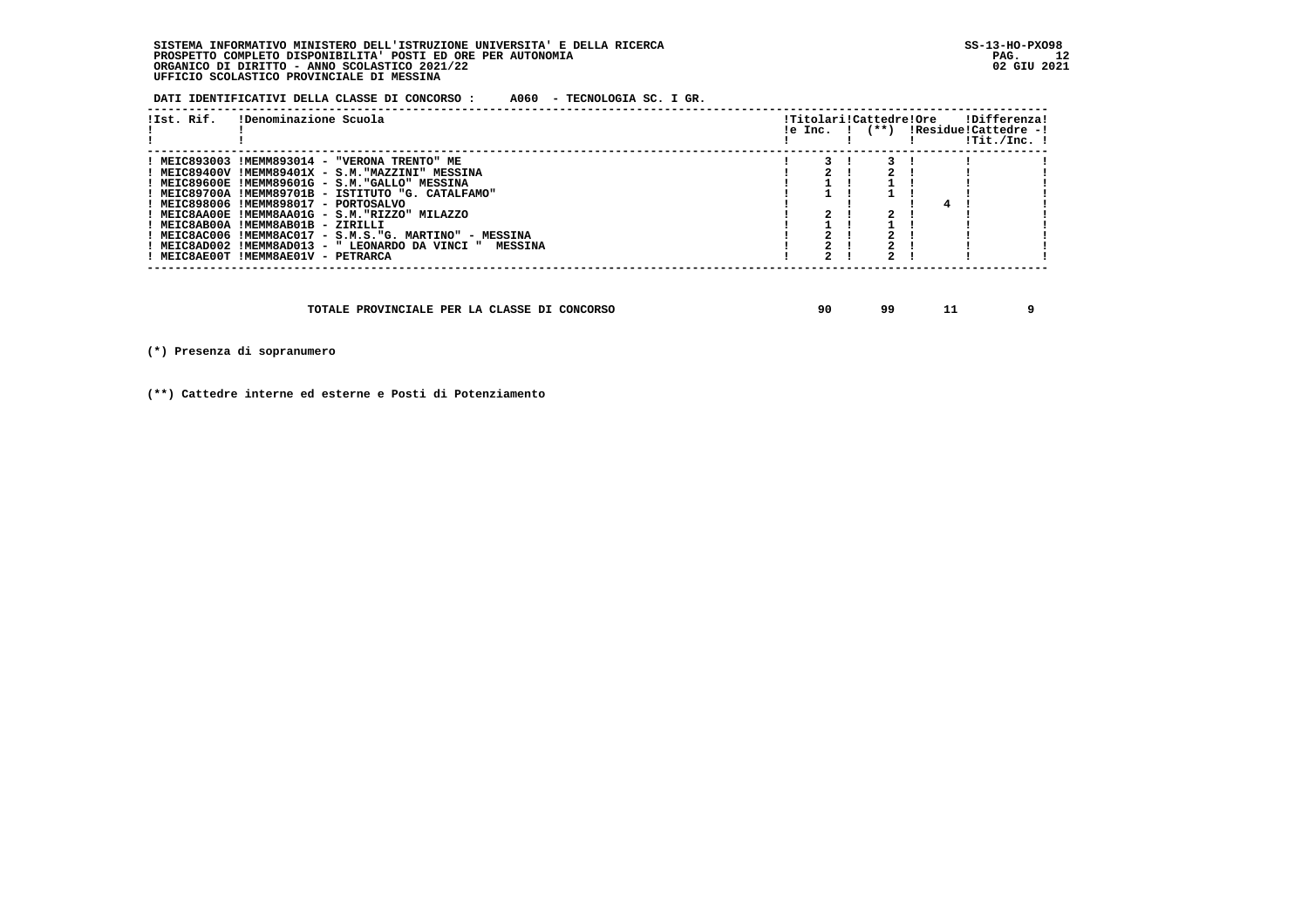**DATI IDENTIFICATIVI DELLA CLASSE DI CONCORSO : A060 - TECNOLOGIA SC. I GR.**

| !Ist. Rif. | !Denominazione Scuola                                    | le Inc. I | !Titolari!Cattedre!Ore<br>$(**)$ |  | !Differenza!<br>!Residue!Cattedre -!<br>!Tit./Inc. ! |  |
|------------|----------------------------------------------------------|-----------|----------------------------------|--|------------------------------------------------------|--|
|            | ! MEIC893003 !MEMM893014 - "VERONA TRENTO" ME            |           |                                  |  |                                                      |  |
|            | ! MEIC89400V !MEMM89401X - S.M."MAZZINI" MESSINA         |           |                                  |  |                                                      |  |
|            | ! MEIC89600E !MEMM89601G - S.M."GALLO" MESSINA           |           |                                  |  |                                                      |  |
|            | ! MEIC89700A !MEMM89701B - ISTITUTO "G. CATALFAMO"       |           |                                  |  |                                                      |  |
|            | ! MEIC898006 !MEMM898017 - PORTOSALVO                    |           |                                  |  |                                                      |  |
|            | ! MEIC8AA00E !MEMM8AA01G - S.M."RIZZO" MILAZZO           |           |                                  |  |                                                      |  |
|            | ! MEIC8AB00A !MEMM8AB01B - ZIRILLI                       |           |                                  |  |                                                      |  |
|            | ! MEIC8AC006 !MEMM8AC017 - S.M.S."G. MARTINO" - MESSINA  |           |                                  |  |                                                      |  |
|            | ! MEIC8AD002 !MEMM8AD013 - " LEONARDO DA VINCI " MESSINA |           |                                  |  |                                                      |  |
|            | ! MEIC8AE00T !MEMM8AE01V - PETRARCA                      |           |                                  |  |                                                      |  |
|            |                                                          |           |                                  |  |                                                      |  |

| TOTALE PROVINCIALE PER LA CLASSE DI CONCORSO | 90 | ۹q |  |  |
|----------------------------------------------|----|----|--|--|
|----------------------------------------------|----|----|--|--|

 **(\*) Presenza di sopranumero**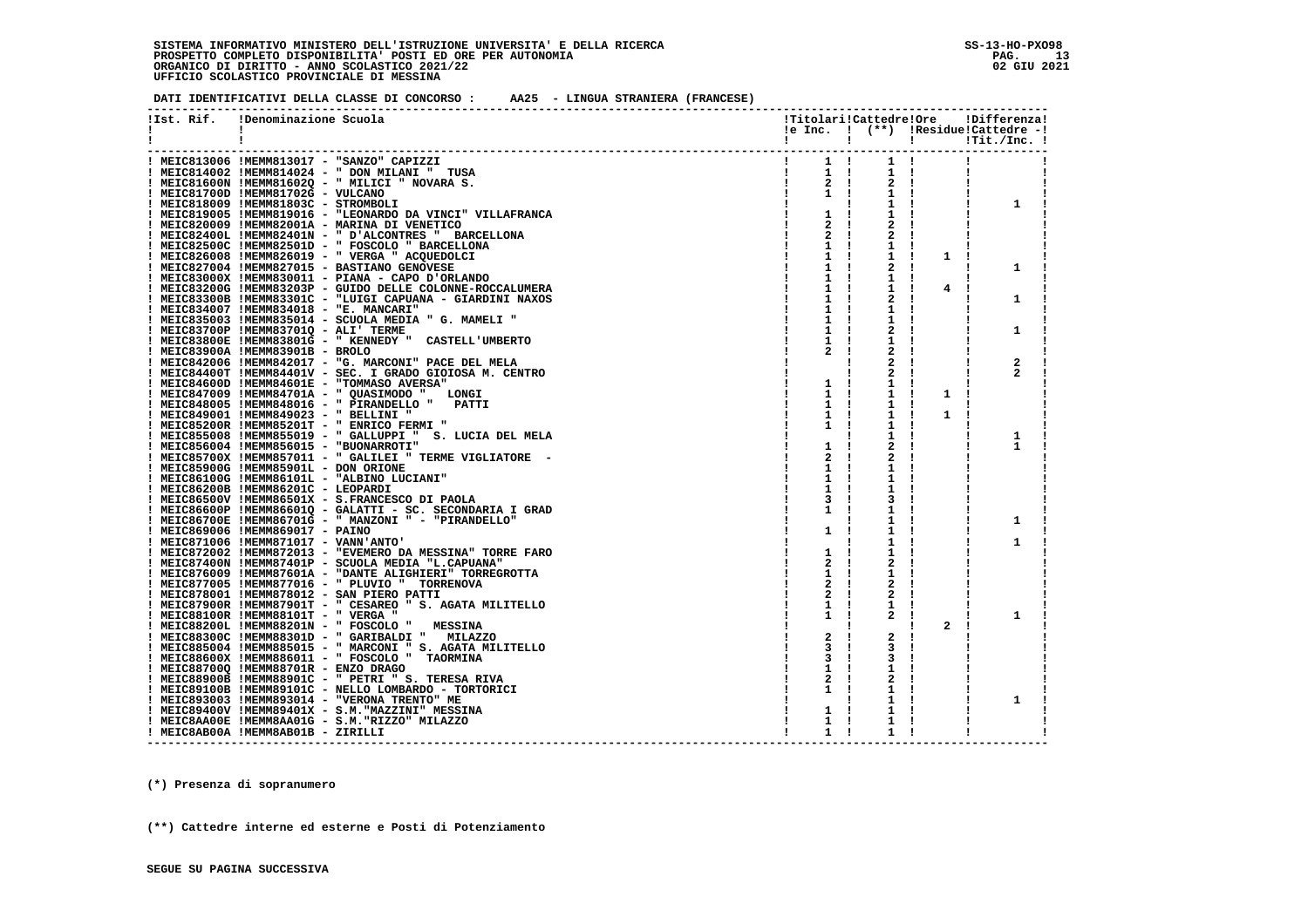**DATI IDENTIFICATIVI DELLA CLASSE DI CONCORSO : AA25 - LINGUA STRANIERA (FRANCESE)**

| !Ist. Rif. | !Denominazione Scuola                                                                |                             | !Titolari!Cattedre!Ore |                | !Differenza!                                                                                                                                                                                                                                                                                                                                                                      |
|------------|--------------------------------------------------------------------------------------|-----------------------------|------------------------|----------------|-----------------------------------------------------------------------------------------------------------------------------------------------------------------------------------------------------------------------------------------------------------------------------------------------------------------------------------------------------------------------------------|
| Ι.         | $\mathbf{I}$                                                                         |                             |                        |                | $le Inc.$ $!$ $(**)$ $:Residue!Cattedre -!$                                                                                                                                                                                                                                                                                                                                       |
|            | -1                                                                                   | $\mathbf{I}$                |                        |                | $!\hspace{2.5cm} \hspace{2.5cm}\text{I\hskip-1.2cm}\text{I\hskip-1.2cm}\text{I\hskip-1.2cm}\text{I\hskip-1.2cm}\text{I\hskip-1.2cm}\text{I\hskip-1.2cm}\text{I\hskip-1.2cm}\text{I\hskip-1.2cm}\text{I\hskip-1.2cm}\text{I\hskip-1.2cm}\text{I\hskip-1.2cm}\text{I\hskip-1.2cm}\text{I\hskip-1.2cm}\text{I\hskip-1.2cm}\text{I\hskip-1.2cm}\text{I\hskip-1.2cm}\text{I\hskip-1.2$ |
|            |                                                                                      |                             |                        |                |                                                                                                                                                                                                                                                                                                                                                                                   |
|            | ! MEIC813006 !MEMM813017 - "SANZO" CAPIZZI                                           |                             |                        |                |                                                                                                                                                                                                                                                                                                                                                                                   |
|            | ! MEIC814002 !MEMM814024 - " DON MILANI " TUSA                                       | $1 \quad 1$<br>$\mathbf{I}$ | $1 \quad 1$            |                |                                                                                                                                                                                                                                                                                                                                                                                   |
|            | ! MEIC81600N !MEMM81602Q - " MILICI " NOVARA S.                                      | $2 \cdot 1$<br>$\mathbf{I}$ | $2 \cdot 1$            |                |                                                                                                                                                                                                                                                                                                                                                                                   |
|            | ! MEIC81700D !MEMM81702G - VULCANO                                                   | $1 \quad 1$                 | $1 \quad 1$            |                |                                                                                                                                                                                                                                                                                                                                                                                   |
|            | ! MEIC818009 !MEMM81803C - STROMBOLI                                                 |                             | $1 \quad 1$            |                | 1                                                                                                                                                                                                                                                                                                                                                                                 |
|            | ! MEIC819005 !MEMM819016 - "LEONARDO DA VINCI" VILLAFRANCA                           | $1 \quad 1$                 | 1                      |                |                                                                                                                                                                                                                                                                                                                                                                                   |
|            | ! MEIC820009 !MEMM82001A - MARINA DI VENETICO                                        | $2 \cdot 1$                 | 2                      |                |                                                                                                                                                                                                                                                                                                                                                                                   |
|            | ! MEIC82400L !MEMM82401N - " D'ALCONTRES " BARCELLONA                                | $2 \cdot 1$                 | 2                      |                |                                                                                                                                                                                                                                                                                                                                                                                   |
|            | ! MEIC82500C !MEMM82501D - " FOSCOLO " BARCELLONA                                    | $1 \quad 1$                 | 1<br>$\mathbf{I}$      |                |                                                                                                                                                                                                                                                                                                                                                                                   |
|            | $!$ MEIC826008 $!$ MEMM826019 - " VERGA " ACOUEDOLCI                                 | $1 \quad 1$                 | 1<br>- 1               | $\mathbf{1}$   |                                                                                                                                                                                                                                                                                                                                                                                   |
|            | ! MEIC827004 !MEMM827015 - BASTIANO GENOVESE                                         | $1 \quad 1$                 | 2                      |                | 1                                                                                                                                                                                                                                                                                                                                                                                 |
|            | ! MEIC83000X !MEMM830011 - PIANA - CAPO D'ORLANDO                                    | $1 \quad 1$                 | 1<br>$\mathbf{I}$      |                |                                                                                                                                                                                                                                                                                                                                                                                   |
|            | ! MEIC83200G !MEMM83203P - GUIDO DELLE COLONNE-ROCCALUMERA                           |                             | 1                      | $\overline{4}$ |                                                                                                                                                                                                                                                                                                                                                                                   |
|            | ! MEIC83300B !MEMM83301C - "LUIGI CAPUANA - GIARDINI NAXOS                           | $1 \quad 1$                 | 2                      |                | 1                                                                                                                                                                                                                                                                                                                                                                                 |
|            | ! MEIC834007 !MEMM834018 - "E. MANCARI"                                              | $1 \quad 1$                 | 1                      |                |                                                                                                                                                                                                                                                                                                                                                                                   |
|            | ! MEIC835003 !MEMM835014 - SCUOLA MEDIA " G. MAMELI "                                | 1 !                         | 1                      |                |                                                                                                                                                                                                                                                                                                                                                                                   |
|            | ! MEIC83700P !MEMM83701Q - ALI' TERME                                                |                             | 2                      |                | 1                                                                                                                                                                                                                                                                                                                                                                                 |
|            | ! MEIC83800E !MEMM83801G - " KENNEDY " CASTELL'UMBERTO                               | 1 !                         | ı                      |                |                                                                                                                                                                                                                                                                                                                                                                                   |
|            | ! MEIC83900A !MEMM83901B - BROLO                                                     | 2!                          |                        |                |                                                                                                                                                                                                                                                                                                                                                                                   |
|            | ! MEIC842006 !MEMM842017 - "G. MARCONI" PACE DEL MELA                                |                             |                        |                | $\mathbf{2}$                                                                                                                                                                                                                                                                                                                                                                      |
|            | ! MEIC84400T !MEMM84401V - SEC. I GRADO GIOIOSA M. CENTRO                            |                             | 2                      |                | 2                                                                                                                                                                                                                                                                                                                                                                                 |
|            | ! MEIC84600D !MEMM84601E - "TOMMASO AVERSA"                                          | $1 \quad 1$                 | ı                      |                |                                                                                                                                                                                                                                                                                                                                                                                   |
|            | ! MEIC847009 !MEMM84701A - " QUASIMODO "<br>LONGI                                    | $1 \quad 1$                 | 1                      | 1              |                                                                                                                                                                                                                                                                                                                                                                                   |
|            | ! MEIC848005 !MEMM848016 - " PIRANDELLO "<br>PATTI                                   | 1 !                         | 1                      |                |                                                                                                                                                                                                                                                                                                                                                                                   |
|            | ! MEIC849001 !MEMM849023 - " BELLINI "                                               | 1                           | 1                      | 1              |                                                                                                                                                                                                                                                                                                                                                                                   |
|            | ! MEIC85200R !MEMM85201T - " ENRICO FERMI "                                          |                             |                        |                |                                                                                                                                                                                                                                                                                                                                                                                   |
|            | ! MEIC855008 !MEMM855019 - " GALLUPPI " S. LUCIA DEL MELA                            | 1                           | 1<br>1                 |                |                                                                                                                                                                                                                                                                                                                                                                                   |
|            |                                                                                      |                             |                        |                | 1<br>1                                                                                                                                                                                                                                                                                                                                                                            |
|            | ! MEIC856004 !MEMM856015 - "BUONARROTI"                                              | $1 \quad 1$                 | 2                      |                |                                                                                                                                                                                                                                                                                                                                                                                   |
|            | ! MEIC85700X !MEMM857011 - " GALILEI " TERME VIGLIATORE (-                           | 2                           | 2                      |                |                                                                                                                                                                                                                                                                                                                                                                                   |
|            | ! MEIC85900G !MEMM85901L - DON ORIONE<br>! MEIC86100G !MEMM86101L - "ALBINO LUCIANI" | 1<br>1                      | 1<br>1                 |                |                                                                                                                                                                                                                                                                                                                                                                                   |
|            |                                                                                      |                             |                        |                |                                                                                                                                                                                                                                                                                                                                                                                   |
|            | ! MEIC86200B !MEMM86201C - LEOPARDI                                                  | 1                           | 1                      |                |                                                                                                                                                                                                                                                                                                                                                                                   |
|            | ! MEIC86500V !MEMM86501X - S.FRANCESCO DI PAOLA                                      | 3                           | з                      |                |                                                                                                                                                                                                                                                                                                                                                                                   |
|            | ! MEIC86600P !MEMM86601Q - GALATTI - SC. SECONDARIA I GRAD                           |                             | 1                      |                |                                                                                                                                                                                                                                                                                                                                                                                   |
|            | ! MEIC86700E !MEMM86701G - " MANZONI " - "PIRANDELLO"                                |                             | 1                      |                | 1                                                                                                                                                                                                                                                                                                                                                                                 |
|            | ! MEIC869006 !MEMM869017 - PAINO                                                     | 1<br>- 1                    | 1                      |                |                                                                                                                                                                                                                                                                                                                                                                                   |
|            | ! MEIC871006 !MEMM871017 - VANN'ANTO'                                                |                             | 1                      |                | 1                                                                                                                                                                                                                                                                                                                                                                                 |
|            | ! MEIC872002 !MEMM872013 - "EVEMERO DA MESSINA" TORRE FARO                           | 1 !                         | 1                      |                |                                                                                                                                                                                                                                                                                                                                                                                   |
|            | ! MEIC87400N !MEMM87401P - SCUOLA MEDIA "L.CAPUANA"                                  | $2 \quad 1$                 | 2                      |                |                                                                                                                                                                                                                                                                                                                                                                                   |
|            | ! MEIC876009 !MEMM87601A - "DANTE ALIGHIERI" TORREGROTTA                             | $1 \quad 1$                 | 1                      |                |                                                                                                                                                                                                                                                                                                                                                                                   |
|            | ! MEIC877005 !MEMM877016 - " PLUVIO " TORRENOVA                                      | 2                           | 2                      |                |                                                                                                                                                                                                                                                                                                                                                                                   |
|            | ! MEIC878001 !MEMM878012 - SAN PIERO PATTI                                           | 2                           | $\mathbf{2}$           |                |                                                                                                                                                                                                                                                                                                                                                                                   |
|            | ! MEIC87900R !MEMM87901T - " CESAREO " S. AGATA MILITELLO                            | $1 \quad 1$                 | 1                      |                |                                                                                                                                                                                                                                                                                                                                                                                   |
|            | ! MEIC88100R !MEMM88101T - " VERGA "                                                 | $1 \quad 1$                 |                        |                | 1                                                                                                                                                                                                                                                                                                                                                                                 |
|            | ! MEIC88200L !MEMM88201N - " FOSCOLO "<br><b>MESSINA</b>                             |                             |                        | 2              |                                                                                                                                                                                                                                                                                                                                                                                   |
|            | ! MEIC88300C !MEMM88301D - " GARIBALDI " MILAZZO                                     | $2 \quad 1$                 | 2                      |                |                                                                                                                                                                                                                                                                                                                                                                                   |
|            | ! MEIC885004 !MEMM885015 - " MARCONI " S. AGATA MILITELLO                            | 3                           | З                      |                |                                                                                                                                                                                                                                                                                                                                                                                   |
|            | ! MEIC88600X !MEMM886011 - " FOSCOLO " TAORMINA                                      | 3                           |                        |                |                                                                                                                                                                                                                                                                                                                                                                                   |
|            | ! MEIC88700Q !MEMM88701R - ENZO DRAGO                                                |                             | ı                      |                |                                                                                                                                                                                                                                                                                                                                                                                   |
|            | ! MEIC88900B !MEMM88901C - " PETRI " S. TERESA RIVA                                  | 2                           |                        |                |                                                                                                                                                                                                                                                                                                                                                                                   |
|            | ! MEIC89100B !MEMM89101C - NELLO LOMBARDO - TORTORICI                                | 1                           | 1                      |                |                                                                                                                                                                                                                                                                                                                                                                                   |
|            | ! MEIC893003 !MEMM893014 - "VERONA TRENTO" ME                                        |                             | 1                      |                | 1                                                                                                                                                                                                                                                                                                                                                                                 |
|            | ! MEIC89400V !MEMM89401X - S.M. "MAZZINI" MESSINA                                    | 1                           | 1                      |                |                                                                                                                                                                                                                                                                                                                                                                                   |
|            | ! MEIC8AA00E !MEMM8AA01G - S.M. "RIZZO" MILAZZO                                      | 1                           | 1                      |                |                                                                                                                                                                                                                                                                                                                                                                                   |
|            | ! MEIC8AB00A !MEMM8AB01B - ZIRILLI                                                   | $1 \quad 1$                 | 1                      |                |                                                                                                                                                                                                                                                                                                                                                                                   |
|            | ---------------------------------                                                    |                             |                        |                |                                                                                                                                                                                                                                                                                                                                                                                   |

 **(\*) Presenza di sopranumero**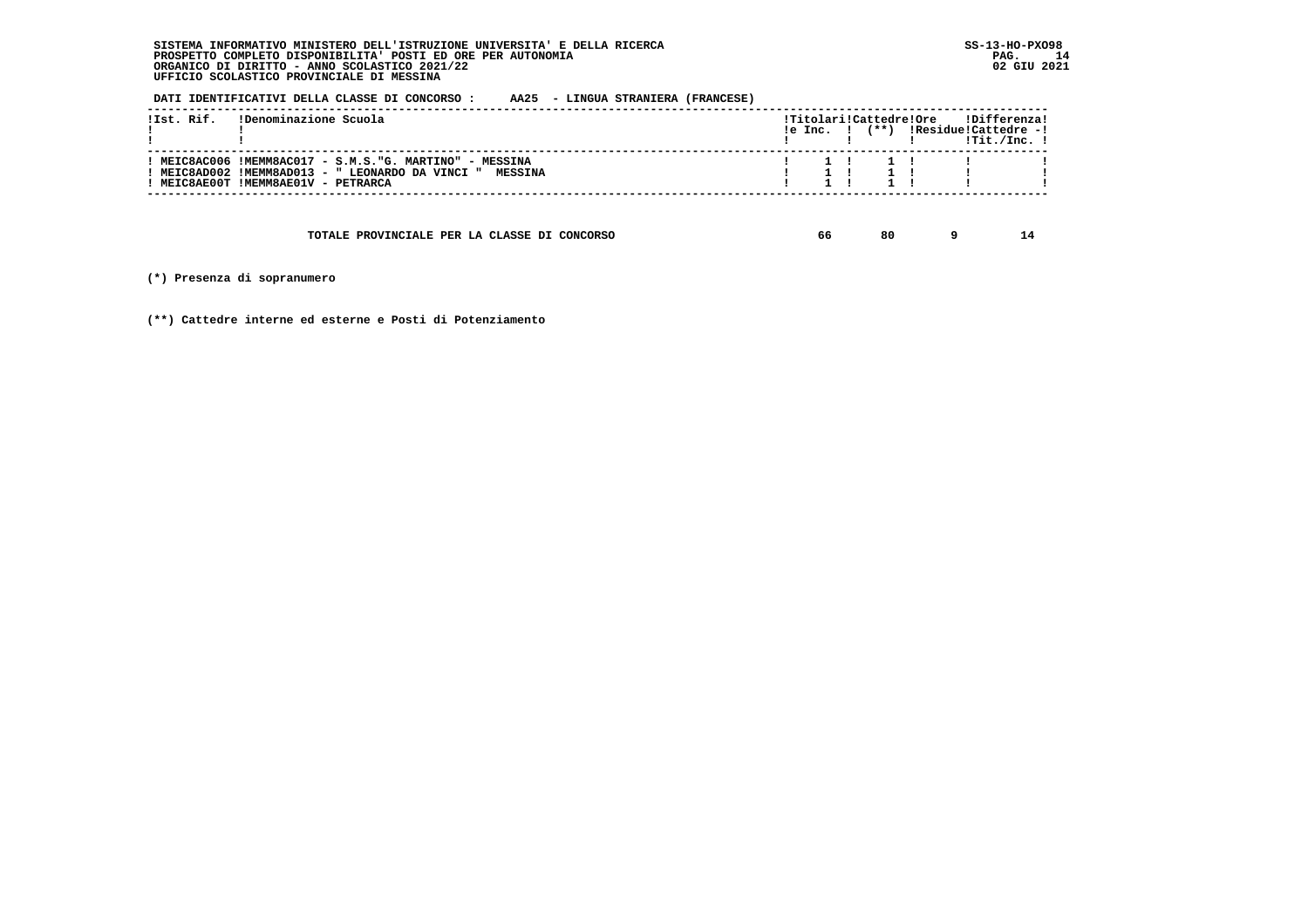**DATI IDENTIFICATIVI DELLA CLASSE DI CONCORSO : AA25 - LINGUA STRANIERA (FRANCESE)**

| !Ist. Rif. | !Denominazione Scuola                                                                                                                                      |  |  | !Titolari!Cattedre!Ore | !Differenza!<br>$!e$ Inc. $!$ $(**)$ $!Residue!Cattedre -!$<br>!Tit./Inc. ! |  |
|------------|------------------------------------------------------------------------------------------------------------------------------------------------------------|--|--|------------------------|-----------------------------------------------------------------------------|--|
|            | : MEIC8AC006 !MEMM8AC017 - S.M.S."G. MARTINO" - MESSINA<br>! MEIC8AD002 !MEMM8AD013 - " LEONARDO DA VINCI " MESSINA<br>! MEIC8AE00T !MEMM8AE01V - PETRARCA |  |  |                        |                                                                             |  |
|            |                                                                                                                                                            |  |  |                        |                                                                             |  |

 **TOTALE PROVINCIALE PER LA CLASSE DI CONCORSO 66 80 9 14**

 **(\*) Presenza di sopranumero**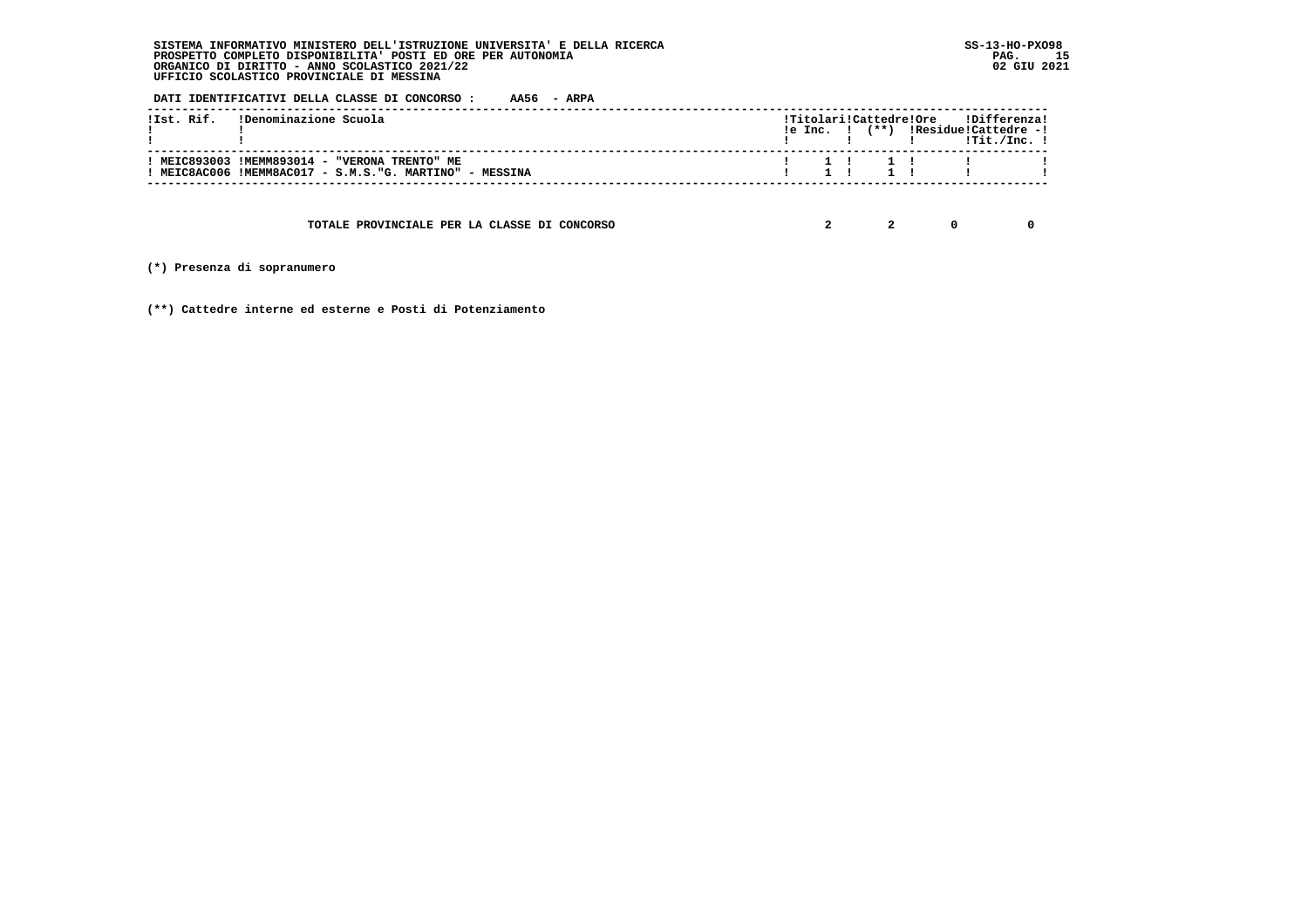**DATI IDENTIFICATIVI DELLA CLASSE DI CONCORSO : AA56 - ARPA**

| !Ist. Rif. (Denominazione Scuola                                                                         |  |  |                     | !Titolari!Cattedre!Ore !Differenza!<br>$!e$ Inc. $!$ $(**)$ $!Residue!Cattedre -!$ |  |
|----------------------------------------------------------------------------------------------------------|--|--|---------------------|------------------------------------------------------------------------------------|--|
| ! MEIC893003 !MEMM893014 - "VERONA TRENTO" ME<br>! MEIC8AC006 !MEMM8AC017 - S.M.S."G. MARTINO" - MESSINA |  |  | $1 \t1 \t1 \t1 \t1$ |                                                                                    |  |

 **TOTALE PROVINCIALE PER LA CLASSE DI CONCORSO 2 2 0 0**

 **(\*) Presenza di sopranumero**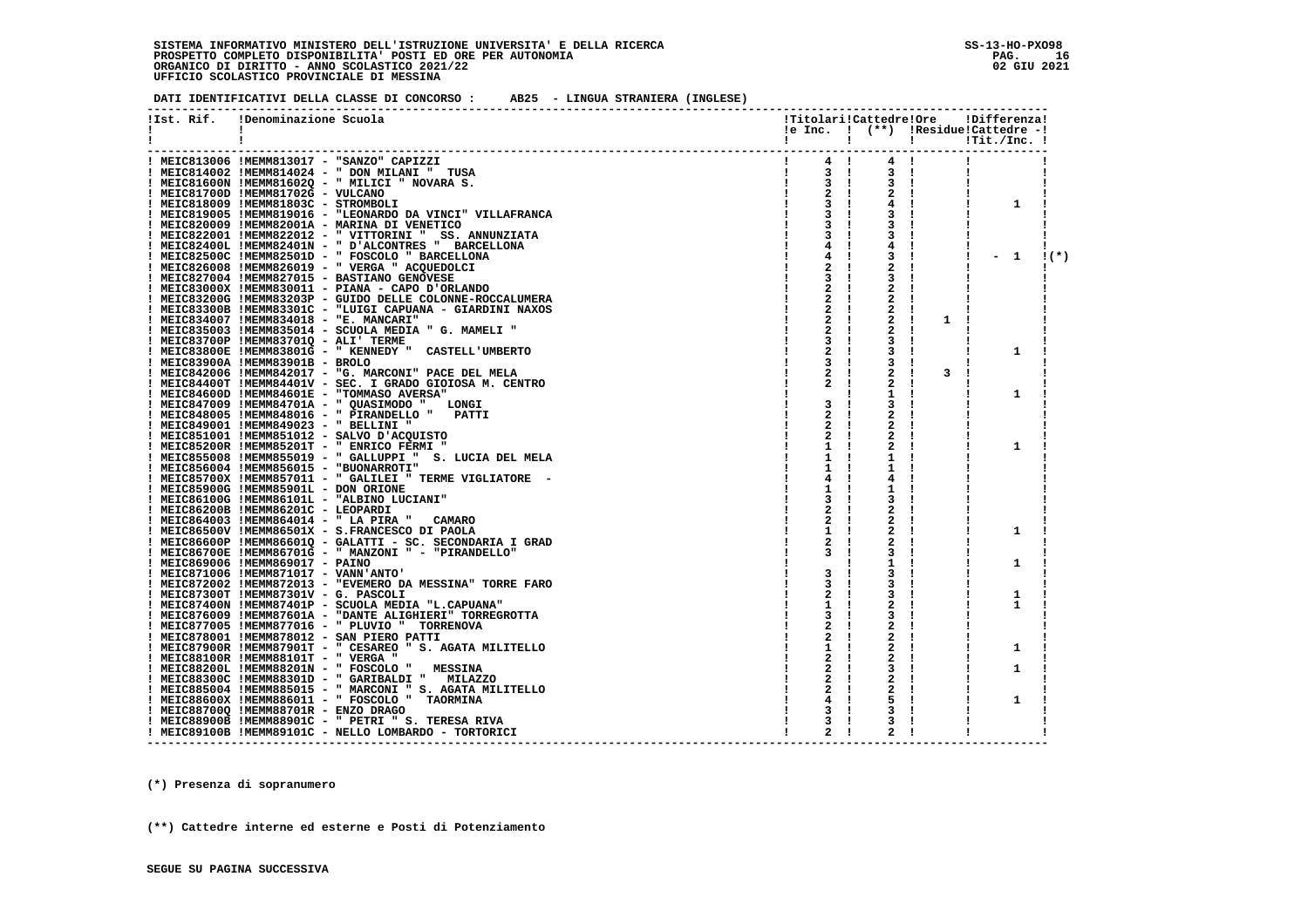**DATI IDENTIFICATIVI DELLA CLASSE DI CONCORSO : AB25 - LINGUA STRANIERA (INGLESE)**

|    | !Ist. Rif. | !Denominazione Scuola                                                                                                                                                                                                                                                                                                                                                                                                                                                                                                  | !Titolari!Cattedre!Ore      |                    |   | !Differenza!                                |        |
|----|------------|------------------------------------------------------------------------------------------------------------------------------------------------------------------------------------------------------------------------------------------------------------------------------------------------------------------------------------------------------------------------------------------------------------------------------------------------------------------------------------------------------------------------|-----------------------------|--------------------|---|---------------------------------------------|--------|
| Ι. |            |                                                                                                                                                                                                                                                                                                                                                                                                                                                                                                                        |                             |                    |   | $!e$ Inc. $!$ $(**)$ $!Residue!Cattedre -!$ |        |
| 1  |            |                                                                                                                                                                                                                                                                                                                                                                                                                                                                                                                        |                             | $\mathbf{I}$       |   |                                             |        |
|    |            |                                                                                                                                                                                                                                                                                                                                                                                                                                                                                                                        |                             |                    |   |                                             |        |
|    |            | ! MEIC813006 !MEMM813017 - "SANZO" CAPIZZI<br>$\begin{array}{c} \frac{1}{2} \left( \frac{1}{2} \right) \left( \frac{1}{2} \right) \left( \frac{1}{2} \right) \left( \frac{1}{2} \right) \left( \frac{1}{2} \right) \left( \frac{1}{2} \right) \left( \frac{1}{2} \right) \left( \frac{1}{2} \right) \left( \frac{1}{2} \right) \left( \frac{1}{2} \right) \left( \frac{1}{2} \right) \left( \frac{1}{2} \right) \left( \frac{1}{2} \right) \left( \frac{1}{2} \right) \left( \frac{1}{2} \right) \left( \frac{1}{2} \$ | 4!                          | 4!                 |   |                                             |        |
|    |            | ! MEIC814002 !MEMM814024 - " DON MILANI " TUSA                                                                                                                                                                                                                                                                                                                                                                                                                                                                         | $3 \quad 1$                 | 3 !                |   |                                             |        |
|    |            | ! MEIC81600N !MEMM81602Q - " MILICI " NOVARA S.                                                                                                                                                                                                                                                                                                                                                                                                                                                                        | $\frac{1}{3}$ $\frac{1}{1}$ | $3 \quad 1$        |   |                                             |        |
|    |            | ! MEIC81700D !MEMM81702G - VULCANO                                                                                                                                                                                                                                                                                                                                                                                                                                                                                     | $2 \cdot 1$                 | $2 \cdot 1$        |   |                                             |        |
|    |            | ! MEIC818009 !MEMM81803C - STROMBOLI                                                                                                                                                                                                                                                                                                                                                                                                                                                                                   | 3                           | 4!                 |   | 1                                           |        |
|    |            | ! MEIC819005 !MEMM819016 - "LEONARDO DA VINCI" VILLAFRANCA                                                                                                                                                                                                                                                                                                                                                                                                                                                             | 3                           | 3!                 |   |                                             |        |
|    |            | ! MEIC820009 !MEMM82001A - MARINA DI VENETICO                                                                                                                                                                                                                                                                                                                                                                                                                                                                          | 3                           | 3!                 |   |                                             |        |
|    |            | ! MEIC822001 !MEMM822012 - " VITTORINI " SS. ANNUNZIATA                                                                                                                                                                                                                                                                                                                                                                                                                                                                | 3                           | 3                  |   |                                             |        |
|    |            | ! MEIC82400L !MEMM82401N - " D'ALCONTRES " BARCELLONA                                                                                                                                                                                                                                                                                                                                                                                                                                                                  | 4!                          | 4                  |   |                                             |        |
|    |            | ! MEIC82500C !MEMM82501D - " FOSCOLO " BARCELLONA                                                                                                                                                                                                                                                                                                                                                                                                                                                                      | 4                           | 3                  |   | $-1$                                        | $1(*)$ |
|    |            | ! MEIC826008 !MEMM826019 - " VERGA " ACQUEDOLCI                                                                                                                                                                                                                                                                                                                                                                                                                                                                        | 2                           | 2                  |   |                                             |        |
|    |            | ! MEIC827004 !MEMM827015 - BASTIANO GENOVESE                                                                                                                                                                                                                                                                                                                                                                                                                                                                           | 3                           | 3                  |   |                                             |        |
|    |            | ! MEIC83000X !MEMM830011 - PIANA - CAPO D'ORLANDO                                                                                                                                                                                                                                                                                                                                                                                                                                                                      | 2<br>- 1                    | 2                  |   |                                             |        |
|    |            | ! MEIC83200G !MEMM83203P - GUIDO DELLE COLONNE-ROCCALUMERA                                                                                                                                                                                                                                                                                                                                                                                                                                                             | $\mathbf{2}$<br>- 1         | $\mathbf{2}$       |   |                                             |        |
|    |            | ! MEIC83300B !MEMM83301C - "LUIGI CAPUANA - GIARDINI NAXOS                                                                                                                                                                                                                                                                                                                                                                                                                                                             | 2<br>$\mathbf{I}$           | 2                  |   |                                             |        |
|    |            | ! MEIC834007 !MEMM834018 - "E. MANCARI"                                                                                                                                                                                                                                                                                                                                                                                                                                                                                | 2<br>$\mathbf{I}$           | 2                  | 1 |                                             |        |
|    |            | ! MEIC835003 !MEMM835014 - SCUOLA MEDIA " G. MAMELI "                                                                                                                                                                                                                                                                                                                                                                                                                                                                  | 2<br>-1                     | 2                  |   |                                             |        |
|    |            | ! MEIC83700P !MEMM83701Q - ALI' TERME                                                                                                                                                                                                                                                                                                                                                                                                                                                                                  | 3<br>- 1                    | 3                  |   |                                             |        |
|    |            | ! MEIC83800E !MEMM83801G - " KENNEDY " CASTELL'UMBERTO                                                                                                                                                                                                                                                                                                                                                                                                                                                                 | 2<br>- 1                    | 3<br>-1            |   | 1                                           |        |
|    |            | ! MEIC83900A !MEMM83901B - BROLO                                                                                                                                                                                                                                                                                                                                                                                                                                                                                       | 3<br>- 1                    | 3<br>-1            |   |                                             |        |
|    |            | ! MEIC842006 !MEMM842017 - "G. MARCONI" PACE DEL MELA                                                                                                                                                                                                                                                                                                                                                                                                                                                                  | 2                           | 2                  | 3 |                                             |        |
|    |            | ! MEIC84400T !MEMM84401V - SEC. I GRADO GIOIOSA M. CENTRO                                                                                                                                                                                                                                                                                                                                                                                                                                                              | 2<br>-1                     | 2                  |   |                                             |        |
|    |            | ! MEIC84600D !MEMM84601E - "TOMMASO AVERSA"                                                                                                                                                                                                                                                                                                                                                                                                                                                                            |                             | 1                  |   | 1                                           |        |
|    |            | ! MEIC847009 !MEMM84701A - " QUASIMODO "<br><b>LONGI</b>                                                                                                                                                                                                                                                                                                                                                                                                                                                               | 3<br>$\mathbf{I}$           | 3                  |   |                                             |        |
|    |            | ! MEIC848005 !MEMM848016 - " PIRANDELLO "<br><b>PATTI</b>                                                                                                                                                                                                                                                                                                                                                                                                                                                              | 2                           | 2                  |   |                                             |        |
|    |            | ! MEIC849001 !MEMM849023 - " BELLINI "                                                                                                                                                                                                                                                                                                                                                                                                                                                                                 | 2                           | 2                  |   |                                             |        |
|    |            |                                                                                                                                                                                                                                                                                                                                                                                                                                                                                                                        | 2                           |                    |   |                                             |        |
|    |            | I MEIC851001 IMEMM851012 - SALVO D'ACQUISTO<br>! MEIC85200R !MEMM85201T - " ENRICO FERMI "                                                                                                                                                                                                                                                                                                                                                                                                                             |                             |                    |   |                                             |        |
|    |            |                                                                                                                                                                                                                                                                                                                                                                                                                                                                                                                        | 1                           |                    |   | 1                                           |        |
|    |            | ! MEIC855008 !MEMM855019 - " GALLUPPI " S. LUCIA DEL MELA                                                                                                                                                                                                                                                                                                                                                                                                                                                              | 1                           | 1                  |   |                                             |        |
|    |            | ! MEIC856004 !MEMM856015 - "BUONARROTI"                                                                                                                                                                                                                                                                                                                                                                                                                                                                                | 1                           | 1                  |   |                                             |        |
|    |            | ! MEIC85700X !MEMM857011 - " GALILEI " TERME VIGLIATORE -                                                                                                                                                                                                                                                                                                                                                                                                                                                              | 4                           | 4                  |   |                                             |        |
|    |            | ! MEIC85900G !MEMM85901L - DON ORIONE                                                                                                                                                                                                                                                                                                                                                                                                                                                                                  | 1                           | 1                  |   |                                             |        |
|    |            | ! MEIC86100G !MEMM86101L - "ALBINO LUCIANI"                                                                                                                                                                                                                                                                                                                                                                                                                                                                            | 3                           | 3                  |   |                                             |        |
|    |            | ! MEIC86200B !MEMM86201C - LEOPARDI                                                                                                                                                                                                                                                                                                                                                                                                                                                                                    | 2                           | 2                  |   |                                             |        |
|    |            | ! MEIC864003 !MEMM864014 - " LA PIRA " CAMARO                                                                                                                                                                                                                                                                                                                                                                                                                                                                          | 2                           | 2                  |   |                                             |        |
|    |            | ! MEIC86500V !MEMM86501X - S.FRANCESCO DI PAOLA                                                                                                                                                                                                                                                                                                                                                                                                                                                                        | 1<br>- 1                    | 2                  |   | 1                                           |        |
|    |            | ! MEIC86600P !MEMM86601Q - GALATTI - SC. SECONDARIA I GRAD                                                                                                                                                                                                                                                                                                                                                                                                                                                             | 2<br>- 1                    | 2                  |   |                                             |        |
|    |            | ! MEIC86700E !MEMM86701G - " MANZONI " - "PIRANDELLO"                                                                                                                                                                                                                                                                                                                                                                                                                                                                  | 3                           | 3                  |   |                                             |        |
|    |            | ! MEIC869006 !MEMM869017 - PAINO                                                                                                                                                                                                                                                                                                                                                                                                                                                                                       |                             | 1                  |   | 1                                           |        |
|    |            | ! MEIC871006 !MEMM871017 - VANN'ANTO'                                                                                                                                                                                                                                                                                                                                                                                                                                                                                  | 3<br>$\blacksquare$         | 3                  |   |                                             |        |
|    |            | ! MEIC872002 !MEMM872013 - "EVEMERO DA MESSINA" TORRE FARO                                                                                                                                                                                                                                                                                                                                                                                                                                                             | 3<br>$\mathbf{I}$           | 3                  |   |                                             |        |
|    |            | ! MEIC87300T !MEMM87301V - G. PASCOLI                                                                                                                                                                                                                                                                                                                                                                                                                                                                                  | $\mathbf{2}$                | 3                  |   | 1                                           |        |
|    |            | ! MEIC87400N !MEMM87401P - SCUOLA MEDIA "L.CAPUANA"                                                                                                                                                                                                                                                                                                                                                                                                                                                                    | 1<br>- 11                   | 2<br>-1            |   | 1                                           |        |
|    |            | ! MEIC876009 !MEMM87601A - "DANTE ALIGHIERI" TORREGROTTA                                                                                                                                                                                                                                                                                                                                                                                                                                                               | 3<br>$\mathbf{I}$           | 3                  |   |                                             |        |
|    |            | ! MEIC877005 !MEMM877016 - " PLUVIO " TORRENOVA                                                                                                                                                                                                                                                                                                                                                                                                                                                                        | 2<br>- 1                    | 2<br>Ι.            |   |                                             |        |
|    |            | ! MEIC878001 !MEMM878012 - SAN PIERO PATTI                                                                                                                                                                                                                                                                                                                                                                                                                                                                             | 2                           | 2                  |   |                                             |        |
|    |            | ! MEIC87900R !MEMM87901T - " CESAREO " S. AGATA MILITELLO                                                                                                                                                                                                                                                                                                                                                                                                                                                              | 1<br>- 1                    | 2<br>-1            |   | 1                                           |        |
|    |            | ! MEIC88100R !MEMM88101T - " VERGA "                                                                                                                                                                                                                                                                                                                                                                                                                                                                                   | 2                           | $\mathbf{2}$<br>-1 |   |                                             |        |
|    |            | ! MEIC88200L !MEMM88201N - " FOSCOLO "<br><b>MESSINA</b>                                                                                                                                                                                                                                                                                                                                                                                                                                                               | 2                           | 3                  |   | 1                                           |        |
|    |            | ! MEIC88300C !MEMM88301D - " GARIBALDI " MILAZZO                                                                                                                                                                                                                                                                                                                                                                                                                                                                       | 2                           | 2                  |   |                                             |        |
|    |            | ! MEIC885004 !MEMM885015 - " MARCONI " S. AGATA MILITELLO                                                                                                                                                                                                                                                                                                                                                                                                                                                              | 2                           |                    |   |                                             |        |
|    |            | ! MEIC88600X !MEMM886011 - " FOSCOLO " TAORMINA                                                                                                                                                                                                                                                                                                                                                                                                                                                                        | 4                           | 5                  |   | 1                                           |        |
|    |            | ! MEIC88700Q !MEMM88701R - ENZO DRAGO                                                                                                                                                                                                                                                                                                                                                                                                                                                                                  | 3                           | 3                  |   |                                             |        |
|    |            | ! MEIC88900B !MEMM88901C - " PETRI " S. TERESA RIVA                                                                                                                                                                                                                                                                                                                                                                                                                                                                    | 3                           | з                  |   |                                             |        |
|    |            | ! MEIC89100B !MEMM89101C - NELLO LOMBARDO - TORTORICI                                                                                                                                                                                                                                                                                                                                                                                                                                                                  | 2<br>$\mathbf{I}$           | $\mathbf{2}$       |   |                                             |        |
|    |            |                                                                                                                                                                                                                                                                                                                                                                                                                                                                                                                        |                             |                    |   |                                             |        |

 **(\*) Presenza di sopranumero**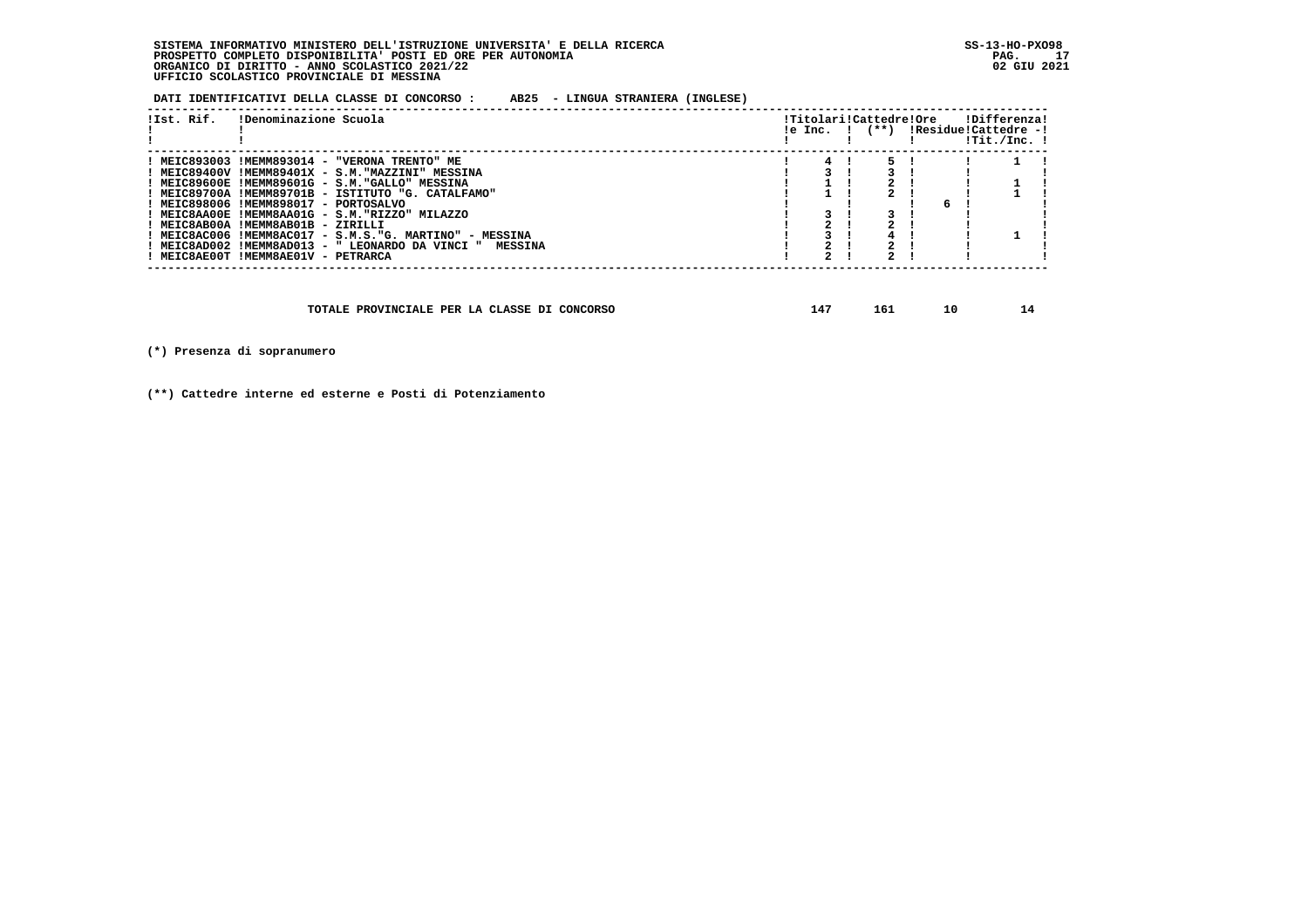**DATI IDENTIFICATIVI DELLA CLASSE DI CONCORSO : AB25 - LINGUA STRANIERA (INGLESE)**

| !Ist. Rif. | !Denominazione Scuola                                    |  | !Titolari!Cattedre!Ore<br>!e Inc. ! (**) !Residue!Cattedre -! |    | !Differenza!<br>$1$ Tit./Inc. $1$ |  |
|------------|----------------------------------------------------------|--|---------------------------------------------------------------|----|-----------------------------------|--|
|            | ! MEIC893003 !MEMM893014 - "VERONA TRENTO" ME            |  |                                                               |    |                                   |  |
|            | ! MEIC89400V !MEMM89401X - S.M."MAZZINI" MESSINA         |  |                                                               |    |                                   |  |
|            | ! MEIC89600E !MEMM89601G - S.M."GALLO" MESSINA           |  |                                                               |    |                                   |  |
|            | ! MEIC89700A !MEMM89701B - ISTITUTO "G. CATALFAMO"       |  |                                                               |    |                                   |  |
|            | ! MEIC898006 !MEMM898017 - PORTOSALVO                    |  |                                                               | б. |                                   |  |
|            | ! MEIC8AA00E !MEMM8AA01G - S.M. "RIZZO" MILAZZO          |  |                                                               |    |                                   |  |
|            | ! MEIC8AB00A !MEMM8AB01B - ZIRILLI                       |  |                                                               |    |                                   |  |
|            | ! MEIC8AC006 !MEMM8AC017 - S.M.S."G. MARTINO" - MESSINA  |  |                                                               |    |                                   |  |
|            | ! MEIC8AD002 !MEMM8AD013 - " LEONARDO DA VINCI " MESSINA |  |                                                               |    |                                   |  |
|            | ! MEIC8AE00T !MEMM8AE01V - PETRARCA                      |  |                                                               |    |                                   |  |
|            |                                                          |  |                                                               |    |                                   |  |

| TOTALE PROVINCIALE PER LA CLASSE DI CONCORSO |  | πo. | 10 |  |
|----------------------------------------------|--|-----|----|--|
|----------------------------------------------|--|-----|----|--|

 **(\*) Presenza di sopranumero**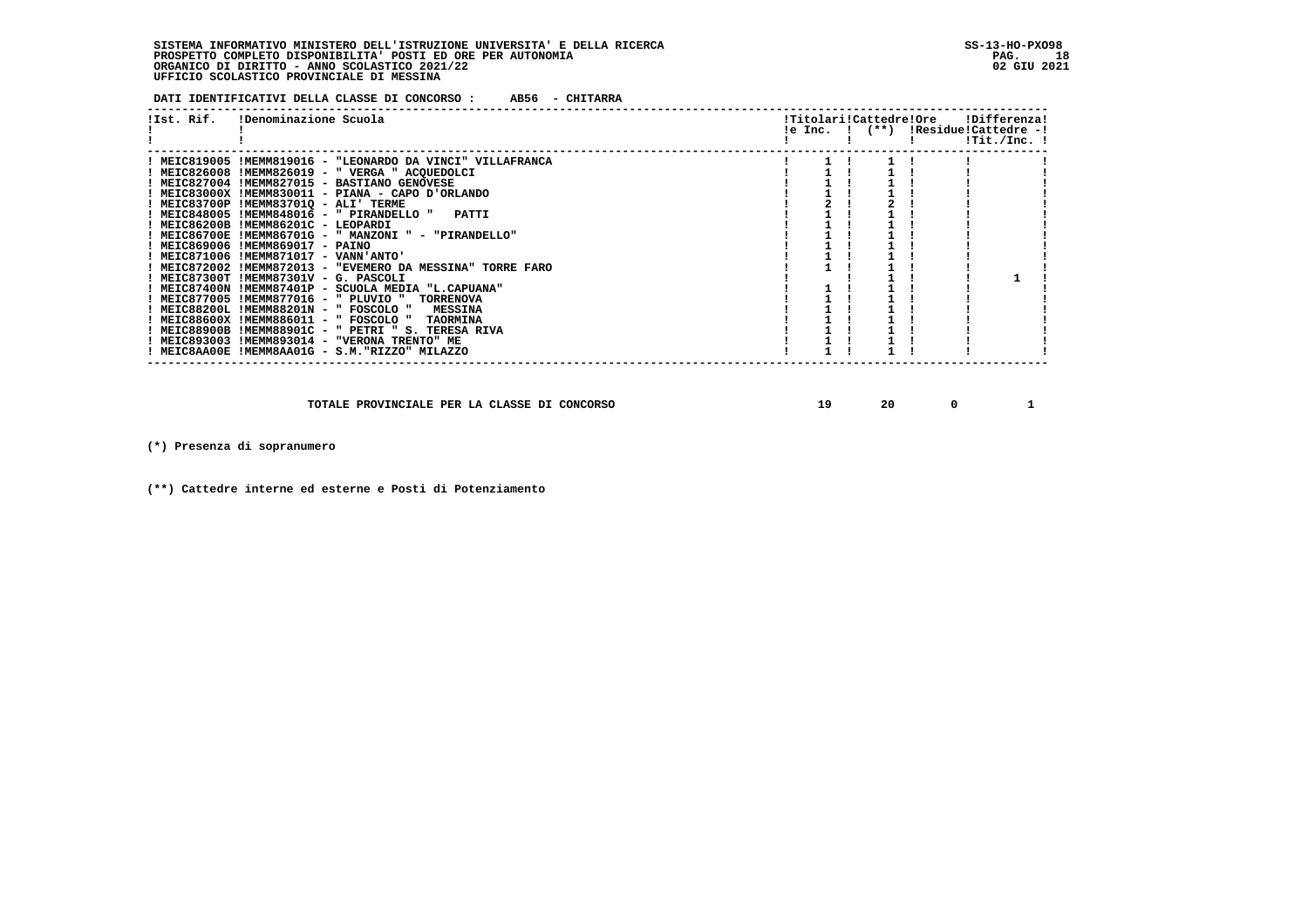**DATI IDENTIFICATIVI DELLA CLASSE DI CONCORSO : AB56 - CHITARRA**

| !Ist. Rif. | !Denominazione Scuola                                      |  |  | !Titolari!Cattedre!Ore<br>!e Inc. ! (**) !Residue!Cattedre -! | !Differenza!<br>!Tit./Inc. ! |  |
|------------|------------------------------------------------------------|--|--|---------------------------------------------------------------|------------------------------|--|
|            | ! MEIC819005 !MEMM819016 - "LEONARDO DA VINCI" VILLAFRANCA |  |  |                                                               |                              |  |
|            | ! MEIC826008 !MEMM826019 - " VERGA " ACQUEDOLCI            |  |  |                                                               |                              |  |
|            | ! MEIC827004 !MEMM827015 - BASTIANO GENOVESE               |  |  |                                                               |                              |  |
|            | ! MEIC83000X !MEMM830011 - PIANA - CAPO D'ORLANDO          |  |  |                                                               |                              |  |
|            | ! MEIC83700P !MEMM837010 - ALI' TERME                      |  |  |                                                               |                              |  |
|            | ! MEIC848005 !MEMM848016 - " PIRANDELLO " PATTI            |  |  |                                                               |                              |  |
|            | ! MEIC86200B !MEMM86201C - LEOPARDI                        |  |  |                                                               |                              |  |
|            | $!$ MEIC86700E $!$ MEMM86701G - " MANZONI " - "PIRANDELLO" |  |  |                                                               |                              |  |
|            | ! MEIC869006 !MEMM869017 - PAINO                           |  |  |                                                               |                              |  |
|            | ! MEIC871006 !MEMM871017 - VANN'ANTO'                      |  |  |                                                               |                              |  |
|            | ! MEIC872002 !MEMM872013 - "EVEMERO DA MESSINA" TORRE FARO |  |  |                                                               |                              |  |
|            | ! MEIC87300T !MEMM87301V - G. PASCOLI                      |  |  |                                                               |                              |  |
|            | ! MEIC87400N !MEMM87401P - SCUOLA MEDIA "L.CAPUANA"        |  |  |                                                               |                              |  |
|            | ! MEIC877005 !MEMM877016 - " PLUVIO " TORRENOVA            |  |  |                                                               |                              |  |
|            | ! MEIC88200L !MEMM88201N - " FOSCOLO " MESSINA             |  |  |                                                               |                              |  |
|            | ! MEIC88600X !MEMM886011 - " FOSCOLO " TAORMINA            |  |  |                                                               |                              |  |
|            | ! MEIC88900B !MEMM88901C - " PETRI " S. TERESA RIVA        |  |  |                                                               |                              |  |
|            | ! MEIC893003 !MEMM893014 - "VERONA TRENTO" ME              |  |  |                                                               |                              |  |
|            | ! MEIC8AA00E !MEMM8AA01G - S.M."RIZZO" MILAZZO             |  |  |                                                               |                              |  |
|            |                                                            |  |  |                                                               |                              |  |

 **TOTALE PROVINCIALE PER LA CLASSE DI CONCORSO 19 19 20 0 1** 

 **(\*) Presenza di sopranumero**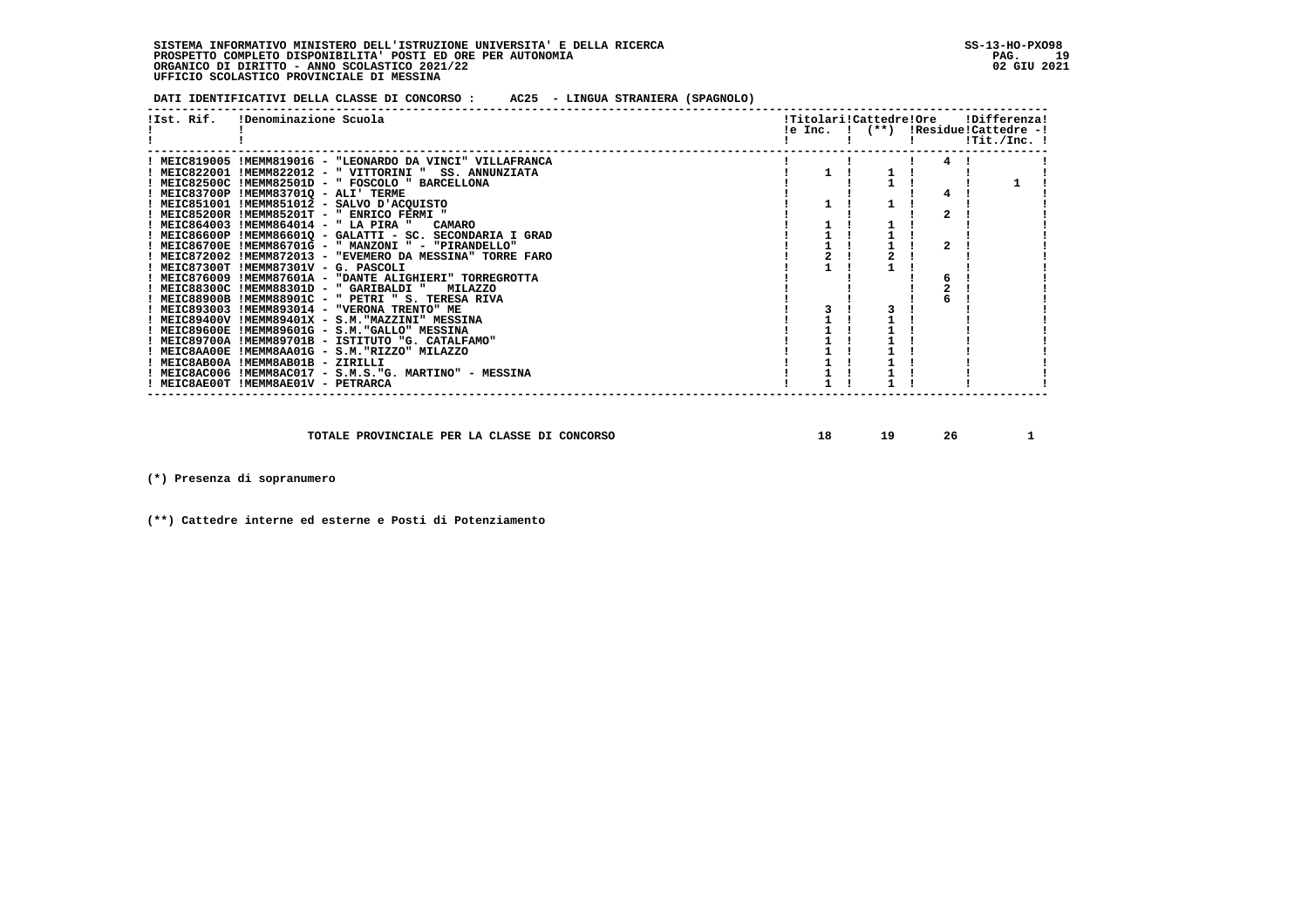**DATI IDENTIFICATIVI DELLA CLASSE DI CONCORSO : AC25 - LINGUA STRANIERA (SPAGNOLO)**

| !Ist. Rif. | !Denominazione Scuola                                             |  | !Titolari!Cattedre!Ore<br>!e Inc. ! (**) !Residue!Cattedre -! |              | !Differenza!<br>$1$ Tit./Inc. $1$ |  |
|------------|-------------------------------------------------------------------|--|---------------------------------------------------------------|--------------|-----------------------------------|--|
|            |                                                                   |  |                                                               |              |                                   |  |
|            | ! MEIC819005 !MEMM819016 - "LEONARDO DA VINCI" VILLAFRANCA        |  |                                                               | 4            |                                   |  |
|            | ! MEIC822001 !MEMM822012 - " VITTORINI "<br><b>SS. ANNUNZIATA</b> |  |                                                               |              |                                   |  |
|            | ! MEIC82500C !MEMM82501D - " FOSCOLO " BARCELLONA                 |  |                                                               |              |                                   |  |
|            | ! MEIC83700P !MEMM837010 - ALI' TERME                             |  |                                                               | 4            |                                   |  |
|            | ! MEIC851001 !MEMM851012 - SALVO D'ACOUISTO                       |  |                                                               |              |                                   |  |
|            | ! MEIC85200R !MEMM85201T - " ENRICO FERMI "                       |  |                                                               | $\mathbf{z}$ |                                   |  |
|            | ! MEIC864003 !MEMM864014 - " LA PIRA "<br><b>CAMARO</b>           |  |                                                               |              |                                   |  |
|            | ! MEIC86600P !MEMM86601Q - GALATTI - SC. SECONDARIA I GRAD        |  |                                                               |              |                                   |  |
|            | ! MEIC86700E !MEMM86701G - " MANZONI " - "PIRANDELLO"             |  |                                                               | $\mathbf{z}$ |                                   |  |
|            | ! MEIC872002 !MEMM872013 - "EVEMERO DA MESSINA" TORRE FARO        |  |                                                               |              |                                   |  |
|            | ! MEIC87300T !MEMM87301V - G. PASCOLI                             |  |                                                               |              |                                   |  |
|            | ! MEIC876009 !MEMM87601A - "DANTE ALIGHIERI" TORREGROTTA          |  |                                                               |              |                                   |  |
|            | ! MEIC88300C !MEMM88301D - " GARIBALDI "<br><b>MILAZZO</b>        |  |                                                               |              |                                   |  |
|            | ! MEIC88900B !MEMM88901C - " PETRI " S. TERESA RIVA               |  |                                                               |              |                                   |  |
|            | ! MEIC893003 !MEMM893014 - "VERONA TRENTO" ME                     |  |                                                               |              |                                   |  |
|            | ! MEIC89400V !MEMM89401X - S.M. "MAZZINI" MESSINA                 |  |                                                               |              |                                   |  |
|            | ! MEIC89600E !MEMM89601G - S.M. "GALLO" MESSINA                   |  |                                                               |              |                                   |  |
|            | ! MEIC89700A !MEMM89701B - ISTITUTO "G. CATALFAMO"                |  |                                                               |              |                                   |  |
|            | ! MEIC8AA00E !MEMM8AA01G - S.M. "RIZZO" MILAZZO                   |  |                                                               |              |                                   |  |
|            | ! MEIC8AB00A !MEMM8AB01B - ZIRILLI                                |  |                                                               |              |                                   |  |
|            | ! MEIC8AC006 !MEMM8AC017 - S.M.S."G. MARTINO" - MESSINA           |  |                                                               |              |                                   |  |
|            | ! MEIC8AE00T !MEMM8AE01V - PETRARCA                               |  |                                                               |              |                                   |  |
|            |                                                                   |  |                                                               |              |                                   |  |

 **TOTALE PROVINCIALE PER LA CLASSE DI CONCORSO 18 19 26 1**

 **(\*) Presenza di sopranumero**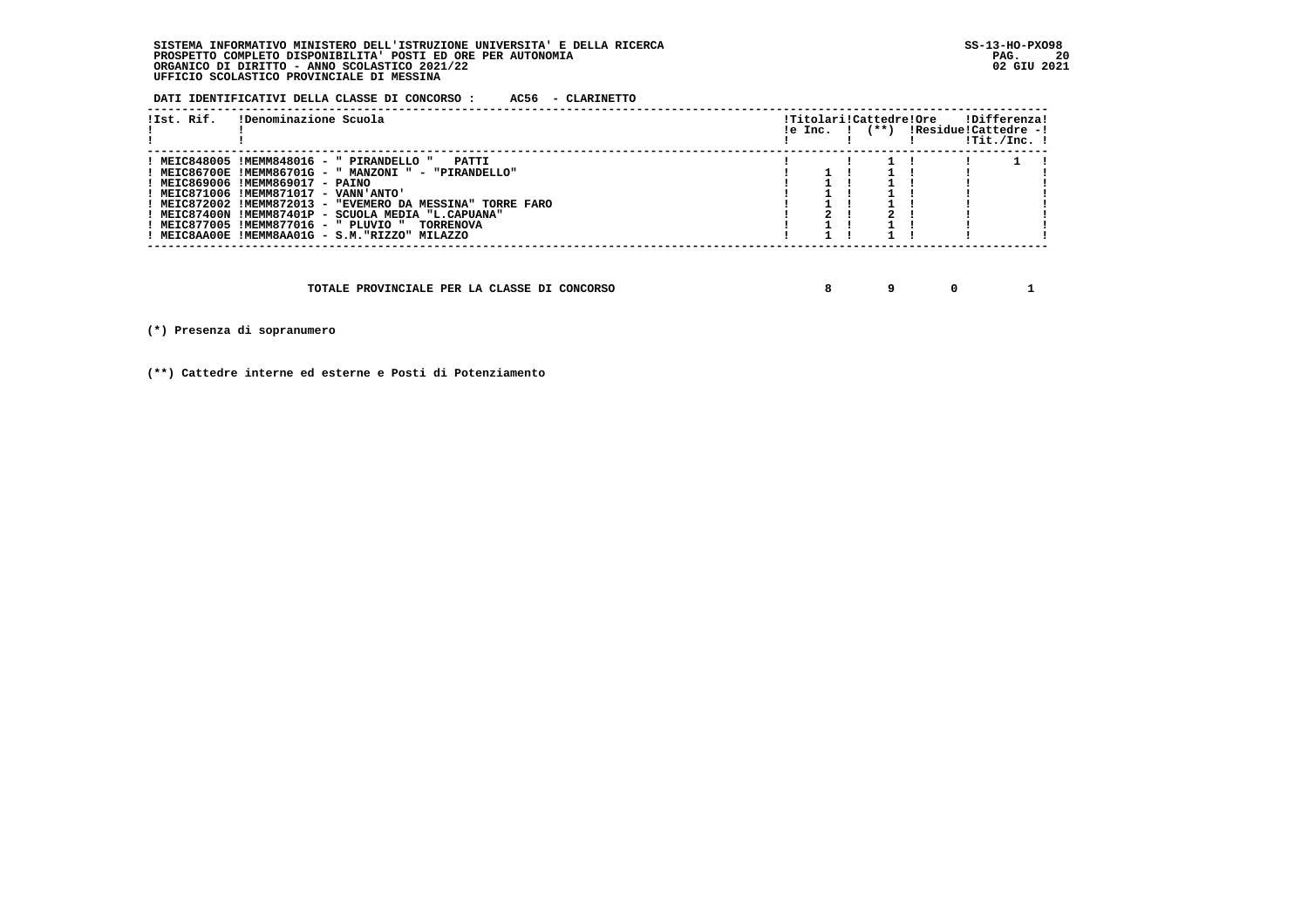**DATI IDENTIFICATIVI DELLA CLASSE DI CONCORSO : AC56 - CLARINETTO**

| !Ist. Rif. | !Denominazione Scuola                                                                                                                                                                                                                                                                                                                                                                                                         |  | !Titolari!Cattedre!Ore | $!e$ Inc. $!$ $(**)$ $!Residue!Cattedre -!$ | !Differenza!<br>!Tit./Inc. ! |  |
|------------|-------------------------------------------------------------------------------------------------------------------------------------------------------------------------------------------------------------------------------------------------------------------------------------------------------------------------------------------------------------------------------------------------------------------------------|--|------------------------|---------------------------------------------|------------------------------|--|
|            | ! MEIC848005 !MEMM848016 - " PIRANDELLO "<br>PATTT<br>! MEIC86700E !MEMM86701G - " MANZONI " - "PIRANDELLO"<br>! MEIC869006 !MEMM869017 - PAINO<br>! MEIC871006 !MEMM871017 - VANN'ANTO'<br>! MEIC872002 !MEMM872013 - "EVEMERO DA MESSINA" TORRE FARO<br>! MEIC87400N !MEMM87401P - SCUOLA MEDIA "L.CAPUANA"<br>! MEIC877005 !MEMM877016 - " PLUVIO "<br><b>TORRENOVA</b><br>! MEIC8AA00E !MEMM8AA01G - S.M. "RIZZO" MILAZZO |  |                        |                                             |                              |  |

 **TOTALE PROVINCIALE PER LA CLASSE DI CONCORSO 8 9 0 1**

 **(\*) Presenza di sopranumero**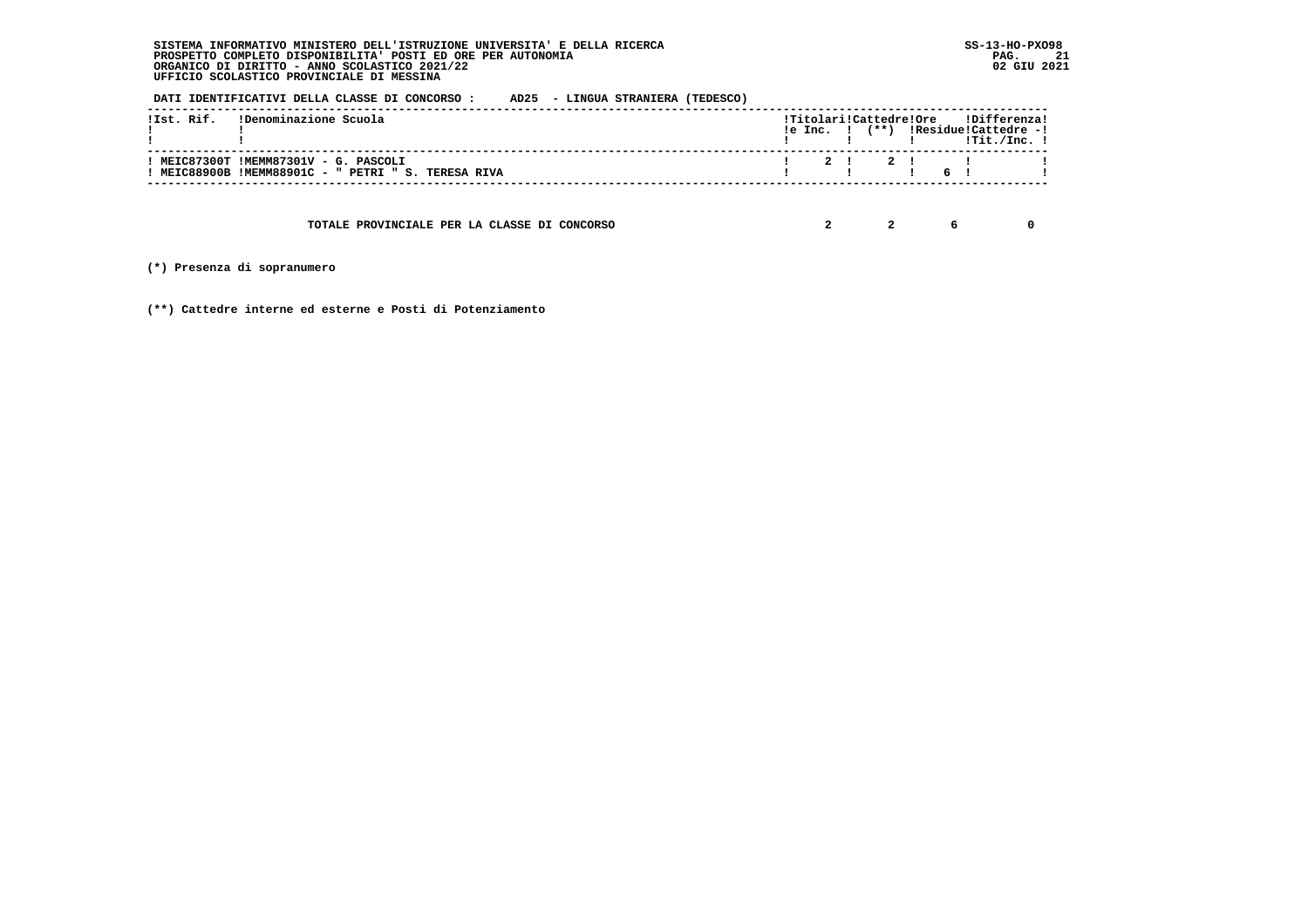**DATI IDENTIFICATIVI DELLA CLASSE DI CONCORSO : AD25 - LINGUA STRANIERA (TEDESCO)**

| !Ist. Rif. (Denominazione Scuola                                                             |  |  |  | !Titolari!Cattedre!Ore !Differenza!<br>$!e$ Inc. $!$ $(**)$ $!Residue!Cattedre -!$<br>$\blacksquare$ $\blacksquare$ $\blacksquare$ $\blacksquare$ $\blacksquare$ $\blacksquare$ $\blacksquare$ $\blacksquare$ $\blacksquare$ $\blacksquare$ $\blacksquare$ $\blacksquare$ $\blacksquare$ $\blacksquare$ $\blacksquare$ $\blacksquare$ $\blacksquare$ $\blacksquare$ $\blacksquare$ $\blacksquare$ $\blacksquare$ $\blacksquare$ $\blacksquare$ $\blacksquare$ $\blacksquare$ $\blacksquare$ $\blacksquare$ $\blacksquare$ $\blacksquare$ $\blacksquare$ $\blacksquare$ $\blacks$ |  |
|----------------------------------------------------------------------------------------------|--|--|--|----------------------------------------------------------------------------------------------------------------------------------------------------------------------------------------------------------------------------------------------------------------------------------------------------------------------------------------------------------------------------------------------------------------------------------------------------------------------------------------------------------------------------------------------------------------------------------|--|
| ! MEIC87300T !MEMM87301V - G. PASCOLI<br>! MEIC88900B !MEMM88901C - " PETRI " S. TERESA RIVA |  |  |  | 1 2 1 2 1 1 1<br>$\blacksquare$                                                                                                                                                                                                                                                                                                                                                                                                                                                                                                                                                  |  |

 **TOTALE PROVINCIALE PER LA CLASSE DI CONCORSO 2 2 6 0**

 **(\*) Presenza di sopranumero**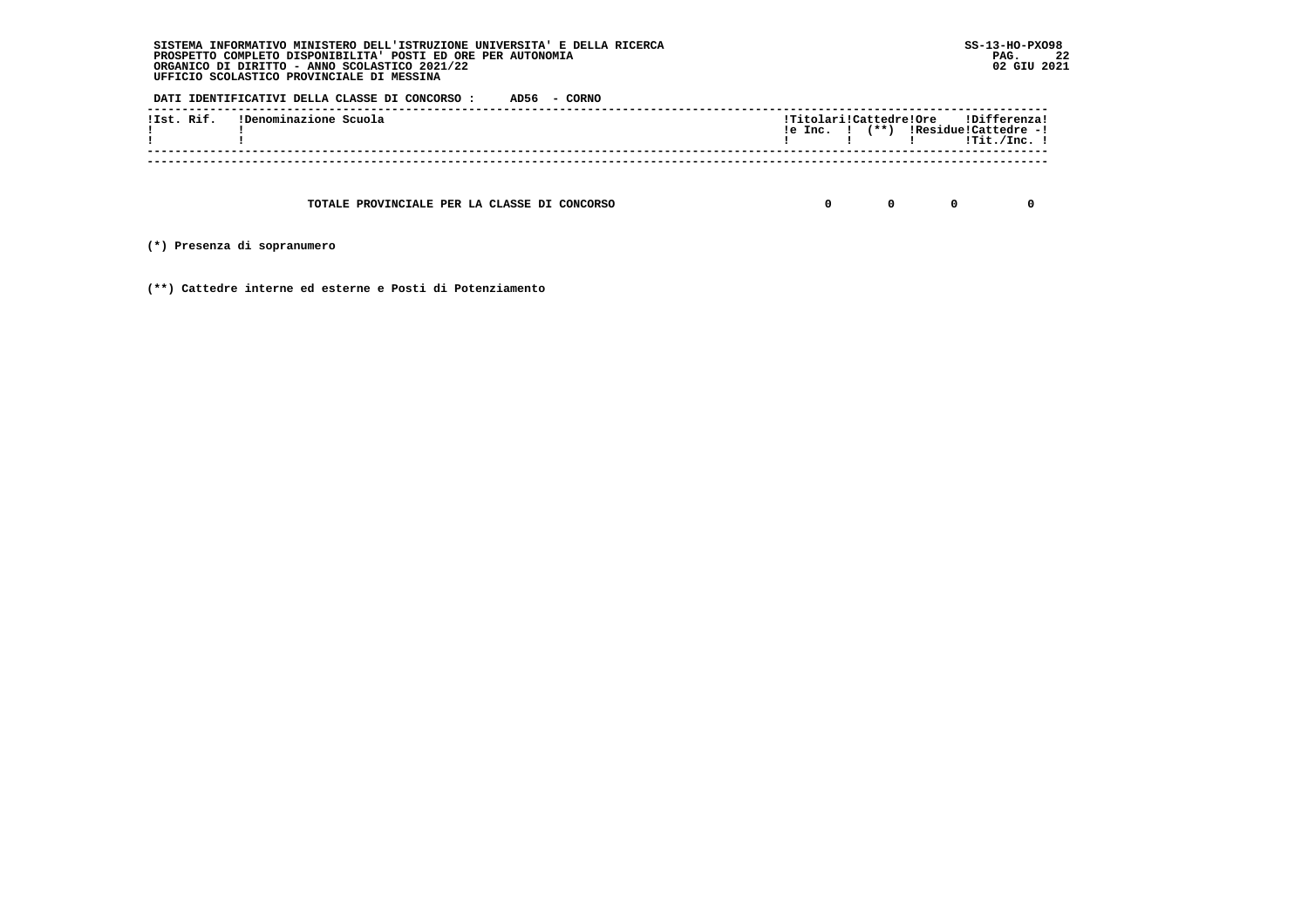**DATI IDENTIFICATIVI DELLA CLASSE DI CONCORSO : AD56 - CORNO**

| !Ist. Rif. | !Denominazione Scuola | le Inc. I | $(***)$ | !Titolari!Cattedre!Ore !Differenza!<br>!Residue!Cattedre -!<br>!Tit./Inc. |
|------------|-----------------------|-----------|---------|---------------------------------------------------------------------------|
|            |                       |           |         |                                                                           |

 **TOTALE PROVINCIALE PER LA CLASSE DI CONCORSO 0 0 0 0**

 **(\*) Presenza di sopranumero**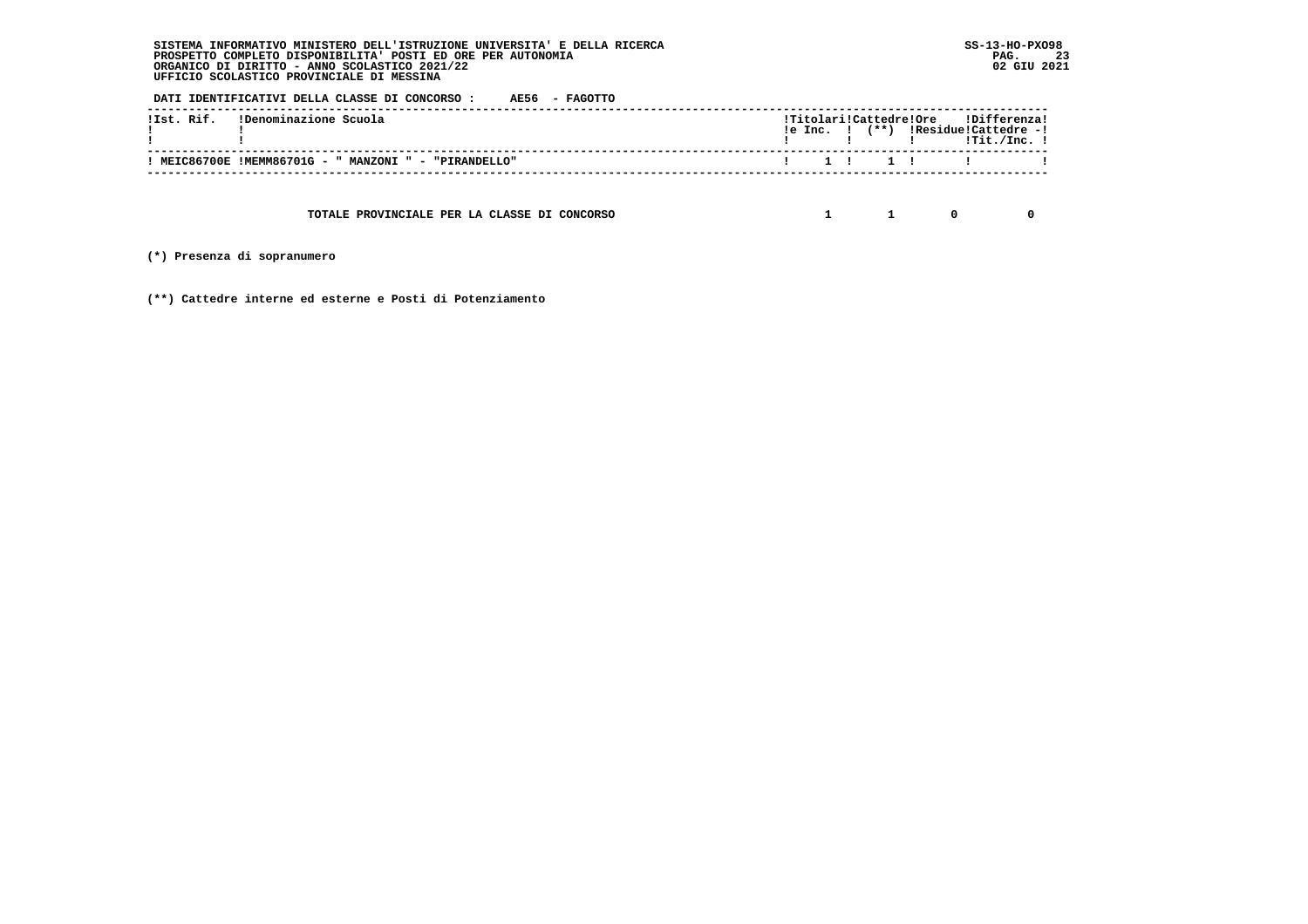**DATI IDENTIFICATIVI DELLA CLASSE DI CONCORSO : AE56 - FAGOTTO**

| !Ist. Rif. (Denominazione Scuola) |                                                       |  |  |  | !Titolari!Cattedre!Ore !Differenza!<br>$!e$ Inc. $!$ $(**)$ $!Residue!Cattedre -!$ |  |
|-----------------------------------|-------------------------------------------------------|--|--|--|------------------------------------------------------------------------------------|--|
|                                   | ! MEIC86700E !MEMM86701G - " MANZONI " - "PIRANDELLO" |  |  |  |                                                                                    |  |
|                                   |                                                       |  |  |  |                                                                                    |  |

 **TOTALE PROVINCIALE PER LA CLASSE DI CONCORSO 1 1 0 0**

 **(\*) Presenza di sopranumero**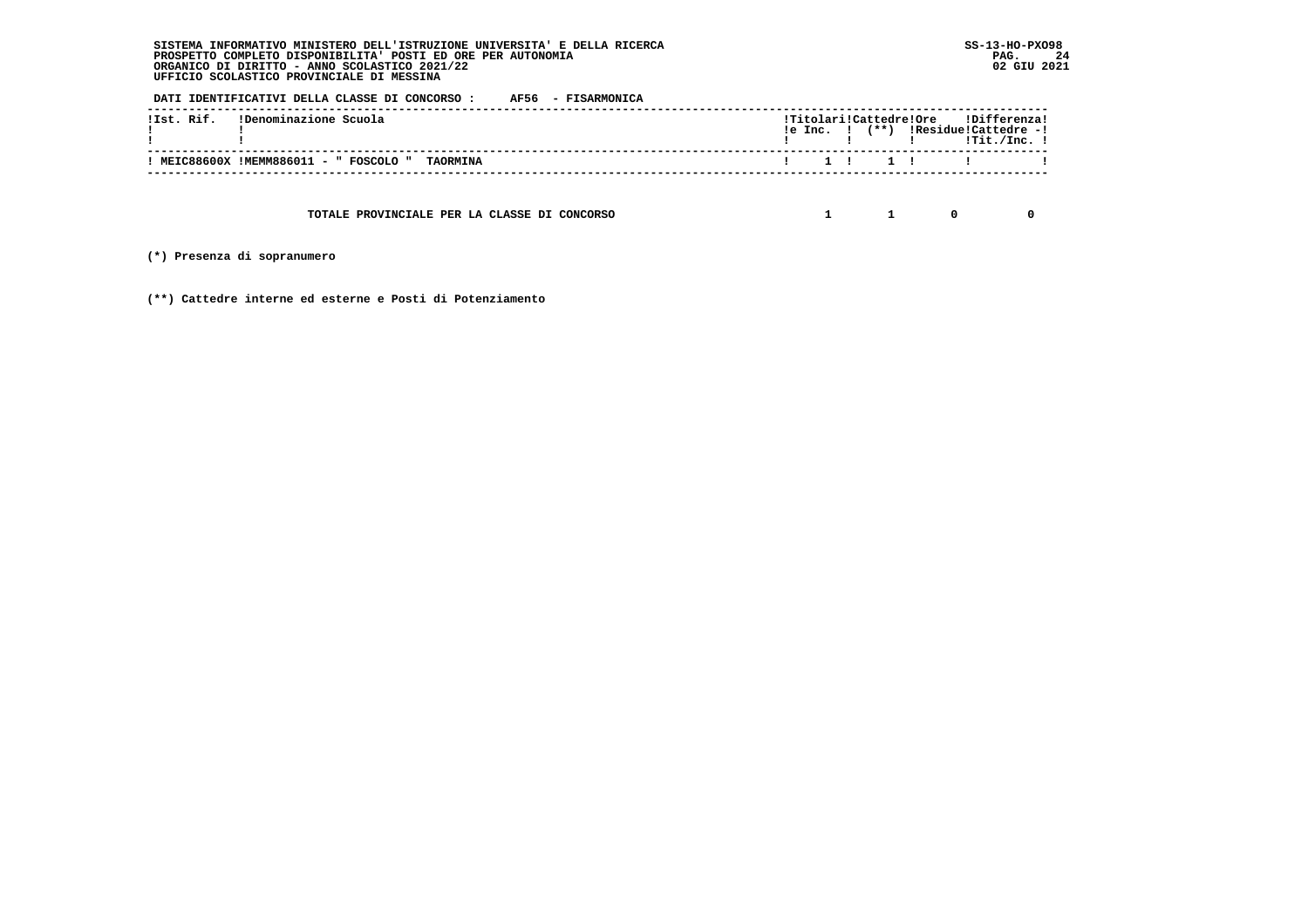**DATI IDENTIFICATIVI DELLA CLASSE DI CONCORSO : AF56 - FISARMONICA**

| !Ist. Rif. (Denominazione Scuola)             |  |  |  | !Titolari!Cattedre!Ore !Differenza!<br>$le Inc.$ $!$ $(**)$ $lResidue!Cattedre -!$<br>$\frac{1}{1}$ $\frac{1}{1}$ $\frac{1}{1}$ $\frac{1}{1}$ $\frac{1}{1}$ $\frac{1}{1}$ $\frac{1}{1}$ $\frac{1}{1}$ $\frac{1}{1}$ $\frac{1}{1}$ $\frac{1}{1}$ $\frac{1}{1}$ $\frac{1}{1}$ $\frac{1}{1}$ $\frac{1}{1}$ $\frac{1}{1}$ $\frac{1}{1}$ $\frac{1}{1}$ $\frac{1}{1}$ $\frac{1}{1}$ $\frac{1}{1}$ $\frac{1}{1}$ |  |
|-----------------------------------------------|--|--|--|-----------------------------------------------------------------------------------------------------------------------------------------------------------------------------------------------------------------------------------------------------------------------------------------------------------------------------------------------------------------------------------------------------------|--|
| WEIC88600X !MEMM886011 - " FOSCOLO " TAORMINA |  |  |  |                                                                                                                                                                                                                                                                                                                                                                                                           |  |

 **TOTALE PROVINCIALE PER LA CLASSE DI CONCORSO 1 1 0 0**

 **(\*) Presenza di sopranumero**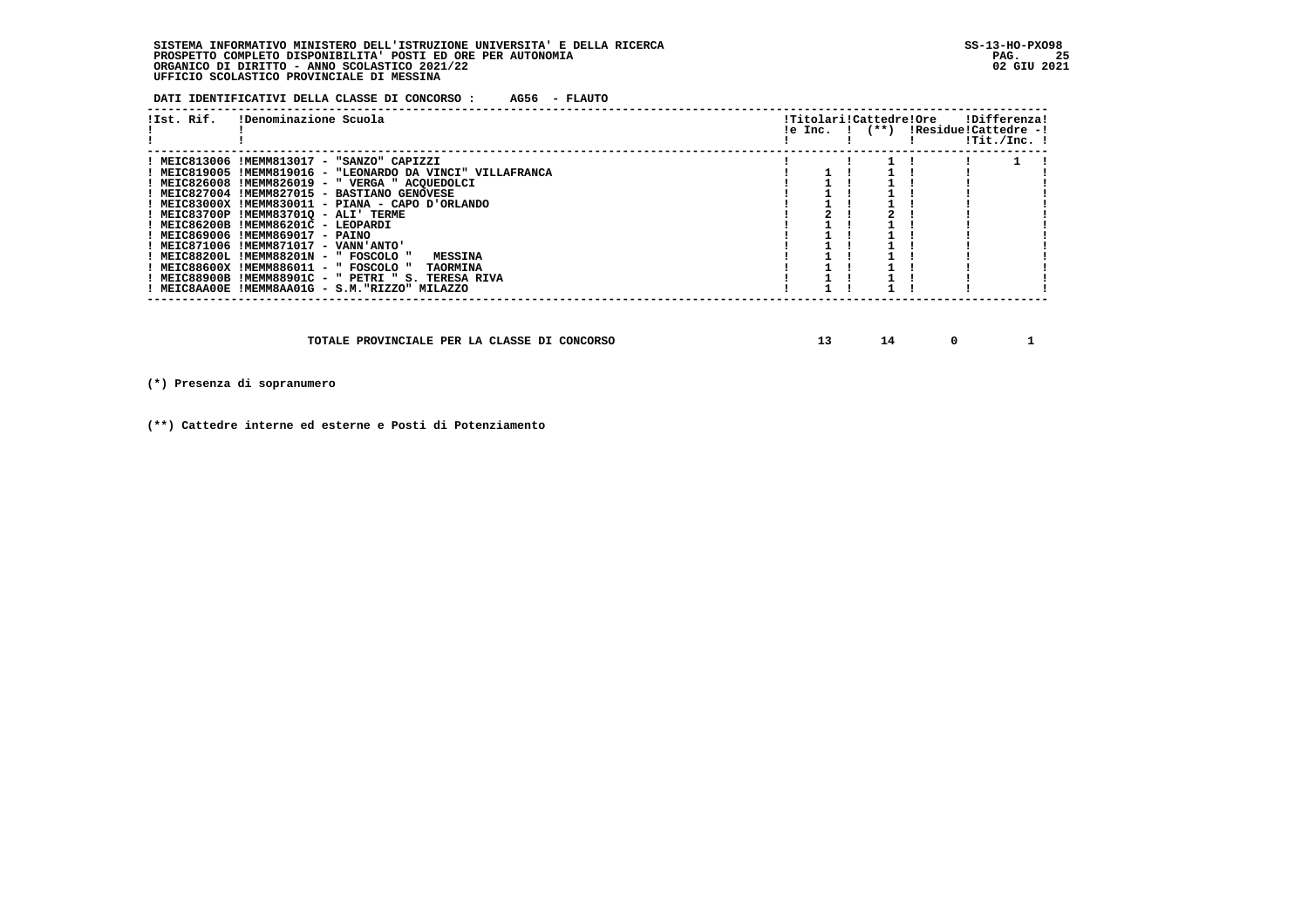**DATI IDENTIFICATIVI DELLA CLASSE DI CONCORSO : AG56 - FLAUTO**

| !Denominazione Scuola<br>!Ist. Rif.                                                                                                                                                                                                                                                                                                                                                                                                                                                                                                                                                                                                                   |  |  | !Titolari!Cattedre!Ore | <b>IDifferenzal</b><br>$le Inc.$ $!$ $(**)$ $!$ $Residue!$ $Cattedre -!$ | !Tit./Inc. ! |  |
|-------------------------------------------------------------------------------------------------------------------------------------------------------------------------------------------------------------------------------------------------------------------------------------------------------------------------------------------------------------------------------------------------------------------------------------------------------------------------------------------------------------------------------------------------------------------------------------------------------------------------------------------------------|--|--|------------------------|--------------------------------------------------------------------------|--------------|--|
| ! MEIC813006 !MEMM813017 - "SANZO" CAPIZZI<br>! MEIC819005 !MEMM819016 - "LEONARDO DA VINCI" VILLAFRANCA<br>! MEIC826008 !MEMM826019 - " VERGA " ACOUEDOLCI<br>! MEIC827004 !MEMM827015 - BASTIANO GENOVESE<br>! MEIC83000X !MEMM830011 - PIANA - CAPO D'ORLANDO<br>! MEIC83700P !MEMM837010 - ALI' TERME<br>! MEIC86200B !MEMM86201C - LEOPARDI<br>! MEIC869006 !MEMM869017 - PAINO<br>! MEIC871006 !MEMM871017 - VANN'ANTO'<br>! MEIC88200L !MEMM88201N - " FOSCOLO "<br><b>MESSINA</b><br>! MEIC88600X !MEMM886011 - " FOSCOLO " TAORMINA<br>! MEIC88900B !MEMM88901C - " PETRI " S. TERESA RIVA<br>! MEIC8AA00E !MEMM8AA01G - S.M."RIZZO" MILAZZO |  |  |                        |                                                                          |              |  |

 **TOTALE PROVINCIALE PER LA CLASSE DI CONCORSO 13 14 0 1**

 **(\*) Presenza di sopranumero**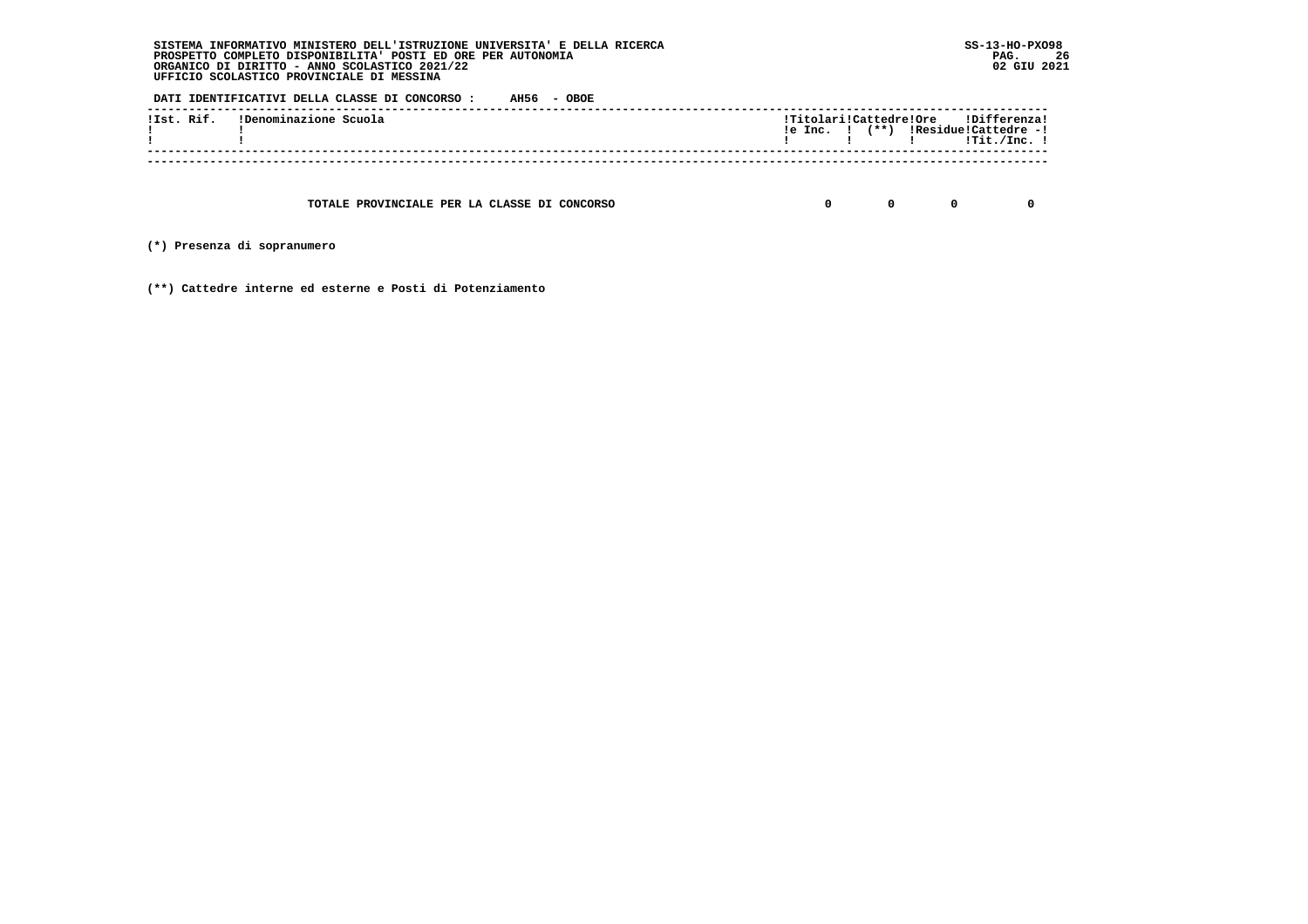**DATI IDENTIFICATIVI DELLA CLASSE DI CONCORSO : AH56 - OBOE**

| !Ist. Rif. IDenominazione Scuola |  |  | !Titolari!Cattedre!Ore !Differenza!<br>$!e$ Inc. $!$ $(**)$ $!Residue!Cattedre -!$ |
|----------------------------------|--|--|------------------------------------------------------------------------------------|
|                                  |  |  | !Tit./Inc. !                                                                       |

 **TOTALE PROVINCIALE PER LA CLASSE DI CONCORSO 0 0 0 0**

 **(\*) Presenza di sopranumero**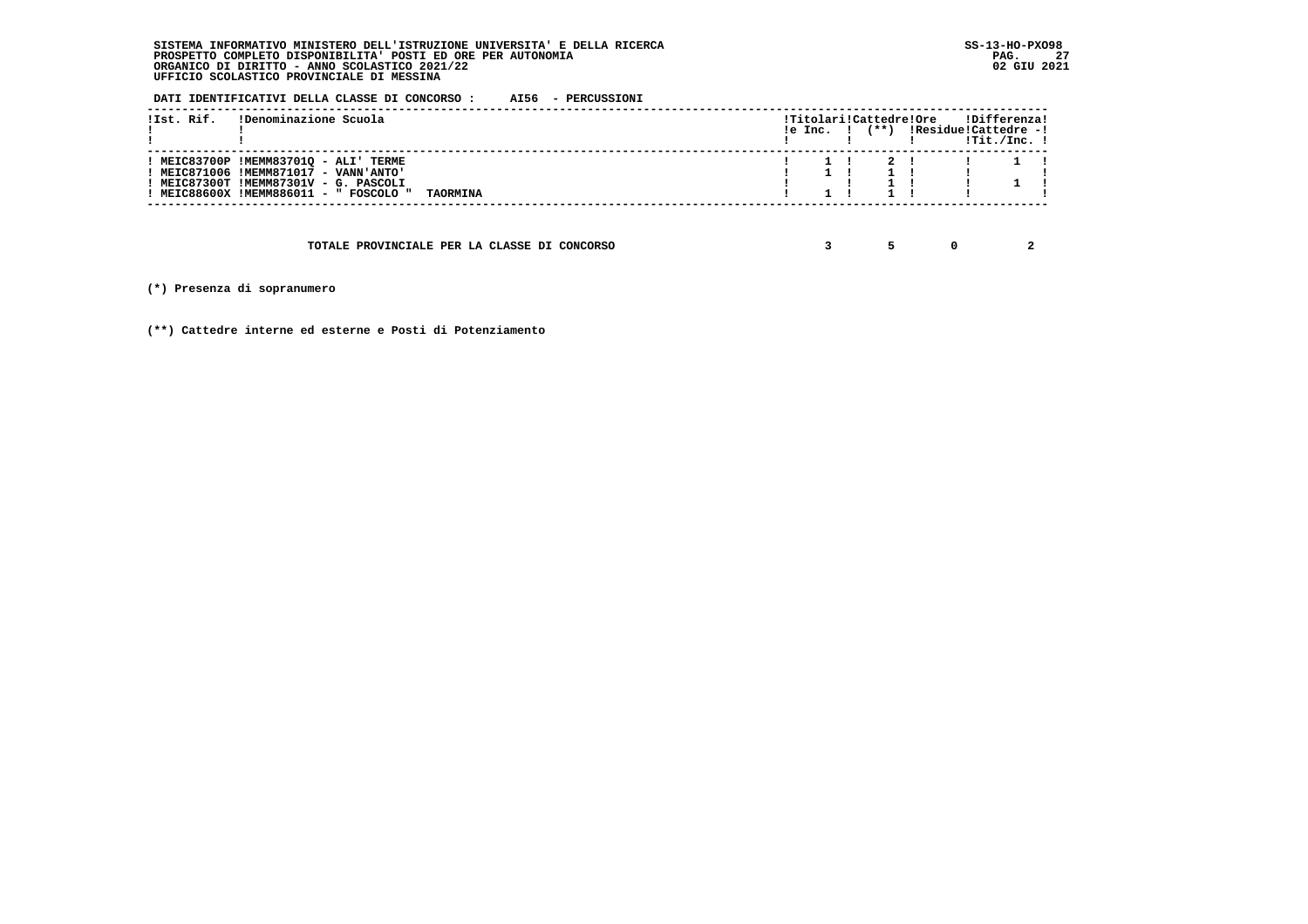**DATI IDENTIFICATIVI DELLA CLASSE DI CONCORSO : AI56 - PERCUSSIONI**

| !Ist. Rif. | !Denominazione Scuola                                                                                                                                         |                 | le Inc. I |  | !Titolari!Cattedre!Ore<br>(**) !Residue!Cattedre -! | !Differenza!<br>!Tit./Inc. ! |  |
|------------|---------------------------------------------------------------------------------------------------------------------------------------------------------------|-----------------|-----------|--|-----------------------------------------------------|------------------------------|--|
|            | ! MEIC83700P !MEMM83701Q - ALI' TERME<br>MEIC871006 !MEMM871017 - VANN'ANTO'<br>MEIC87300T !MEMM87301V - G. PASCOLI<br>! MEIC88600X !MEMM886011 - " FOSCOLO " | <b>TAORMINA</b> |           |  |                                                     |                              |  |

 **TOTALE PROVINCIALE PER LA CLASSE DI CONCORSO 3 5 0 2**

 **(\*) Presenza di sopranumero**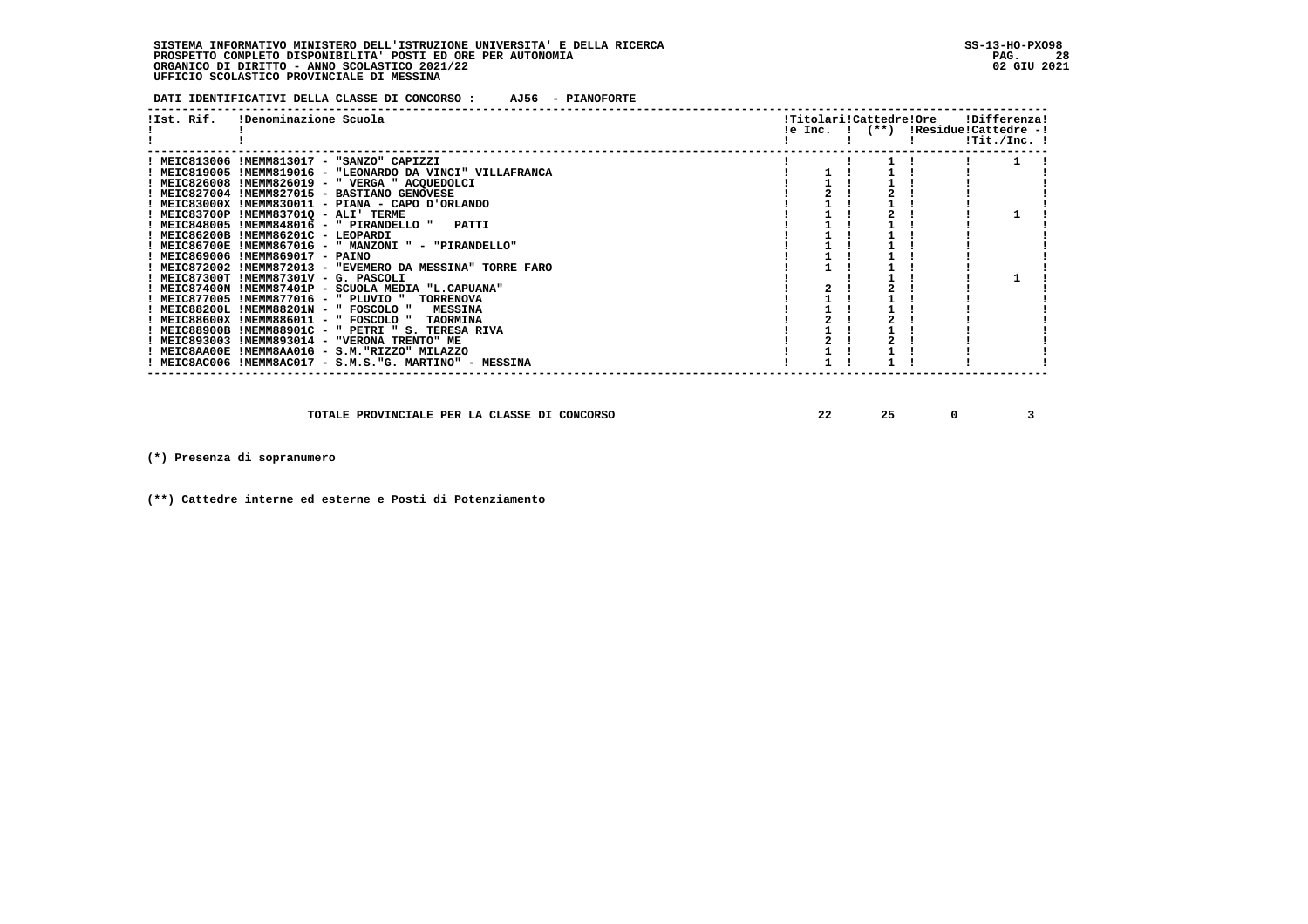**DATI IDENTIFICATIVI DELLA CLASSE DI CONCORSO : AJ56 - PIANOFORTE**

| !Ist. Rif. IDenominazione Scuola                           |  |  | !Titolari!Cattedre!Ore !Differenza!<br>!e Inc. ! (**) !Residue!Cattedre -!<br>$!$ Tit./Inc. $!$ |  |
|------------------------------------------------------------|--|--|-------------------------------------------------------------------------------------------------|--|
| ! MEIC813006 !MEMM813017 - "SANZO" CAPIZZI                 |  |  |                                                                                                 |  |
| ! MEIC819005 !MEMM819016 - "LEONARDO DA VINCI" VILLAFRANCA |  |  |                                                                                                 |  |
| ! MEIC826008 !MEMM826019 - " VERGA " ACQUEDOLCI            |  |  |                                                                                                 |  |
| ! MEIC827004 !MEMM827015 - BASTIANO GENOVESE               |  |  |                                                                                                 |  |
| ! MEIC83000X !MEMM830011 - PIANA - CAPO D'ORLANDO          |  |  |                                                                                                 |  |
| ! MEIC83700P !MEMM83701Q - ALI' TERME                      |  |  |                                                                                                 |  |
| ! MEIC848005 !MEMM848016 - " PIRANDELLO " PATTI            |  |  |                                                                                                 |  |
| ! MEIC86200B !MEMM86201C - LEOPARDI                        |  |  |                                                                                                 |  |
| ! MEIC86700E !MEMM86701G - " MANZONI " - "PIRANDELLO"      |  |  |                                                                                                 |  |
| ! MEIC869006 !MEMM869017 - PAINO                           |  |  |                                                                                                 |  |
| ! MEIC872002 !MEMM872013 - "EVEMERO DA MESSINA" TORRE FARO |  |  |                                                                                                 |  |
| ! MEIC87300T !MEMM87301V - G. PASCOLI                      |  |  |                                                                                                 |  |
| ! MEIC87400N !MEMM87401P - SCUOLA MEDIA "L.CAPUANA"        |  |  |                                                                                                 |  |
| ! MEIC877005 !MEMM877016 - " PLUVIO " TORRENOVA            |  |  |                                                                                                 |  |
| ! MEIC88200L !MEMM88201N - " FOSCOLO " MESSINA             |  |  |                                                                                                 |  |
| ! MEIC88600X !MEMM886011 - " FOSCOLO " TAORMINA            |  |  |                                                                                                 |  |
| ! MEIC88900B !MEMM88901C - " PETRI " S. TERESA RIVA        |  |  |                                                                                                 |  |
| ! MEIC893003 !MEMM893014 - "VERONA TRENTO" ME              |  |  |                                                                                                 |  |
| ! MEIC8AA00E !MEMM8AA01G - S.M. "RIZZO" MILAZZO            |  |  |                                                                                                 |  |
| ! MEIC8AC006 !MEMM8AC017 - S.M.S."G. MARTINO" - MESSINA    |  |  |                                                                                                 |  |

 **TOTALE PROVINCIALE PER LA CLASSE DI CONCORSO 22 25 0 3**

 **(\*) Presenza di sopranumero**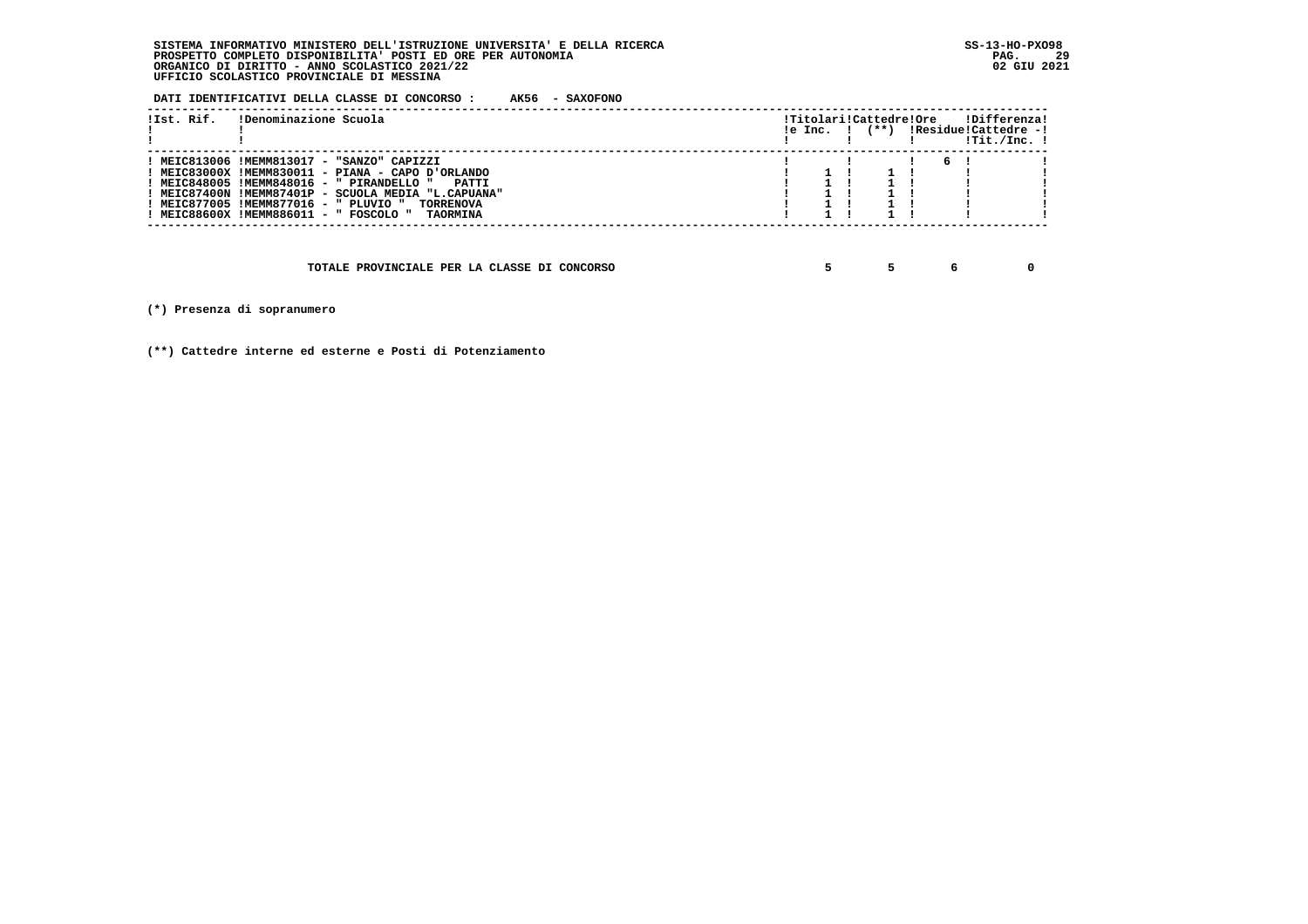**DATI IDENTIFICATIVI DELLA CLASSE DI CONCORSO : AK56 - SAXOFONO**

| !Ist. Rif. | !Denominazione Scuola                                                                                                                                                                                                                                                                                                                  | le Inc. I | !Titolari!Cattedre!Ore |  |   | !Differenza!<br>(**) !Residue!Cattedre -!<br>$1$ Tit./Inc. $1$ |  |
|------------|----------------------------------------------------------------------------------------------------------------------------------------------------------------------------------------------------------------------------------------------------------------------------------------------------------------------------------------|-----------|------------------------|--|---|----------------------------------------------------------------|--|
|            | ! MEIC813006 !MEMM813017 - "SANZO" CAPIZZI<br>! MEIC83000X !MEMM830011 - PIANA - CAPO D'ORLANDO<br>! MEIC848005 !MEMM848016 - " PIRANDELLO "<br>PATTI<br>! MEIC87400N !MEMM87401P - SCUOLA MEDIA "L.CAPUANA"<br>! MEIC877005 !MEMM877016 - " PLUVIO "<br><b>TORRENOVA</b><br>! MEIC88600X !MEMM886011 - " FOSCOLO "<br><b>TAORMINA</b> |           |                        |  | 6 |                                                                |  |
|            | TOTALE PROVINCIALE PER LA CLASSE DI CONCORSO                                                                                                                                                                                                                                                                                           |           |                        |  |   |                                                                |  |

 **(\*) Presenza di sopranumero**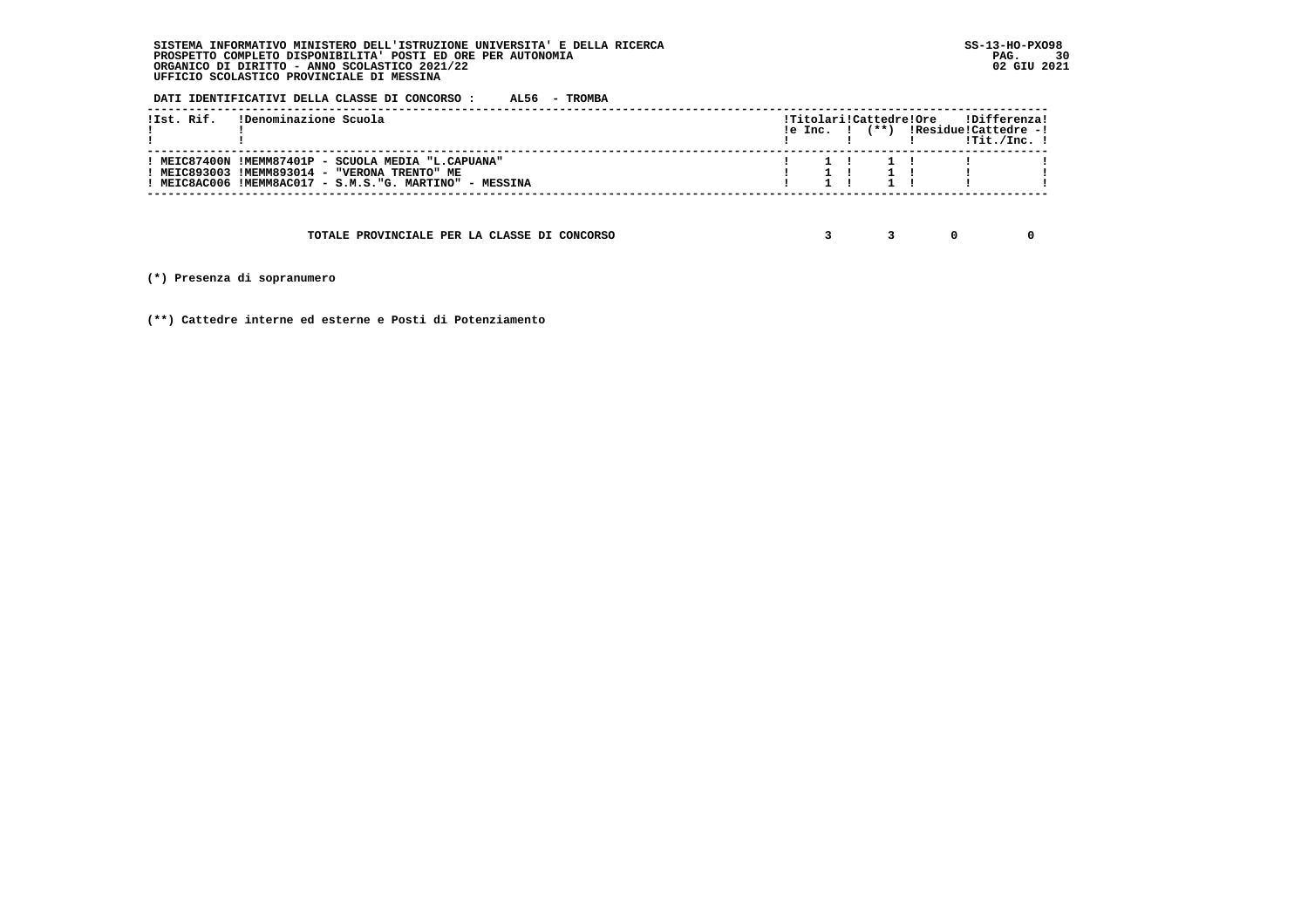**DATI IDENTIFICATIVI DELLA CLASSE DI CONCORSO : AL56 - TROMBA**

| !Ist. Rif. | !Denominazione Scuola                                                                                | le Inc. I | $(**)$ | !Titolari!Cattedre!Ore | !Differenza!<br>!Residue!Cattedre -! |  |
|------------|------------------------------------------------------------------------------------------------------|-----------|--------|------------------------|--------------------------------------|--|
|            |                                                                                                      |           |        |                        | $1$ Tit./Inc. $1$                    |  |
|            | ! MEIC87400N !MEMM87401P - SCUOLA MEDIA "L.CAPUANA"<br>! MEIC893003 !MEMM893014 - "VERONA TRENTO" ME |           |        |                        |                                      |  |
|            | ! MEIC8AC006 !MEMM8AC017 - S.M.S."G. MARTINO" - MESSINA                                              |           |        |                        |                                      |  |
|            |                                                                                                      |           |        |                        |                                      |  |

 **TOTALE PROVINCIALE PER LA CLASSE DI CONCORSO 3 3 0 0**

 **(\*) Presenza di sopranumero**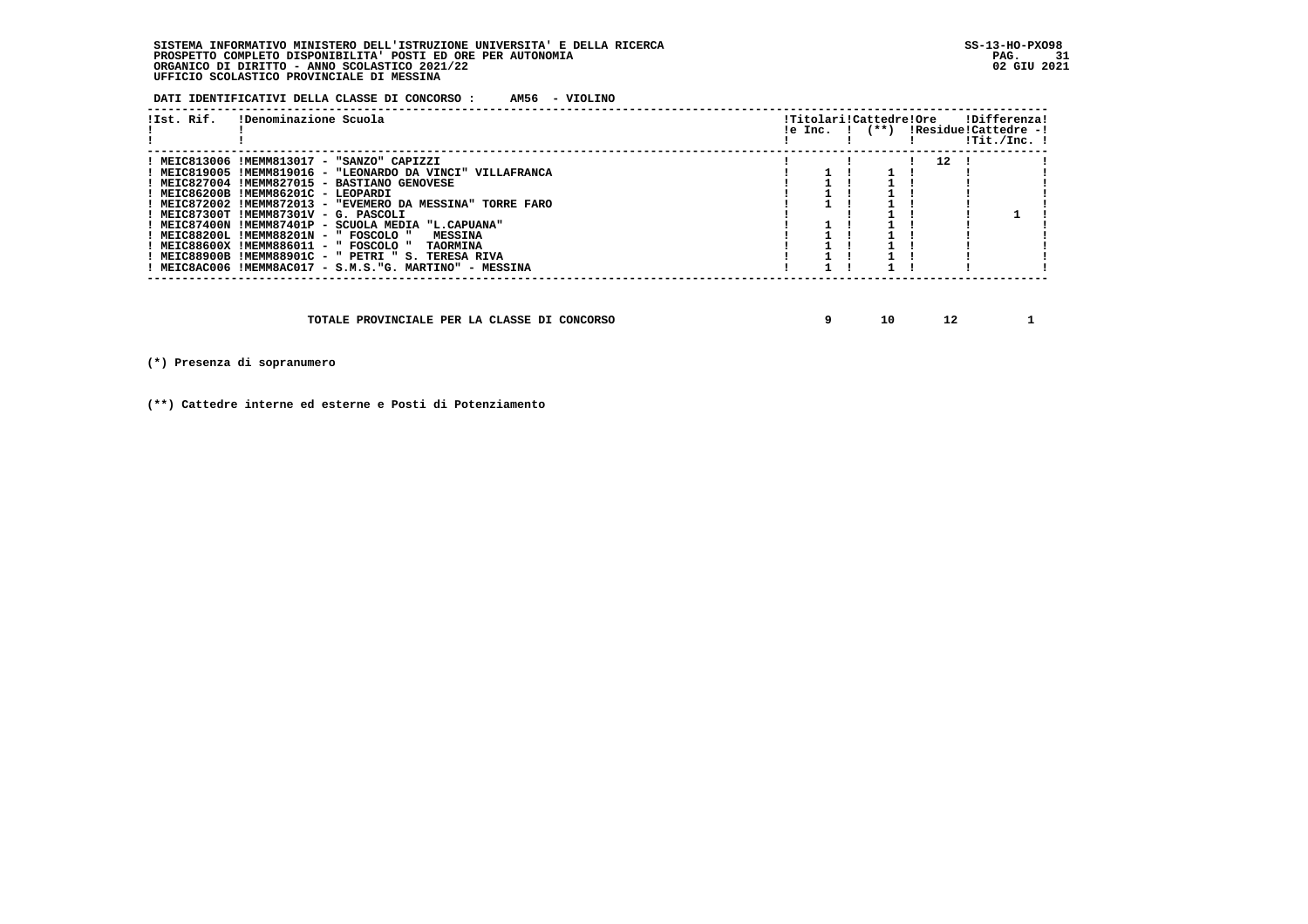**DATI IDENTIFICATIVI DELLA CLASSE DI CONCORSO : AM56 - VIOLINO**

| !Ist. Rif. | !Denominazione Scuola                                      |  | !Titolari!Cattedre!Ore<br>$!e$ Inc. $!$ $(**)$ |    | !Differenza!<br>!Residue!Cattedre -!<br>$1$ Tit./Inc. $1$ |
|------------|------------------------------------------------------------|--|------------------------------------------------|----|-----------------------------------------------------------|
|            | ! MEIC813006 !MEMM813017 - "SANZO" CAPIZZI                 |  |                                                | 12 |                                                           |
|            | ! MEIC819005 !MEMM819016 - "LEONARDO DA VINCI" VILLAFRANCA |  |                                                |    |                                                           |
|            | ! MEIC827004 !MEMM827015 - BASTIANO GENOVESE               |  |                                                |    |                                                           |
|            | ! MEIC86200B !MEMM86201C - LEOPARDI                        |  |                                                |    |                                                           |
|            | ! MEIC872002 !MEMM872013 - "EVEMERO DA MESSINA" TORRE FARO |  |                                                |    |                                                           |
|            | ! MEIC87300T !MEMM87301V - G. PASCOLI                      |  |                                                |    |                                                           |
|            | ! MEIC87400N !MEMM87401P - SCUOLA MEDIA "L.CAPUANA"        |  |                                                |    |                                                           |
|            | ! MEIC88200L !MEMM88201N - " FOSCOLO "<br><b>MESSINA</b>   |  |                                                |    |                                                           |
|            | ! MEIC88600X !MEMM886011 - " FOSCOLO " TAORMINA            |  |                                                |    |                                                           |
|            | ! MEIC88900B !MEMM88901C - " PETRI " S. TERESA RIVA        |  |                                                |    |                                                           |
|            | ! MEIC8AC006 !MEMM8AC017 - S.M.S."G. MARTINO" - MESSINA    |  |                                                |    |                                                           |

 **TOTALE PROVINCIALE PER LA CLASSE DI CONCORSO 9 10 12 1**

 **(\*) Presenza di sopranumero**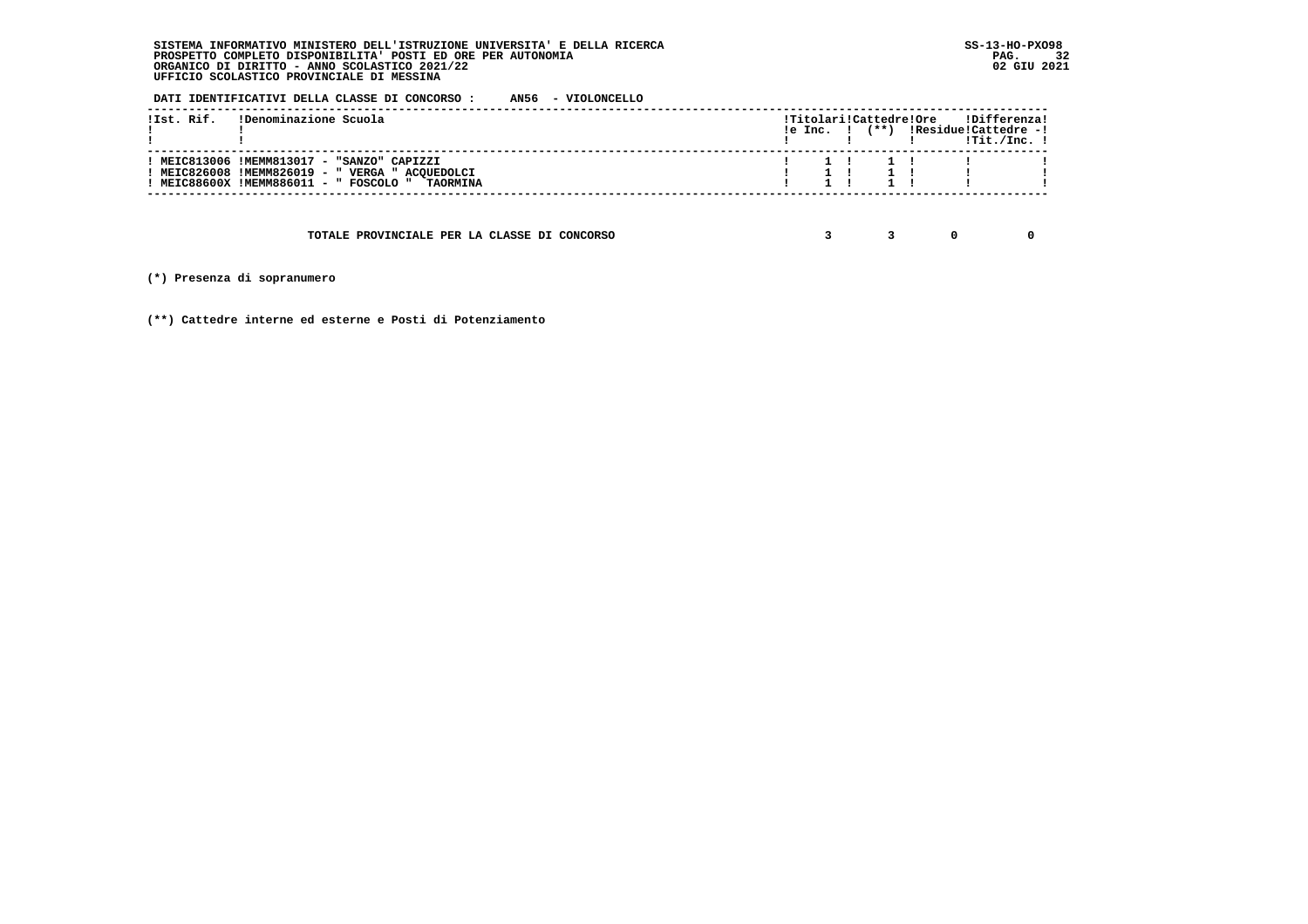**DATI IDENTIFICATIVI DELLA CLASSE DI CONCORSO : AN56 - VIOLONCELLO**

|  | !Ist. Rif. IDenominazione Scuola                                                                                                                       |  | $!e$ Inc. $!$ $(**)$ |                                     | !Titolari!Cattedre!Ore !Differenza!<br>!Residue!Cattedre -!<br>!Tit./Inc. ! |  |
|--|--------------------------------------------------------------------------------------------------------------------------------------------------------|--|----------------------|-------------------------------------|-----------------------------------------------------------------------------|--|
|  | ! MEIC813006 !MEMM813017 - "SANZO" CAPIZZI<br>! MEIC826008 !MEMM826019 - " VERGA " ACQUEDOLCI<br><b>MEIC88600X !MEMM886011 - " FOSCOLO " TAORMINA!</b> |  |                      | $1 \quad 1 \quad 1 \quad 1 \quad 1$ | $1 \quad 1 \quad 1 \quad 1 \quad 1 \quad 1$                                 |  |
|  |                                                                                                                                                        |  |                      |                                     |                                                                             |  |

 **TOTALE PROVINCIALE PER LA CLASSE DI CONCORSO 3 3 0 0**

 **(\*) Presenza di sopranumero**